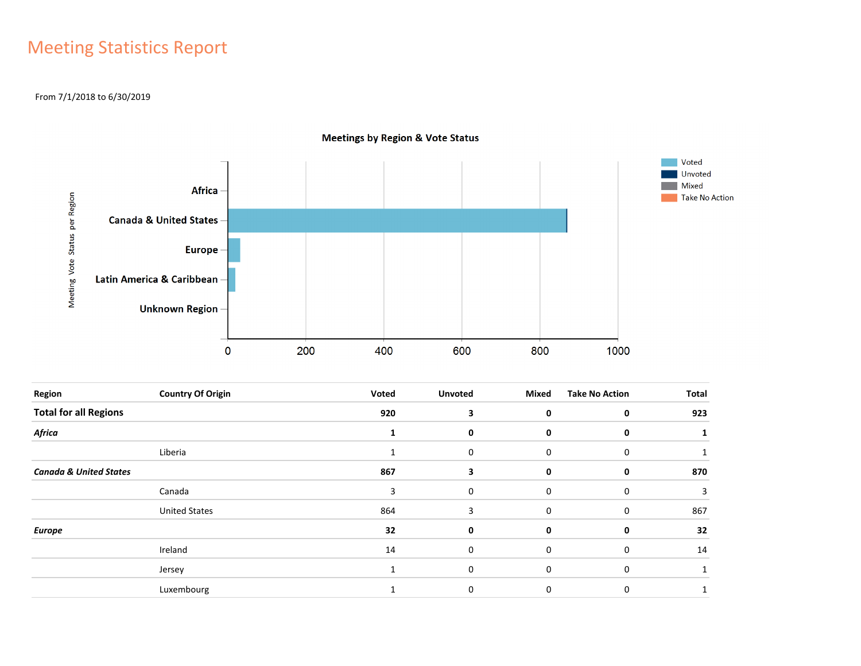## Meeting Statistics Report

#### From 7/1/2018 to 6/30/2019



**Meetings by Region & Vote Status** 

| Region                            | <b>Country Of Origin</b> | Voted        | <b>Unvoted</b> | Mixed       | <b>Take No Action</b> | Total |
|-----------------------------------|--------------------------|--------------|----------------|-------------|-----------------------|-------|
| <b>Total for all Regions</b>      |                          | 920          | 3              | 0           | $\mathbf 0$           | 923   |
| <b>Africa</b>                     |                          |              | 0              | 0           | 0                     |       |
|                                   | Liberia                  | $\mathbf{1}$ | 0              | $\mathbf 0$ | 0                     |       |
| <b>Canada &amp; United States</b> |                          | 867          | 3              | 0           | 0                     | 870   |
|                                   | Canada                   | 3            | 0              | $\mathbf 0$ | 0                     | 3     |
|                                   | <b>United States</b>     | 864          | 3              | 0           | 0                     | 867   |
| <b>Europe</b>                     |                          | 32           | 0              | 0           | 0                     | 32    |
|                                   | Ireland                  | 14           | 0              | 0           | 0                     | 14    |
|                                   | Jersey                   | $\mathbf{1}$ | 0              | 0           | 0                     |       |
|                                   | Luxembourg               |              | 0              | 0           | 0                     |       |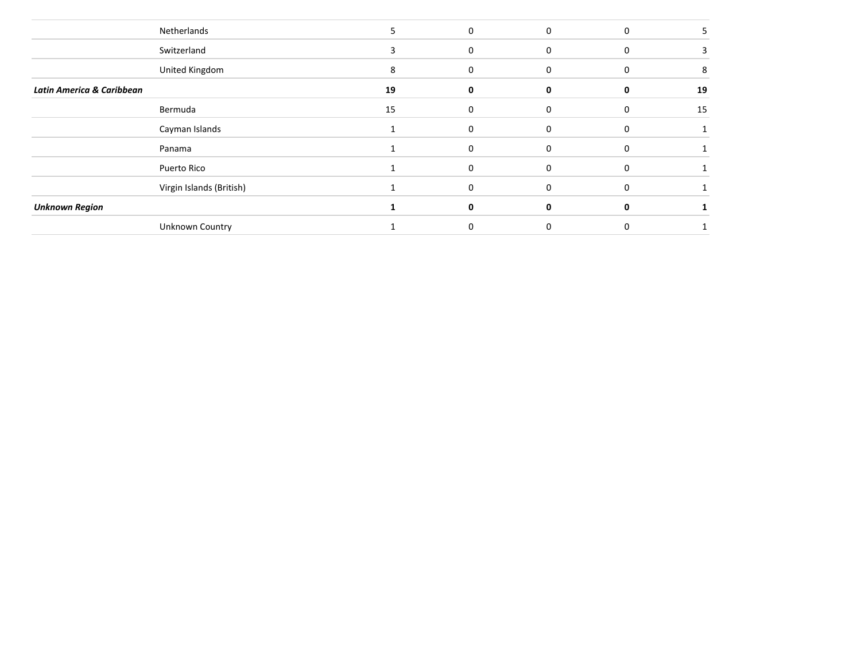|                           | Netherlands              |    | $\mathbf 0$ | $\Omega$     | 0        |    |
|---------------------------|--------------------------|----|-------------|--------------|----------|----|
|                           | Switzerland              | 3  | 0           |              | 0        |    |
|                           | United Kingdom           | 8  | 0           | n            | 0        | 8  |
| Latin America & Caribbean |                          | 19 | 0           |              | 0        | 19 |
|                           | Bermuda                  | 15 | 0           | <sup>n</sup> | O        | 15 |
|                           | Cayman Islands           |    | 0           | $\Omega$     | 0        |    |
|                           | Panama                   |    | 0           |              | 0        |    |
|                           | Puerto Rico              |    | $\Omega$    | $\Omega$     | $\Omega$ |    |
|                           | Virgin Islands (British) |    | 0           |              | O        |    |
| <b>Unknown Region</b>     |                          |    | ŋ           |              | 0        |    |
|                           | Unknown Country          |    |             |              |          |    |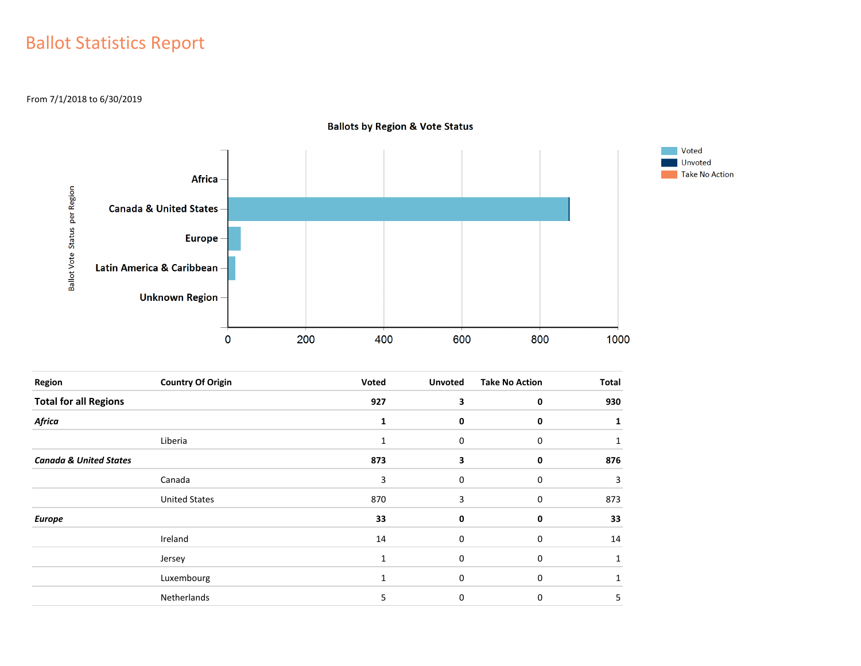## Ballot Statistics Report

From 7/1/2018 to 6/30/2019



| <b>Ballots by Region &amp; Vote Status</b> |  |  |  |  |  |  |
|--------------------------------------------|--|--|--|--|--|--|
|--------------------------------------------|--|--|--|--|--|--|

| Region                            | <b>Country Of Origin</b> | Voted        | <b>Unvoted</b> | <b>Take No Action</b> | <b>Total</b> |
|-----------------------------------|--------------------------|--------------|----------------|-----------------------|--------------|
| <b>Total for all Regions</b>      |                          | 927          | 3              | 0                     | 930          |
| Africa                            |                          | 1            | 0              | 0                     |              |
|                                   | Liberia                  | 1            | 0              | 0                     | 1            |
| <b>Canada &amp; United States</b> |                          | 873          | 3              | 0                     | 876          |
|                                   | Canada                   | 3            | 0              | 0                     | 3            |
|                                   | <b>United States</b>     | 870          | 3              | 0                     | 873          |
| <b>Europe</b>                     |                          | 33           | 0              | 0                     | 33           |
|                                   | Ireland                  | 14           | 0              | 0                     | 14           |
|                                   | Jersey                   | 1            | 0              | 0                     | 1            |
|                                   | Luxembourg               | $\mathbf{1}$ | $\mathbf 0$    | 0                     |              |
|                                   | Netherlands              | 5            | 0              | 0                     | 5            |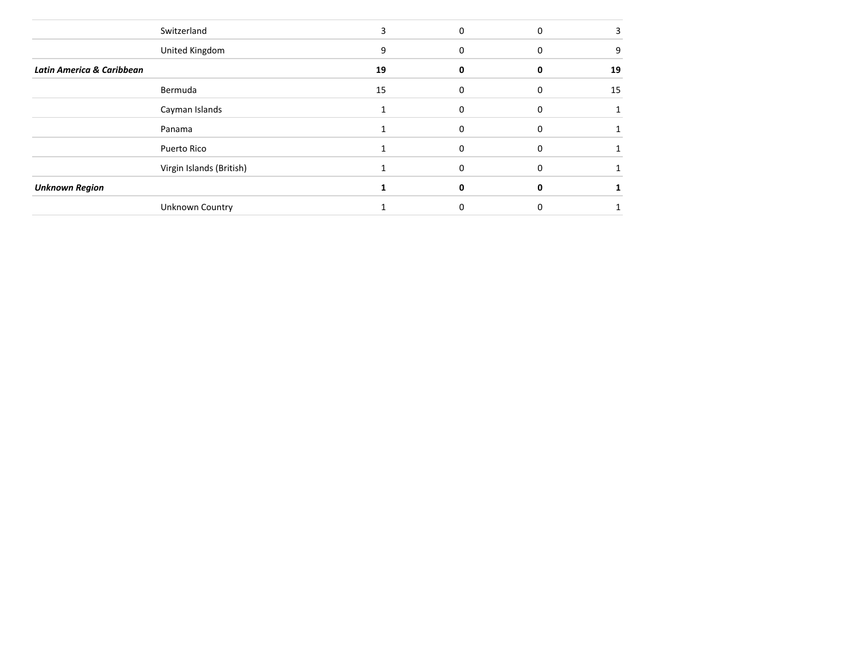|                           | Switzerland              |    | U |              |    |
|---------------------------|--------------------------|----|---|--------------|----|
|                           | United Kingdom           | 9  | 0 | $\Omega$     | 9  |
| Latin America & Caribbean |                          | 19 |   |              | 19 |
|                           | Bermuda                  | 15 |   |              | 15 |
|                           | Cayman Islands           |    | U |              |    |
|                           | Panama                   |    | O | <sup>0</sup> |    |
|                           | Puerto Rico              |    |   |              |    |
|                           | Virgin Islands (British) |    |   |              |    |
| <b>Unknown Region</b>     |                          |    |   |              |    |
|                           | Unknown Country          |    |   |              |    |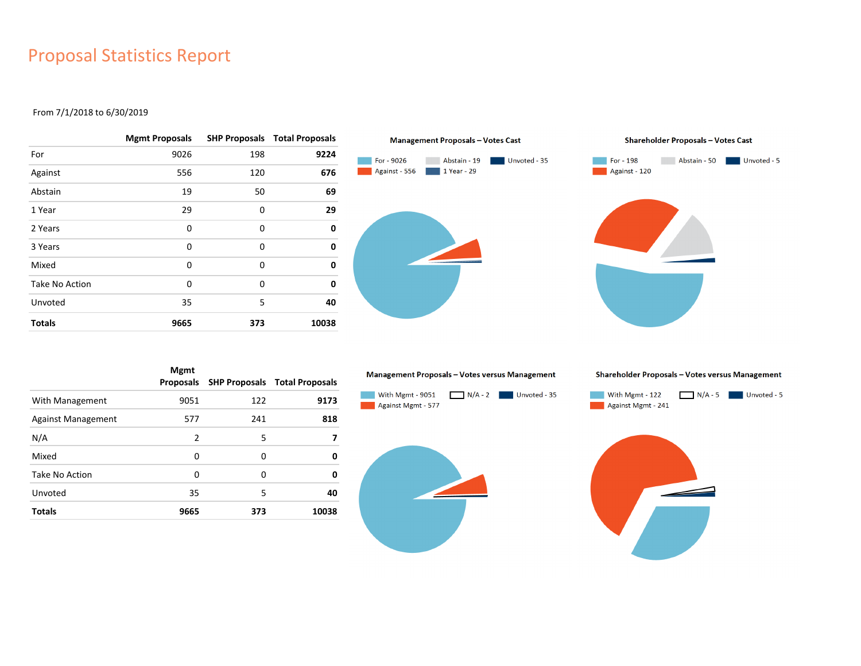### Proposal Statistics Report

#### From 7/1/2018 to 6/30/2019

|                | <b>Mgmt Proposals</b> |     | <b>SHP Proposals Total Proposals</b> |
|----------------|-----------------------|-----|--------------------------------------|
| For            | 9026                  | 198 | 9224                                 |
| Against        | 556                   | 120 | 676                                  |
| Abstain        | 19                    | 50  | 69                                   |
| 1 Year         | 29                    | 0   | 29                                   |
| 2 Years        | 0                     | 0   | 0                                    |
| 3 Years        | 0                     | 0   | 0                                    |
| Mixed          | 0                     | 0   | 0                                    |
| Take No Action | 0                     | 0   | 0                                    |
| Unvoted        | 35                    | 5   | 40                                   |
| <b>Totals</b>  | 9665                  | 373 | 10038                                |





|                           | <b>Mgmt</b><br><b>Proposals</b> |     | <b>SHP Proposals Total Proposals</b> |
|---------------------------|---------------------------------|-----|--------------------------------------|
| With Management           | 9051                            | 122 | 9173                                 |
| <b>Against Management</b> | 577                             | 241 | 818                                  |
| N/A                       | $\overline{2}$                  | 5   |                                      |
| Mixed                     | 0                               | 0   | 0                                    |
| Take No Action            | 0                               | 0   | 0                                    |
| Unvoted                   | 35                              | 5   | 40                                   |
| <b>Totals</b>             | 9665                            | 373 | 10038                                |

#### Management Proposals - Votes versus Management



Shareholder Proposals - Votes versus Management



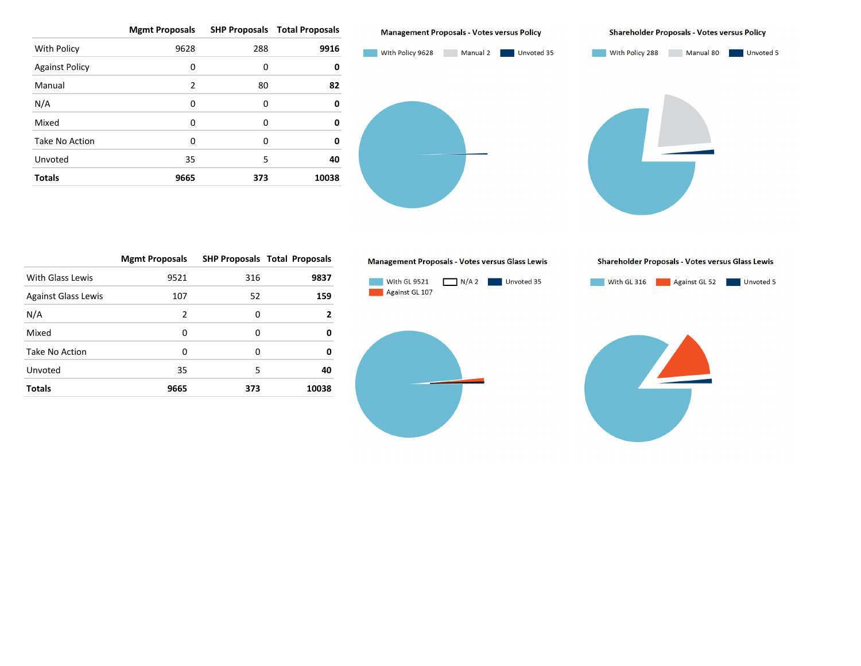|                       | <b>Mgmt Proposals</b> |     | <b>SHP Proposals Total Proposals</b> |
|-----------------------|-----------------------|-----|--------------------------------------|
| With Policy           | 9628                  | 288 | 9916                                 |
| <b>Against Policy</b> | 0                     | 0   | 0                                    |
| Manual                | 2                     | 80  | 82                                   |
| N/A                   | 0                     | 0   | 0                                    |
| Mixed                 | 0                     | 0   | 0                                    |
| Take No Action        | $\Omega$              | 0   | 0                                    |
| Unvoted               | 35                    | 5   | 40                                   |
| <b>Totals</b>         | 9665                  | 373 | 10038                                |

**Management Proposals - Votes versus Policy** 

**Shareholder Proposals - Votes versus Policy** 



|                            | <b>Mgmt Proposals</b> |     | <b>SHP Proposals Total Proposals</b> |
|----------------------------|-----------------------|-----|--------------------------------------|
| With Glass Lewis           | 9521                  | 316 | 9837                                 |
| <b>Against Glass Lewis</b> | 107                   | 52  | 159                                  |
| N/A                        | 2                     | 0   | 2                                    |
| Mixed                      | 0                     | 0   | 0                                    |
| Take No Action             | $\Omega$              | O   | 0                                    |
| Unvoted                    | 35                    | 5   | 40                                   |
| <b>Totals</b>              | 9665                  | 373 | 10038                                |

Management Proposals - Votes versus Glass Lewis



Shareholder Proposals - Votes versus Glass Lewis

With GL 316 Against GL 52 Unvoted 5

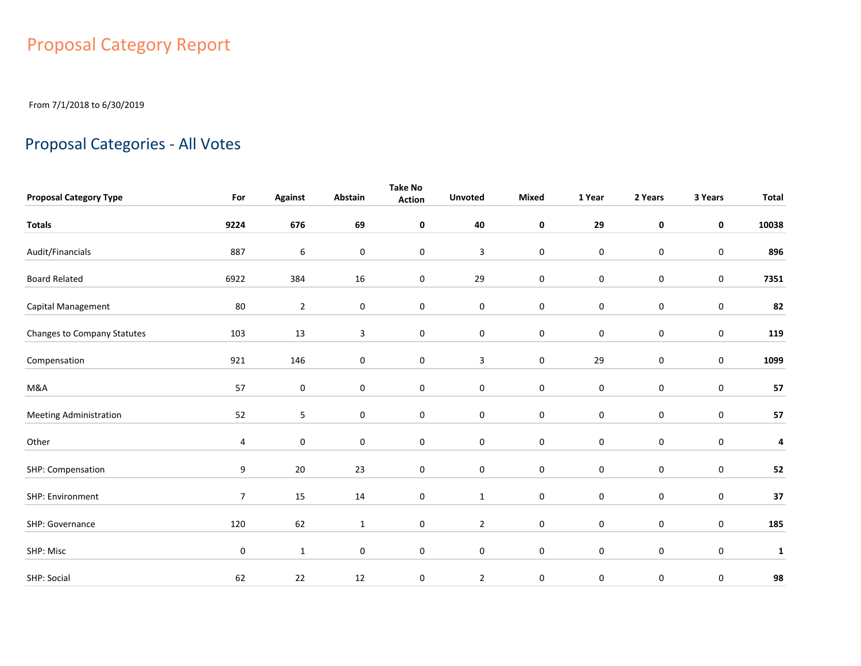# Proposal Category Report

From 7/1/2018 to 6/30/2019

## Proposal Categories - All Votes

| <b>Proposal Category Type</b> | For            | <b>Against</b>   | Abstain          | <b>Take No</b><br><b>Action</b> | <b>Unvoted</b> | <b>Mixed</b>     | 1 Year      | 2 Years          | 3 Years             | <b>Total</b> |
|-------------------------------|----------------|------------------|------------------|---------------------------------|----------------|------------------|-------------|------------------|---------------------|--------------|
|                               |                |                  |                  |                                 |                |                  |             |                  |                     |              |
| <b>Totals</b>                 | 9224           | 676              | 69               | 0                               | 40             | 0                | 29          | $\pmb{0}$        | $\mathbf 0$         | 10038        |
| Audit/Financials              | 887            | $\boldsymbol{6}$ | 0                | $\mathbf 0$                     | $\mathbf{3}$   | $\boldsymbol{0}$ | $\pmb{0}$   | $\mathbf 0$      | $\pmb{0}$           | 896          |
| <b>Board Related</b>          | 6922           | 384              | 16               | $\mathbf 0$                     | 29             | $\boldsymbol{0}$ | $\pmb{0}$   | $\boldsymbol{0}$ | $\pmb{0}$           | 7351         |
| Capital Management            | 80             | $\overline{2}$   | $\pmb{0}$        | $\pmb{0}$                       | $\pmb{0}$      | $\boldsymbol{0}$ | $\pmb{0}$   | $\mathbf 0$      | $\pmb{0}$           | 82           |
| Changes to Company Statutes   | 103            | 13               | 3                | 0                               | 0              | $\pmb{0}$        | $\pmb{0}$   | $\boldsymbol{0}$ | $\pmb{0}$           | 119          |
| Compensation                  | 921            | 146              | $\pmb{0}$        | $\mathsf{O}\xspace$             | $\mathbf{3}$   | $\pmb{0}$        | 29          | $\mathbf 0$      | $\mathsf{O}\xspace$ | 1099         |
| M&A                           | 57             | $\mathbf 0$      | 0                | 0                               | $\mathbf 0$    | $\pmb{0}$        | $\pmb{0}$   | $\mathbf 0$      | 0                   | 57           |
| <b>Meeting Administration</b> | 52             | 5                | $\pmb{0}$        | $\mathbf 0$                     | $\pmb{0}$      | $\pmb{0}$        | $\pmb{0}$   | $\mathbf 0$      | $\boldsymbol{0}$    | 57           |
| Other                         | 4              | $\mathbf 0$      | $\boldsymbol{0}$ | 0                               | $\mathbf 0$    | $\pmb{0}$        | $\pmb{0}$   | $\boldsymbol{0}$ | $\pmb{0}$           | 4            |
| SHP: Compensation             | 9              | 20               | 23               | $\mathbf 0$                     | $\bf{0}$       | $\pmb{0}$        | $\mathbf 0$ | $\mathbf 0$      | 0                   | 52           |
| SHP: Environment              | $\overline{7}$ | 15               | 14               | 0                               | $\mathbf{1}$   | $\pmb{0}$        | $\mathbf 0$ | $\boldsymbol{0}$ | 0                   | 37           |
| SHP: Governance               | 120            | 62               | $\mathbf{1}$     | 0                               | $\overline{2}$ | $\pmb{0}$        | $\mathbf 0$ | $\mathbf 0$      | $\mathbf 0$         | 185          |
| SHP: Misc                     | 0              | $\mathbf{1}$     | 0                | $\mathbf 0$                     | $\bf{0}$       | $\pmb{0}$        | $\mathbf 0$ | $\mathbf 0$      | $\pmb{0}$           | $\mathbf{1}$ |
| SHP: Social                   | 62             | 22               | 12               | $\pmb{0}$                       | $\overline{2}$ | $\boldsymbol{0}$ | 0           | 0                | 0                   | 98           |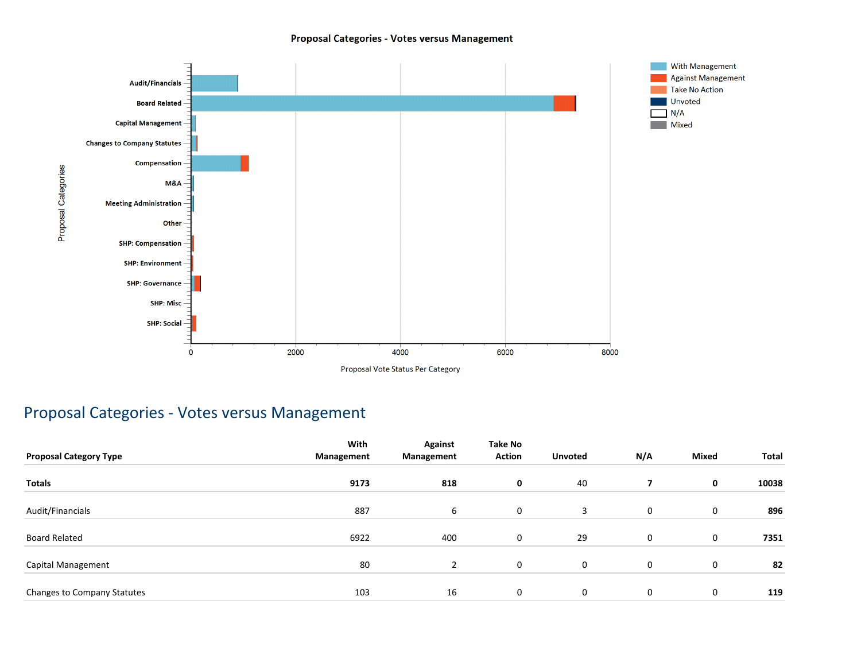#### Proposal Categories - Votes versus Management



### Proposal Categories - Votes versus Management

|                               | With       | <b>Against</b> | <b>Take No</b> |                |     |              |       |
|-------------------------------|------------|----------------|----------------|----------------|-----|--------------|-------|
| <b>Proposal Category Type</b> | Management | Management     | <b>Action</b>  | <b>Unvoted</b> | N/A | <b>Mixed</b> | Total |
| <b>Totals</b>                 | 9173       | 818            | 0              | 40             |     | 0            | 10038 |
| Audit/Financials              | 887        | 6              | $\mathbf 0$    | 3              | 0   | 0            | 896   |
| <b>Board Related</b>          | 6922       | 400            | 0              | 29             | 0   | 0            | 7351  |
| Capital Management            | 80         | $\overline{2}$ | $\mathbf 0$    | $\mathbf 0$    | 0   | 0            | 82    |
| Changes to Company Statutes   | 103        | 16             | 0              | $\mathbf 0$    | 0   | 0            | 119   |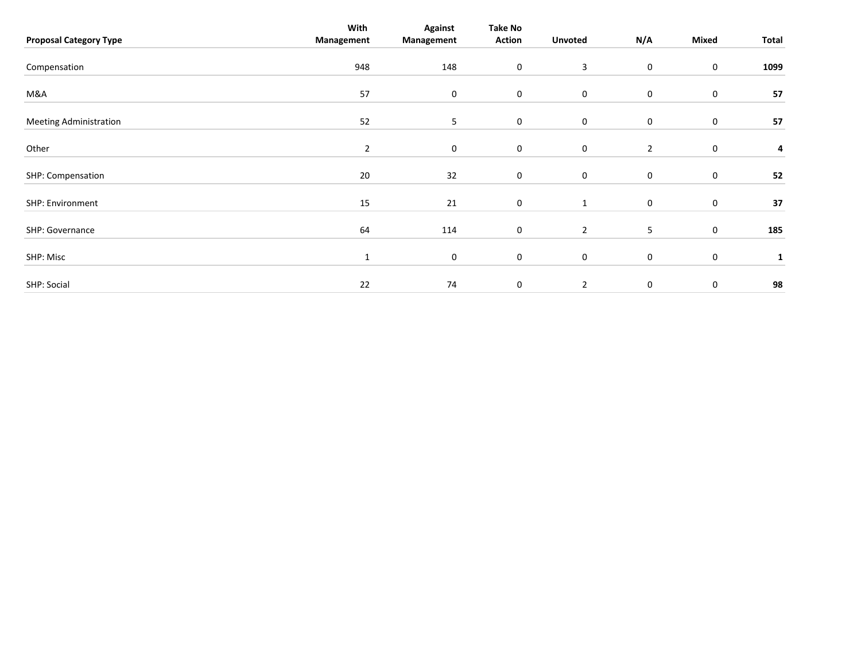|                               | With           | <b>Against</b> | Take No          |                  |                |                  |       |
|-------------------------------|----------------|----------------|------------------|------------------|----------------|------------------|-------|
| <b>Proposal Category Type</b> | Management     | Management     | Action           | <b>Unvoted</b>   | N/A            | Mixed            | Total |
|                               |                |                |                  |                  |                |                  |       |
| Compensation                  | 948            | 148            | $\mathbf 0$      | 3                | 0              | 0                | 1099  |
|                               |                |                |                  |                  |                |                  |       |
| M&A                           | 57             | 0              | $\boldsymbol{0}$ | $\mathbf 0$      | 0              | $\boldsymbol{0}$ | 57    |
|                               |                |                |                  |                  |                |                  |       |
| <b>Meeting Administration</b> | 52             | 5 <sub>5</sub> | $\mathbf 0$      | $\boldsymbol{0}$ | 0              | $\bf{0}$         | 57    |
| Other                         | $\overline{2}$ | 0              | 0                | $\mathbf 0$      | $\overline{2}$ | 0                | 4     |
|                               |                |                |                  |                  |                |                  |       |
| SHP: Compensation             | 20             | 32             | $\mathbf 0$      | $\mathbf 0$      | 0              | 0                | 52    |
|                               |                |                |                  |                  |                |                  |       |
| SHP: Environment              | 15             | 21             | $\boldsymbol{0}$ | $\mathbf{1}$     | 0              | $\bf{0}$         | 37    |
|                               |                |                |                  |                  |                |                  |       |
| SHP: Governance               | 64             | 114            | $\mathbf 0$      | $\overline{2}$   | 5              | $\bf{0}$         | 185   |
|                               |                |                |                  |                  |                |                  |       |
| SHP: Misc                     | $\mathbf{1}$   | $\mathbf 0$    | $\mathbf 0$      | $\boldsymbol{0}$ | 0              | $\bf{0}$         | 1     |
|                               |                |                |                  |                  |                |                  |       |
| SHP: Social                   | 22             | 74             | 0                | $\overline{2}$   | $\mathbf 0$    | $\mathbf 0$      | 98    |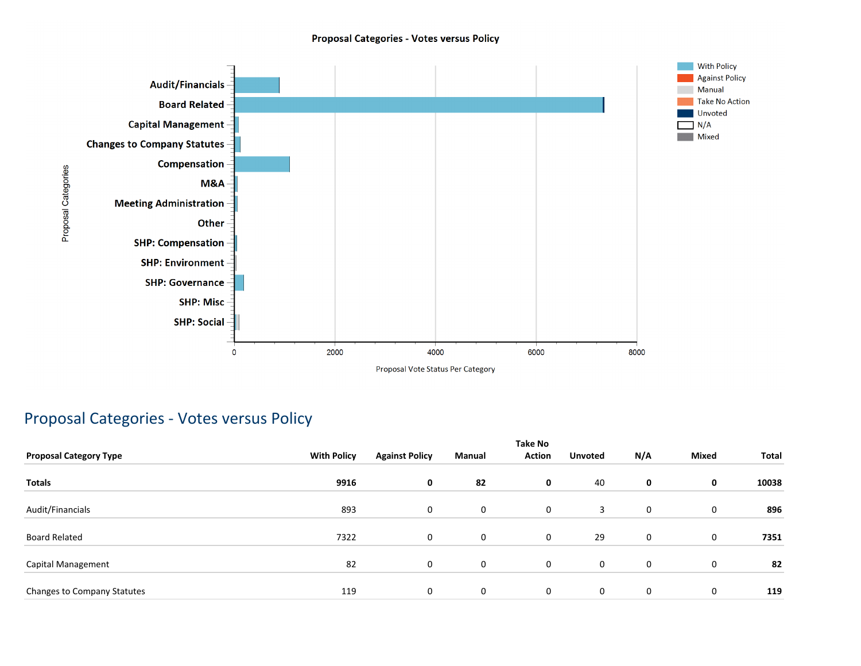#### **Proposal Categories - Votes versus Policy**



### Proposal Categories - Votes versus Policy

| <b>Proposal Category Type</b> | <b>With Policy</b> | <b>Against Policy</b> | Manual      | <b>Take No</b><br><b>Action</b> | <b>Unvoted</b> | N/A | <b>Mixed</b> | Total |
|-------------------------------|--------------------|-----------------------|-------------|---------------------------------|----------------|-----|--------------|-------|
| <b>Totals</b>                 | 9916               | 0                     | 82          | 0                               | 40             | 0   | 0            | 10038 |
| Audit/Financials              | 893                | 0                     | 0           | $\mathbf 0$                     | 3              | 0   | 0            | 896   |
| <b>Board Related</b>          | 7322               | 0                     | $\mathbf 0$ | $\mathbf 0$                     | 29             | 0   | 0            | 7351  |
| Capital Management            | 82                 | 0                     | 0           | $\mathbf 0$                     | 0              | 0   | $\mathbf 0$  | 82    |
| Changes to Company Statutes   | 119                | 0                     | $\mathbf 0$ | $\mathbf 0$                     | 0              | 0   | $\mathbf 0$  | 119   |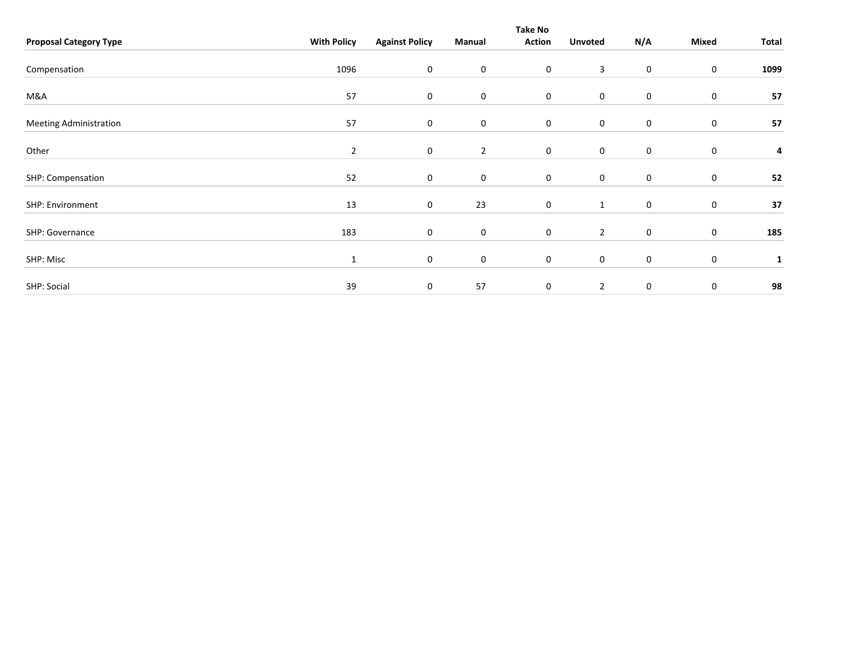|                               |                    |                       |                | Take No          |                  |             |                  |       |
|-------------------------------|--------------------|-----------------------|----------------|------------------|------------------|-------------|------------------|-------|
| <b>Proposal Category Type</b> | <b>With Policy</b> | <b>Against Policy</b> | Manual         | <b>Action</b>    | <b>Unvoted</b>   | N/A         | Mixed            | Total |
|                               |                    |                       |                |                  |                  |             |                  |       |
| Compensation                  | 1096               | 0                     | 0              | $\boldsymbol{0}$ | 3                | $\mathbf 0$ | $\boldsymbol{0}$ | 1099  |
|                               |                    |                       |                |                  |                  |             |                  |       |
| M&A                           | 57                 | 0                     | 0              | $\mathbf 0$      | $\pmb{0}$        | $\mathbf 0$ | $\pmb{0}$        | 57    |
| <b>Meeting Administration</b> | 57                 | 0                     | 0              | $\mathbf 0$      | $\boldsymbol{0}$ | $\mathbf 0$ | 0                | 57    |
|                               |                    |                       |                |                  |                  |             |                  |       |
| Other                         | $\overline{2}$     | 0                     | $\overline{2}$ | $\mathbf 0$      | $\pmb{0}$        | $\mathbf 0$ | 0                | 4     |
| SHP: Compensation             | 52                 | 0                     | 0              | $\mathbf 0$      | $\boldsymbol{0}$ | $\mathbf 0$ | 0                | 52    |
|                               |                    |                       |                |                  |                  |             |                  |       |
| SHP: Environment              | 13                 | 0                     | 23             | $\boldsymbol{0}$ | $\mathbf{1}$     | $\mathbf 0$ | 0                | 37    |
| SHP: Governance               | 183                | 0                     | $\mathbf 0$    | $\boldsymbol{0}$ | $\overline{2}$   | $\mathbf 0$ | $\boldsymbol{0}$ | 185   |
|                               |                    |                       |                |                  |                  |             |                  |       |
| SHP: Misc                     | 1                  | 0                     | 0              | $\boldsymbol{0}$ | $\boldsymbol{0}$ | $\mathbf 0$ | $\pmb{0}$        | 1     |
|                               |                    |                       |                |                  |                  |             |                  |       |
| SHP: Social                   | 39                 | $\mathbf 0$           | 57             | 0                | $\overline{2}$   | $\mathbf 0$ | $\pmb{0}$        | 98    |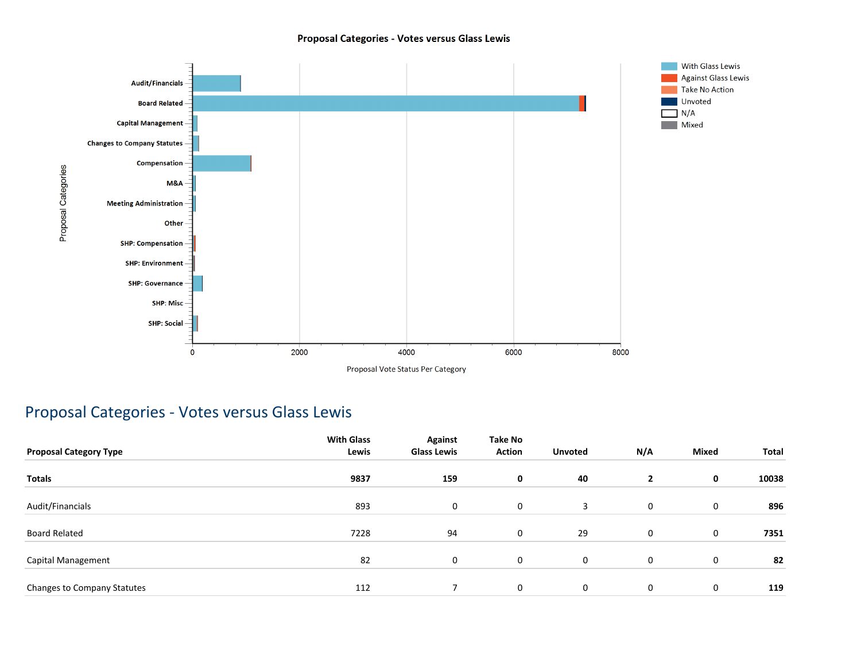#### Proposal Categories - Votes versus Glass Lewis



### Proposal Categories - Votes versus Glass Lewis

| <b>Proposal Category Type</b> | <b>With Glass</b><br>Lewis | <b>Against</b><br><b>Glass Lewis</b> | Take No<br><b>Action</b> | <b>Unvoted</b> | N/A            | <b>Mixed</b> | Total |
|-------------------------------|----------------------------|--------------------------------------|--------------------------|----------------|----------------|--------------|-------|
| <b>Totals</b>                 | 9837                       | 159                                  | 0                        | 40             | $\overline{2}$ | 0            | 10038 |
| Audit/Financials              | 893                        | 0                                    | 0                        | 3              | $\mathbf 0$    | 0            | 896   |
| <b>Board Related</b>          | 7228                       | 94                                   | 0                        | 29             | $\mathbf 0$    | 0            | 7351  |
| Capital Management            | 82                         | 0                                    | 0                        | $\mathbf 0$    | 0              | 0            | 82    |
| Changes to Company Statutes   | 112                        | 7                                    | 0                        | $\mathbf 0$    | 0              | 0            | 119   |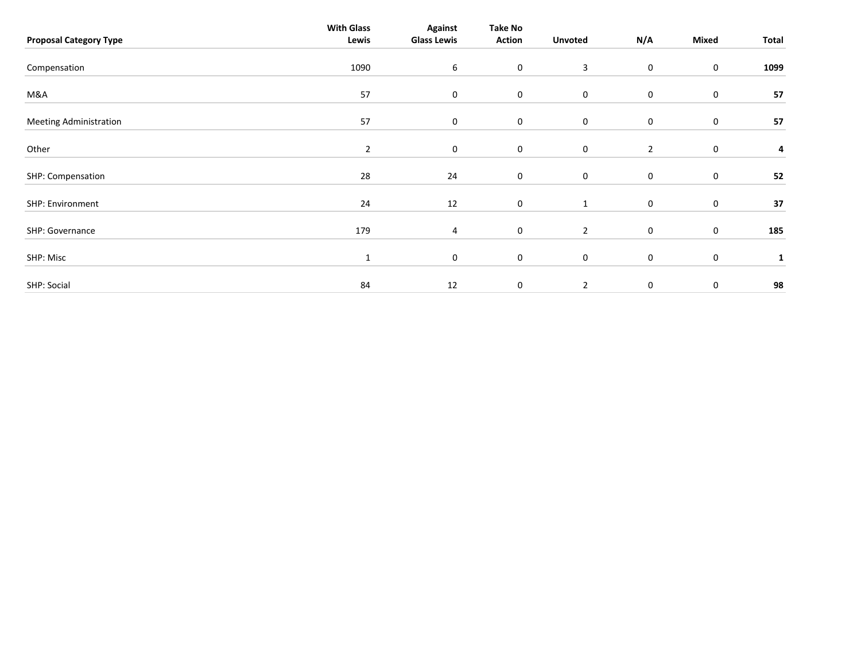| <b>Proposal Category Type</b> | <b>With Glass</b><br>Lewis | <b>Against</b><br><b>Glass Lewis</b> | <b>Take No</b><br><b>Action</b> | <b>Unvoted</b> | N/A            | Mixed       | Total        |
|-------------------------------|----------------------------|--------------------------------------|---------------------------------|----------------|----------------|-------------|--------------|
| Compensation                  | 1090                       | 6                                    | $\boldsymbol{0}$                | 3              | 0              | $\pmb{0}$   | 1099         |
| M&A                           | 57                         | $\mathbf 0$                          | $\mathbf 0$                     | $\mathbf 0$    | 0              | $\pmb{0}$   | 57           |
| <b>Meeting Administration</b> | 57                         | $\mathbf 0$                          | $\mathbf 0$                     | $\mathbf 0$    | 0              | 0           | 57           |
| Other                         | $\overline{2}$             | $\mathbf 0$                          | $\mathbf 0$                     | $\mathbf 0$    | $\overline{2}$ | $\pmb{0}$   | 4            |
| SHP: Compensation             | 28                         | 24                                   | $\mathbf 0$                     | $\mathsf 0$    | 0              | $\pmb{0}$   | 52           |
| SHP: Environment              | 24                         | 12                                   | $\mathbf 0$                     | $\mathbf{1}$   | 0              | $\pmb{0}$   | 37           |
| SHP: Governance               | 179                        | $\overline{4}$                       | $\mathbf 0$                     | $\overline{2}$ | 0              | $\pmb{0}$   | 185          |
| SHP: Misc                     | $\mathbf{1}$               | $\mathbf 0$                          | $\mathbf 0$                     | $\mathsf 0$    | 0              | $\pmb{0}$   | $\mathbf{1}$ |
| SHP: Social                   | 84                         | 12                                   | 0                               | $\overline{2}$ | $\mathbf 0$    | $\mathbf 0$ | 98           |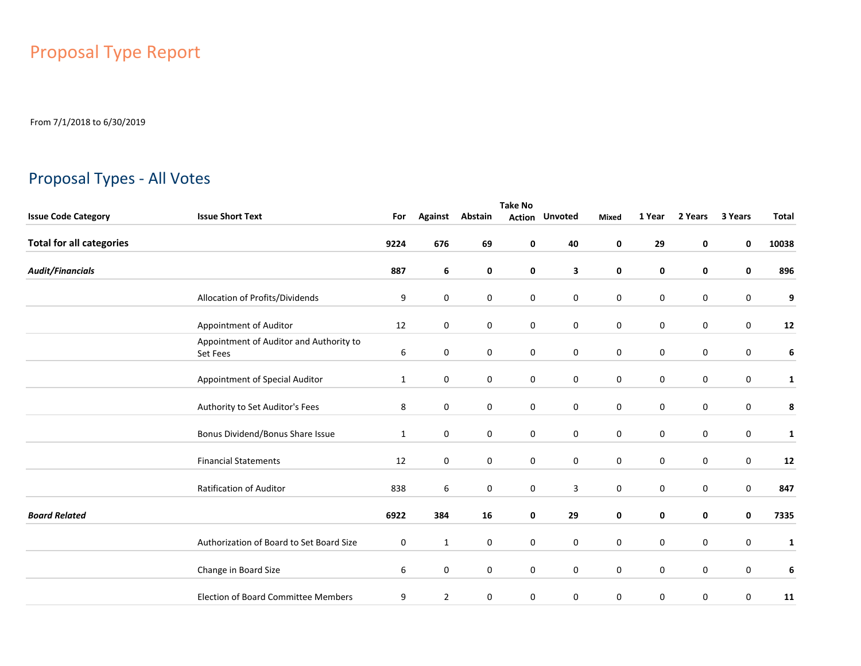# Proposal Type Report

From 7/1/2018 to 6/30/2019

## Proposal Types - All Votes

|                                 | <b>Take No</b>                                             |              |                |         |             |                       |                  |             |             |             |              |  |  |
|---------------------------------|------------------------------------------------------------|--------------|----------------|---------|-------------|-----------------------|------------------|-------------|-------------|-------------|--------------|--|--|
| <b>Issue Code Category</b>      | <b>Issue Short Text</b>                                    | For          | <b>Against</b> | Abstain |             | <b>Action Unvoted</b> | Mixed            | 1 Year      | 2 Years     | 3 Years     | <b>Total</b> |  |  |
| <b>Total for all categories</b> |                                                            | 9224         | 676            | 69      | 0           | 40                    | 0                | 29          | 0           | 0           | 10038        |  |  |
| <b>Audit/Financials</b>         |                                                            | 887          | 6              | 0       | 0           | 3                     | 0                | 0           | 0           | 0           | 896          |  |  |
|                                 | Allocation of Profits/Dividends                            | 9            | 0              | 0       | 0           | $\mathbf 0$           | 0                | 0           | 0           | 0           | 9            |  |  |
|                                 | Appointment of Auditor                                     | 12           | $\mathbf 0$    | 0       | $\mathbf 0$ | $\mathbf 0$           | $\mathbf 0$      | $\pmb{0}$   | 0           | 0           | 12           |  |  |
|                                 | Appointment of Auditor and Authority to<br><b>Set Fees</b> | 6            | 0              | 0       | 0           | $\mathbf 0$           | 0                | 0           | 0           | 0           | 6            |  |  |
|                                 | Appointment of Special Auditor                             | $\mathbf{1}$ | $\mathbf 0$    | 0       | $\mathbf 0$ | $\mathbf 0$           | $\mathbf 0$      | $\mathbf 0$ | $\mathbf 0$ | 0           | $\mathbf{1}$ |  |  |
|                                 | Authority to Set Auditor's Fees                            | 8            | $\mathbf 0$    | 0       | $\mathbf 0$ | $\mathbf 0$           | $\mathbf 0$      | 0           | $\mathbf 0$ | 0           | 8            |  |  |
|                                 | Bonus Dividend/Bonus Share Issue                           | $\mathbf{1}$ | $\mathbf 0$    | 0       | $\mathbf 0$ | $\mathbf 0$           | $\mathbf 0$      | $\mathbf 0$ | $\mathbf 0$ | $\mathbf 0$ | $\mathbf{1}$ |  |  |
|                                 | <b>Financial Statements</b>                                | 12           | $\mathbf 0$    | 0       | $\mathbf 0$ | $\mathbf 0$           | $\mathbf 0$      | $\mathbf 0$ | $\mathbf 0$ | 0           | 12           |  |  |
|                                 | Ratification of Auditor                                    | 838          | 6              | 0       | 0           | 3                     | $\mathbf 0$      | $\mathbf 0$ | $\mathbf 0$ | 0           | 847          |  |  |
| <b>Board Related</b>            |                                                            | 6922         | 384            | 16      | 0           | 29                    | 0                | 0           | 0           | $\mathbf 0$ | 7335         |  |  |
|                                 | Authorization of Board to Set Board Size                   | 0            | $\mathbf{1}$   | 0       | 0           | 0                     | $\mathbf 0$      | 0           | $\mathbf 0$ | 0           | $\mathbf{1}$ |  |  |
|                                 | Change in Board Size                                       | 6            | $\mathbf 0$    | 0       | $\mathbf 0$ | $\mathbf 0$           | $\boldsymbol{0}$ | $\mathbf 0$ | $\mathbf 0$ | 0           | $\bf 6$      |  |  |
|                                 | <b>Election of Board Committee Members</b>                 | 9            | $\overline{2}$ | 0       | 0           | 0                     | $\mathbf 0$      | 0           | 0           | 0           | 11           |  |  |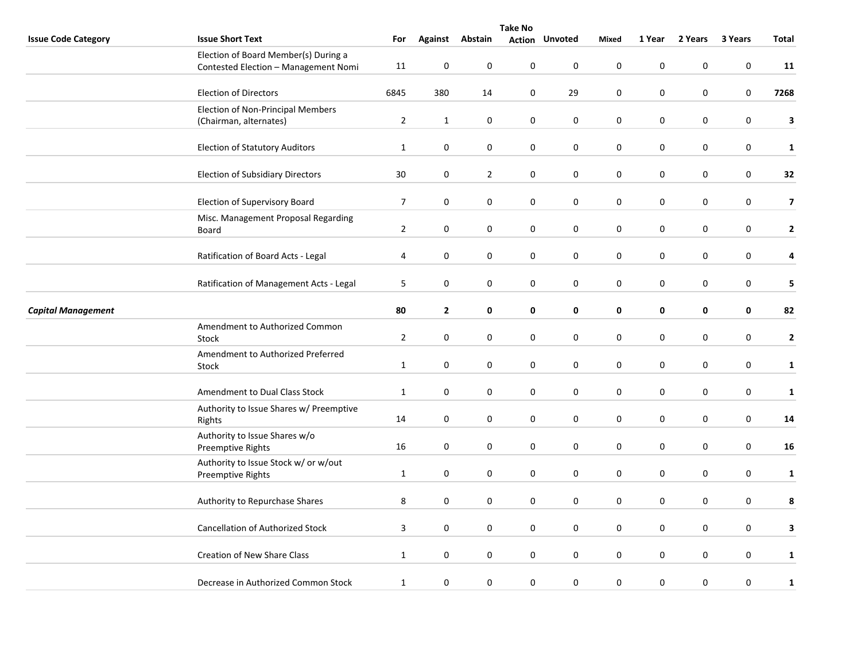|                            | <b>Take No</b>                                                               |                |              |                  |                  |                       |                  |                  |             |         |                         |  |
|----------------------------|------------------------------------------------------------------------------|----------------|--------------|------------------|------------------|-----------------------|------------------|------------------|-------------|---------|-------------------------|--|
| <b>Issue Code Category</b> | <b>Issue Short Text</b>                                                      | For            |              | Against Abstain  |                  | <b>Action Unvoted</b> | Mixed            | 1 Year           | 2 Years     | 3 Years | Total                   |  |
|                            | Election of Board Member(s) During a<br>Contested Election - Management Nomi | 11             | 0            | $\mathbf 0$      | $\pmb{0}$        | 0                     | $\mathbf 0$      | $\pmb{0}$        | $\mathbf 0$ | 0       | 11                      |  |
|                            | <b>Election of Directors</b>                                                 | 6845           | 380          | 14               | $\mathbf 0$      | 29                    | $\pmb{0}$        | $\pmb{0}$        | 0           | 0       | 7268                    |  |
|                            | Election of Non-Principal Members<br>(Chairman, alternates)                  | $\overline{2}$ | $\mathbf{1}$ | $\mathbf 0$      | $\mathbf 0$      | $\pmb{0}$             | $\boldsymbol{0}$ | $\pmb{0}$        | 0           | 0       | 3                       |  |
|                            | <b>Election of Statutory Auditors</b>                                        | $\mathbf{1}$   | $\pmb{0}$    | 0                | $\mathbf 0$      | $\pmb{0}$             | $\pmb{0}$        | $\pmb{0}$        | 0           | 0       | $\mathbf{1}$            |  |
|                            | <b>Election of Subsidiary Directors</b>                                      | 30             | 0            | $\overline{2}$   | $\mathbf 0$      | $\pmb{0}$             | $\mathbf 0$      | $\mathbf 0$      | $\mathbf 0$ | 0       | 32                      |  |
|                            | Election of Supervisory Board                                                | $\overline{7}$ | 0            | 0                | 0                | 0                     | 0                | $\pmb{0}$        | 0           | 0       | $\overline{\mathbf{z}}$ |  |
|                            | Misc. Management Proposal Regarding<br>Board                                 | $\overline{2}$ | 0            | 0                | $\mathbf 0$      | $\pmb{0}$             | $\pmb{0}$        | $\pmb{0}$        | 0           | 0       | $\mathbf{2}$            |  |
|                            | Ratification of Board Acts - Legal                                           | 4              | $\pmb{0}$    | $\mathbf 0$      | $\mathbf 0$      | $\pmb{0}$             | $\pmb{0}$        | $\pmb{0}$        | $\pmb{0}$   | 0       | 4                       |  |
|                            | Ratification of Management Acts - Legal                                      | 5              | 0            | 0                | 0                | $\mathbf 0$           | $\mathbf 0$      | 0                | 0           | 0       | 5                       |  |
| <b>Capital Management</b>  |                                                                              | 80             | $\mathbf{2}$ | $\mathbf 0$      | 0                | 0                     | $\pmb{0}$        | $\pmb{0}$        | 0           | 0       | 82                      |  |
|                            | Amendment to Authorized Common<br>Stock                                      | $\overline{2}$ | 0            | 0                | 0                | 0                     | $\pmb{0}$        | $\pmb{0}$        | $\pmb{0}$   | 0       | $\mathbf{2}$            |  |
|                            | Amendment to Authorized Preferred<br>Stock                                   | $\mathbf{1}$   | 0            | $\mathbf 0$      | $\mathbf 0$      | $\mathbf 0$           | $\mathbf 0$      | $\pmb{0}$        | $\mathbf 0$ | 0       | $\mathbf{1}$            |  |
|                            | Amendment to Dual Class Stock                                                | $\mathbf{1}$   | 0            | $\mathbf 0$      | $\mathbf 0$      | $\pmb{0}$             | $\pmb{0}$        | $\pmb{0}$        | 0           | 0       | $\mathbf{1}$            |  |
|                            | Authority to Issue Shares w/ Preemptive<br>Rights                            | 14             | 0            | $\pmb{0}$        | $\pmb{0}$        | $\pmb{0}$             | $\mathbf 0$      | $\pmb{0}$        | $\mathbf 0$ | 0       | 14                      |  |
|                            | Authority to Issue Shares w/o<br>Preemptive Rights                           | 16             | 0            | $\mathbf 0$      | $\mathbf 0$      | $\pmb{0}$             | $\pmb{0}$        | $\pmb{0}$        | 0           | 0       | 16                      |  |
|                            | Authority to Issue Stock w/ or w/out<br>Preemptive Rights                    | $\mathbf{1}$   | 0            | $\boldsymbol{0}$ | $\mathbf 0$      | 0                     | $\pmb{0}$        | $\pmb{0}$        | 0           | 0       | $\mathbf{1}$            |  |
|                            | Authority to Repurchase Shares                                               | 8              | 0            | $\boldsymbol{0}$ | $\boldsymbol{0}$ | $\pmb{0}$             | $\pmb{0}$        | $\pmb{0}$        | $\mathbf 0$ | 0       | 8                       |  |
|                            | <b>Cancellation of Authorized Stock</b>                                      | 3              | 0            | $\mathbf 0$      | $\mathbf 0$      | 0                     | $\mathbf 0$      | $\pmb{0}$        | $\mathbf 0$ | 0       | 3                       |  |
|                            | Creation of New Share Class                                                  | $\mathbf{1}$   | 0            | $\mathbf 0$      | $\mathbf 0$      | $\pmb{0}$             | $\boldsymbol{0}$ | $\boldsymbol{0}$ | 0           | 0       | $\mathbf{1}$            |  |
|                            | Decrease in Authorized Common Stock                                          | $\mathbf{1}$   | 0            | $\mathbf 0$      | $\pmb{0}$        | 0                     | $\pmb{0}$        | $\pmb{0}$        | $\pmb{0}$   | 0       | $\mathbf{1}$            |  |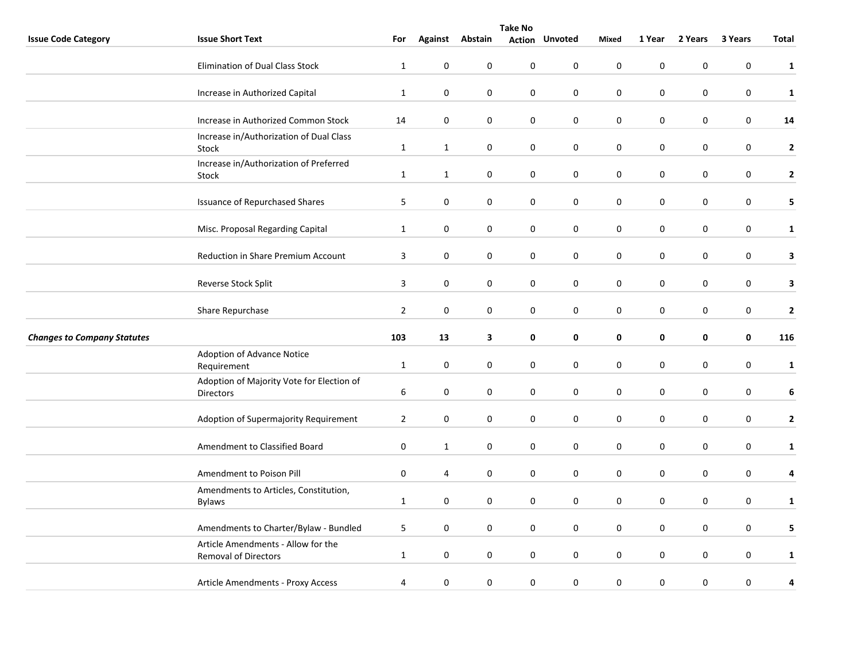|                                    | <b>Take No</b>                                                    |                |                  |                  |                  |                       |                  |                  |                  |                  |                  |  |
|------------------------------------|-------------------------------------------------------------------|----------------|------------------|------------------|------------------|-----------------------|------------------|------------------|------------------|------------------|------------------|--|
| <b>Issue Code Category</b>         | <b>Issue Short Text</b>                                           | For            |                  | Against Abstain  |                  | <b>Action Unvoted</b> | <b>Mixed</b>     | 1 Year           | 2 Years          | 3 Years          | Total            |  |
|                                    | <b>Elimination of Dual Class Stock</b>                            | $1\,$          | $\pmb{0}$        | $\boldsymbol{0}$ | $\pmb{0}$        | $\pmb{0}$             | $\pmb{0}$        | $\boldsymbol{0}$ | $\boldsymbol{0}$ | $\mathbf 0$      | $\mathbf{1}$     |  |
|                                    | Increase in Authorized Capital                                    | $1\,$          | $\pmb{0}$        | $\mathbf 0$      | $\pmb{0}$        | $\pmb{0}$             | $\pmb{0}$        | $\pmb{0}$        | 0                | $\pmb{0}$        | $\mathbf{1}$     |  |
|                                    | Increase in Authorized Common Stock                               | 14             | $\mathbf 0$      | 0                | 0                | $\boldsymbol{0}$      | $\boldsymbol{0}$ | 0                | 0                | $\boldsymbol{0}$ | 14               |  |
|                                    | Increase in/Authorization of Dual Class<br>Stock                  | $\mathbf{1}$   | $\mathbf{1}$     | $\pmb{0}$        | 0                | $\pmb{0}$             | $\pmb{0}$        | $\mathbf 0$      | $\mathbf 0$      | $\pmb{0}$        | $\mathbf{2}$     |  |
|                                    | Increase in/Authorization of Preferred<br>Stock                   | $\mathbf{1}$   | $\mathbf{1}$     | $\boldsymbol{0}$ | $\boldsymbol{0}$ | $\pmb{0}$             | $\pmb{0}$        | $\pmb{0}$        | $\pmb{0}$        | $\boldsymbol{0}$ | $\mathbf{2}$     |  |
|                                    | <b>Issuance of Repurchased Shares</b>                             | 5              | $\mathbf 0$      | 0                | 0                | 0                     | $\pmb{0}$        | $\boldsymbol{0}$ | 0                | $\boldsymbol{0}$ | 5                |  |
|                                    | Misc. Proposal Regarding Capital                                  | $\mathbf{1}$   | $\boldsymbol{0}$ | $\mathbf 0$      | $\boldsymbol{0}$ | $\pmb{0}$             | $\boldsymbol{0}$ | $\pmb{0}$        | $\boldsymbol{0}$ | $\boldsymbol{0}$ | $\mathbf{1}$     |  |
|                                    | Reduction in Share Premium Account                                | 3              | $\mathbf 0$      | 0                | 0                | $\mathbf 0$           | $\boldsymbol{0}$ | $\mathbf 0$      | 0                | $\pmb{0}$        | $\mathbf{3}$     |  |
|                                    | Reverse Stock Split                                               | 3              | $\bf{0}$         | $\pmb{0}$        | 0                | $\pmb{0}$             | $\pmb{0}$        | $\boldsymbol{0}$ | $\boldsymbol{0}$ | $\mathbf 0$      | $\mathbf{3}$     |  |
|                                    | Share Repurchase                                                  | $\mathbf 2$    | $\pmb{0}$        | $\boldsymbol{0}$ | $\boldsymbol{0}$ | $\pmb{0}$             | $\pmb{0}$        | $\boldsymbol{0}$ | $\pmb{0}$        | $\mathbf 0$      | $\mathbf 2$      |  |
| <b>Changes to Company Statutes</b> |                                                                   | 103            | 13               | 3                | 0                | $\pmb{0}$             | 0                | 0                | 0                | $\mathbf 0$      | 116              |  |
|                                    | Adoption of Advance Notice<br>Requirement                         | $1\,$          | $\mathbf 0$      | 0                | 0                | $\mathbf 0$           | $\mathbf 0$      | $\boldsymbol{0}$ | 0                | $\pmb{0}$        | ${\bf 1}$        |  |
|                                    | Adoption of Majority Vote for Election of<br><b>Directors</b>     | 6              | $\pmb{0}$        | $\mathbf 0$      | $\boldsymbol{0}$ | $\pmb{0}$             | $\mathbf 0$      | $\pmb{0}$        | $\pmb{0}$        | $\boldsymbol{0}$ | $\boldsymbol{6}$ |  |
|                                    | Adoption of Supermajority Requirement                             | $\overline{2}$ | 0                | $\boldsymbol{0}$ | 0                | 0                     | $\mathbf 0$      | $\pmb{0}$        | $\boldsymbol{0}$ | $\mathbf 0$      | $\mathbf{2}$     |  |
|                                    | Amendment to Classified Board                                     | $\mathbf 0$    | $\mathbf{1}$     | 0                | 0                | $\mathbf 0$           | $\mathbf 0$      | $\mathbf 0$      | $\mathbf 0$      | 0                | $\mathbf{1}$     |  |
|                                    | Amendment to Poison Pill                                          | 0              | 4                | 0                | 0                | $\pmb{0}$             | $\pmb{0}$        | $\pmb{0}$        | 0                | $\pmb{0}$        | $\pmb{4}$        |  |
|                                    | Amendments to Articles, Constitution,<br><b>Bylaws</b>            | $\mathbf{1}$   | $\mathbf 0$      | 0                | 0                | $\mathbf 0$           | $\pmb{0}$        | $\pmb{0}$        | 0                | $\boldsymbol{0}$ | $\mathbf{1}$     |  |
|                                    | Amendments to Charter/Bylaw - Bundled                             | 5              | $\mathbf 0$      | 0                | 0                | $\mathbf 0$           | $\mathbf 0$      | $\boldsymbol{0}$ | 0                | 0                | 5                |  |
|                                    | Article Amendments - Allow for the<br><b>Removal of Directors</b> | $\mathbf{1}$   | $\bf{0}$         | $\mathbf 0$      | 0                | $\pmb{0}$             | $\pmb{0}$        | $\pmb{0}$        | $\boldsymbol{0}$ | $\pmb{0}$        | $\mathbf{1}$     |  |
|                                    | Article Amendments - Proxy Access                                 | 4              | $\bf{0}$         | 0                | 0                | $\pmb{0}$             | $\pmb{0}$        | $\pmb{0}$        | 0                | 0                | 4                |  |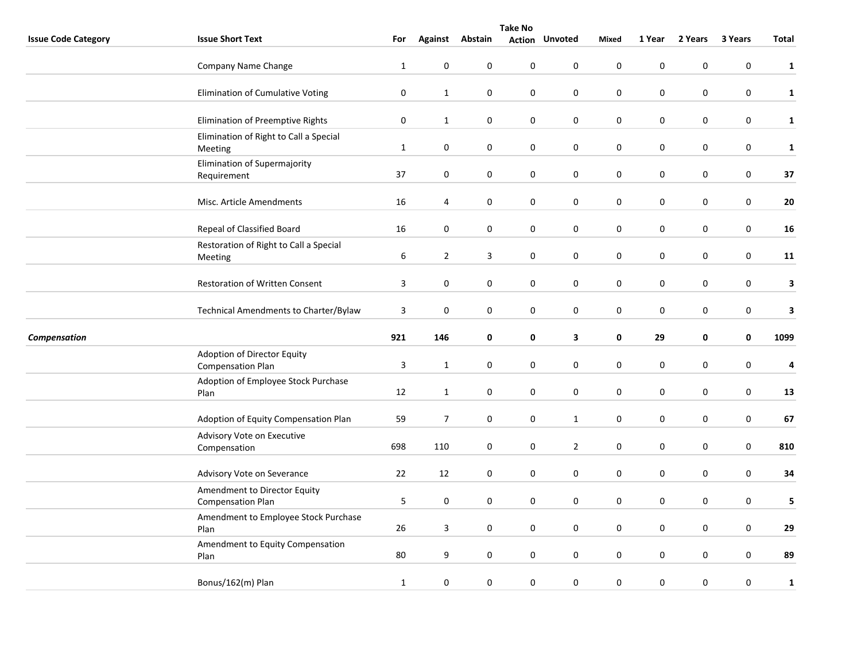|                            | <b>Take No</b>                                           |                  |                  |                  |                  |                       |              |                  |                  |                  |              |
|----------------------------|----------------------------------------------------------|------------------|------------------|------------------|------------------|-----------------------|--------------|------------------|------------------|------------------|--------------|
| <b>Issue Code Category</b> | <b>Issue Short Text</b>                                  | For              | <b>Against</b>   | Abstain          |                  | <b>Action Unvoted</b> | <b>Mixed</b> | 1 Year           | 2 Years          | 3 Years          | <b>Total</b> |
|                            | Company Name Change                                      | $1\,$            | $\boldsymbol{0}$ | $\boldsymbol{0}$ | $\pmb{0}$        | $\pmb{0}$             | $\mathbf 0$  | $\pmb{0}$        | $\pmb{0}$        | $\boldsymbol{0}$ | $\mathbf{1}$ |
|                            | Elimination of Cumulative Voting                         | $\pmb{0}$        | $\mathbf{1}$     | $\boldsymbol{0}$ | $\pmb{0}$        | $\pmb{0}$             | $\pmb{0}$    | $\mathbf 0$      | $\pmb{0}$        | $\boldsymbol{0}$ | $\mathbf{1}$ |
|                            | Elimination of Preemptive Rights                         | $\mathbf 0$      | $\mathbf{1}$     | 0                | 0                | $\mathbf 0$           | $\mathbf 0$  | $\mathbf 0$      | 0                | $\mathbf 0$      | $\mathbf{1}$ |
|                            | Elimination of Right to Call a Special<br>Meeting        | $\mathbf{1}$     | $\pmb{0}$        | $\boldsymbol{0}$ | 0                | $\pmb{0}$             | $\pmb{0}$    | $\pmb{0}$        | $\pmb{0}$        | $\mathbf 0$      | $\mathbf{1}$ |
|                            | Elimination of Supermajority<br>Requirement              | 37               | $\bf{0}$         | $\boldsymbol{0}$ | $\boldsymbol{0}$ | $\pmb{0}$             | $\pmb{0}$    | $\pmb{0}$        | 0                | $\mathbf 0$      | 37           |
|                            | Misc. Article Amendments                                 | 16               | 4                | 0                | 0                | $\mathbf 0$           | $\mathbf 0$  | $\pmb{0}$        | 0                | $\pmb{0}$        | ${\bf 20}$   |
|                            | Repeal of Classified Board                               | 16               | $\bf{0}$         | 0                | 0                | $\pmb{0}$             | $\pmb{0}$    | $\pmb{0}$        | 0                | $\pmb{0}$        | 16           |
|                            | Restoration of Right to Call a Special<br>Meeting        | $\boldsymbol{6}$ | $\overline{2}$   | 3                | 0                | $\mathbf 0$           | $\mathbf 0$  | $\pmb{0}$        | 0                | $\boldsymbol{0}$ | 11           |
|                            | <b>Restoration of Written Consent</b>                    | 3                | $\pmb{0}$        | $\pmb{0}$        | 0                | $\pmb{0}$             | $\pmb{0}$    | $\mathbf 0$      | $\pmb{0}$        | $\pmb{0}$        | $\mathbf{3}$ |
|                            | Technical Amendments to Charter/Bylaw                    | 3                | $\mathbf 0$      | $\boldsymbol{0}$ | 0                | $\pmb{0}$             | $\pmb{0}$    | $\pmb{0}$        | $\pmb{0}$        | $\mathbf 0$      | $\mathbf{3}$ |
| Compensation               |                                                          | 921              | 146              | 0                | 0                | 3                     | 0            | 29               | 0                | $\pmb{0}$        | 1099         |
|                            | Adoption of Director Equity<br><b>Compensation Plan</b>  | 3                | $\mathbf{1}$     | 0                | 0                | $\mathbf 0$           | $\mathbf 0$  | $\pmb{0}$        | 0                | $\mathbf 0$      | 4            |
|                            | Adoption of Employee Stock Purchase<br>Plan              | $12\,$           | $\mathbf{1}$     | $\mathbf 0$      | $\boldsymbol{0}$ | $\pmb{0}$             | $\pmb{0}$    | $\pmb{0}$        | 0                | $\pmb{0}$        | 13           |
|                            | Adoption of Equity Compensation Plan                     | 59               | $\overline{7}$   | $\mathbf 0$      | 0                | $\mathbf{1}$          | $\pmb{0}$    | $\pmb{0}$        | $\boldsymbol{0}$ | $\mathbf 0$      | 67           |
|                            | Advisory Vote on Executive<br>Compensation               | 698              | 110              | $\boldsymbol{0}$ | 0                | $\overline{2}$        | $\pmb{0}$    | $\boldsymbol{0}$ | $\mathbf 0$      | $\boldsymbol{0}$ | 810          |
|                            | Advisory Vote on Severance                               | $22\,$           | 12               | 0                | 0                | $\pmb{0}$             | $\pmb{0}$    | $\pmb{0}$        | 0                | $\pmb{0}$        | 34           |
|                            | Amendment to Director Equity<br><b>Compensation Plan</b> | 5                | $\boldsymbol{0}$ | 0                | 0                | $\pmb{0}$             | $\pmb{0}$    | $\pmb{0}$        | 0                | $\boldsymbol{0}$ | 5            |
|                            | Amendment to Employee Stock Purchase<br>Plan             | 26               | $\overline{3}$   | 0                | 0                | $\boldsymbol{0}$      | $\pmb{0}$    | $\pmb{0}$        | 0                | $\mathbf 0$      | 29           |
|                            | Amendment to Equity Compensation<br>Plan                 | $80\,$           | 9                | $\mathbf 0$      | $\pmb{0}$        | $\pmb{0}$             | $\pmb{0}$    | $\pmb{0}$        | $\boldsymbol{0}$ | $\pmb{0}$        | 89           |
|                            | Bonus/162(m) Plan                                        | $\mathbf{1}$     | $\mathbf 0$      | $\boldsymbol{0}$ | $\pmb{0}$        | $\pmb{0}$             | $\pmb{0}$    | $\pmb{0}$        | 0                | 0                | $\mathbf{1}$ |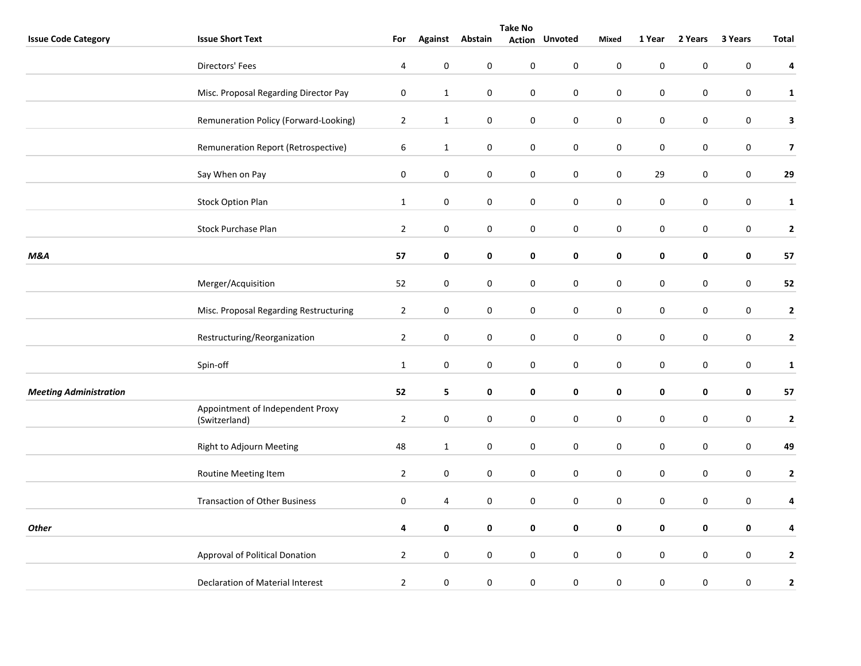|                               | <b>Take No</b>                                    |                |              |                  |           |                       |             |             |             |                  |                         |  |
|-------------------------------|---------------------------------------------------|----------------|--------------|------------------|-----------|-----------------------|-------------|-------------|-------------|------------------|-------------------------|--|
| <b>Issue Code Category</b>    | <b>Issue Short Text</b>                           | For            |              | Against Abstain  |           | <b>Action Unvoted</b> | Mixed       | 1 Year      | 2 Years     | 3 Years          | Total                   |  |
|                               | Directors' Fees                                   | 4              | $\mathbf 0$  | 0                | $\pmb{0}$ | $\pmb{0}$             | $\pmb{0}$   | $\pmb{0}$   | $\pmb{0}$   | $\pmb{0}$        | 4                       |  |
|                               | Misc. Proposal Regarding Director Pay             | $\pmb{0}$      | $\mathbf{1}$ | $\pmb{0}$        | $\pmb{0}$ | $\pmb{0}$             | $\pmb{0}$   | $\pmb{0}$   | $\pmb{0}$   | $\pmb{0}$        | $\mathbf{1}$            |  |
|                               | Remuneration Policy (Forward-Looking)             | $\overline{2}$ | $\mathbf{1}$ | 0                | 0         | 0                     | $\pmb{0}$   | $\pmb{0}$   | $\pmb{0}$   | $\boldsymbol{0}$ | $\mathbf{3}$            |  |
|                               | Remuneration Report (Retrospective)               | 6              | $\mathbf{1}$ | $\boldsymbol{0}$ | $\pmb{0}$ | $\pmb{0}$             | $\pmb{0}$   | $\pmb{0}$   | $\pmb{0}$   | $\boldsymbol{0}$ | $\overline{7}$          |  |
|                               | Say When on Pay                                   | 0              | $\mathbf 0$  | 0                | 0         | 0                     | $\mathbf 0$ | 29          | 0           | 0                | 29                      |  |
|                               | <b>Stock Option Plan</b>                          | $\mathbf{1}$   | $\bf{0}$     | 0                | 0         | 0                     | $\mathbf 0$ | $\pmb{0}$   | 0           | $\pmb{0}$        | $\mathbf{1}$            |  |
|                               | Stock Purchase Plan                               | $\overline{2}$ | $\pmb{0}$    | $\boldsymbol{0}$ | $\pmb{0}$ | 0                     | $\pmb{0}$   | $\pmb{0}$   | 0           | $\pmb{0}$        | $\overline{2}$          |  |
| <b>M&amp;A</b>                |                                                   | 57             | $\pmb{0}$    | $\pmb{0}$        | $\pmb{0}$ | $\mathbf 0$           | $\pmb{0}$   | $\pmb{0}$   | 0           | $\pmb{0}$        | 57                      |  |
|                               | Merger/Acquisition                                | 52             | 0            | $\boldsymbol{0}$ | 0         | 0                     | 0           | $\mathbf 0$ | 0           | 0                | 52                      |  |
|                               | Misc. Proposal Regarding Restructuring            | $\overline{2}$ | $\pmb{0}$    | $\boldsymbol{0}$ | $\pmb{0}$ | $\pmb{0}$             | $\pmb{0}$   | $\pmb{0}$   | $\mathbf 0$ | $\pmb{0}$        | $\mathbf{2}$            |  |
|                               | Restructuring/Reorganization                      | $\overline{2}$ | $\pmb{0}$    | $\boldsymbol{0}$ | 0         | $\pmb{0}$             | $\pmb{0}$   | $\pmb{0}$   | 0           | $\pmb{0}$        | $\mathbf{2}$            |  |
|                               | Spin-off                                          | $\mathbf{1}$   | $\pmb{0}$    | $\pmb{0}$        | $\pmb{0}$ | $\pmb{0}$             | $\pmb{0}$   | $\pmb{0}$   | $\pmb{0}$   | $\boldsymbol{0}$ | $\mathbf{1}$            |  |
| <b>Meeting Administration</b> |                                                   | 52             | 5            | $\mathbf 0$      | 0         | 0                     | $\mathbf 0$ | $\mathbf 0$ | 0           | 0                | 57                      |  |
|                               | Appointment of Independent Proxy<br>(Switzerland) | $\overline{2}$ | $\pmb{0}$    | $\boldsymbol{0}$ | $\pmb{0}$ | $\mathbf 0$           | $\pmb{0}$   | $\pmb{0}$   | $\pmb{0}$   | $\pmb{0}$        | $\overline{2}$          |  |
|                               | Right to Adjourn Meeting                          | 48             | $\mathbf{1}$ | $\boldsymbol{0}$ | 0         | $\pmb{0}$             | $\pmb{0}$   | $\pmb{0}$   | 0           | 0                | 49                      |  |
|                               | Routine Meeting Item                              | $\overline{2}$ | $\pmb{0}$    | 0                | $\pmb{0}$ | $\pmb{0}$             | $\pmb{0}$   | $\pmb{0}$   | $\pmb{0}$   | $\pmb{0}$        | $\overline{2}$          |  |
|                               | <b>Transaction of Other Business</b>              | $\pmb{0}$      | 4            | $\boldsymbol{0}$ | $\pmb{0}$ | $\pmb{0}$             | $\pmb{0}$   | $\pmb{0}$   | $\pmb{0}$   | $\boldsymbol{0}$ | $\overline{\mathbf{4}}$ |  |
| <b>Other</b>                  |                                                   | 4              | 0            | $\mathbf 0$      | 0         | 0                     | $\pmb{0}$   | $\pmb{0}$   | $\mathbf 0$ | 0                | 4                       |  |
|                               | Approval of Political Donation                    | $\overline{2}$ | $\pmb{0}$    | $\boldsymbol{0}$ | $\pmb{0}$ | $\mathsf{O}\xspace$   | $\pmb{0}$   | $\pmb{0}$   | $\pmb{0}$   | $\pmb{0}$        | $\mathbf{2}$            |  |
|                               | Declaration of Material Interest                  | $\overline{2}$ | $\bf{0}$     | $\pmb{0}$        | $\pmb{0}$ | $\pmb{0}$             | $\pmb{0}$   | $\pmb{0}$   | 0           | 0                | $\mathbf{2}$            |  |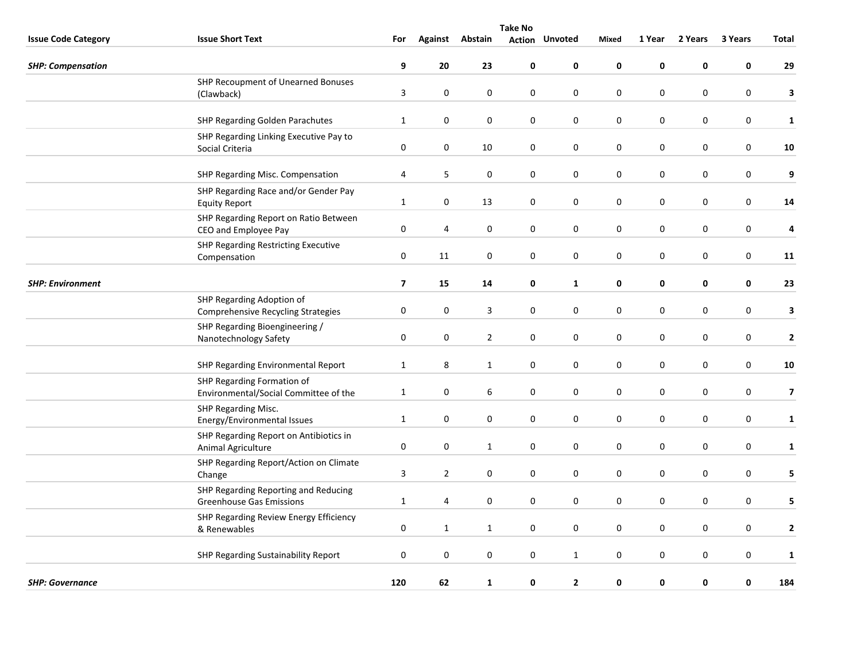|                            | <b>Take No</b>                                                          |                         |                  |                  |                  |                       |             |             |           |                  |                         |  |  |
|----------------------------|-------------------------------------------------------------------------|-------------------------|------------------|------------------|------------------|-----------------------|-------------|-------------|-----------|------------------|-------------------------|--|--|
| <b>Issue Code Category</b> | <b>Issue Short Text</b>                                                 | For                     |                  | Against Abstain  |                  | <b>Action Unvoted</b> | Mixed       | 1 Year      | 2 Years   | 3 Years          | Total                   |  |  |
| <b>SHP: Compensation</b>   |                                                                         | 9                       | 20               | 23               | 0                | 0                     | $\mathbf 0$ | $\pmb{0}$   | 0         | $\mathbf 0$      | 29                      |  |  |
|                            | SHP Recoupment of Unearned Bonuses<br>(Clawback)                        | 3                       | $\pmb{0}$        | 0                | 0                | 0                     | $\mathbf 0$ | $\mathbf 0$ | 0         | 0                | 3                       |  |  |
|                            | SHP Regarding Golden Parachutes                                         | $\mathbf{1}$            | $\mathbf 0$      | $\mathbf 0$      | 0                | $\mathbf 0$           | $\mathbf 0$ | $\mathbf 0$ | 0         | $\mathbf 0$      | $\mathbf{1}$            |  |  |
|                            | SHP Regarding Linking Executive Pay to<br>Social Criteria               | $\pmb{0}$               | $\pmb{0}$        | 10               | $\pmb{0}$        | $\pmb{0}$             | $\pmb{0}$   | $\pmb{0}$   | 0         | 0                | 10                      |  |  |
|                            | SHP Regarding Misc. Compensation                                        | 4                       | 5                | $\pmb{0}$        | $\boldsymbol{0}$ | $\pmb{0}$             | $\pmb{0}$   | $\pmb{0}$   | $\pmb{0}$ | $\boldsymbol{0}$ | 9                       |  |  |
|                            | SHP Regarding Race and/or Gender Pay<br><b>Equity Report</b>            | $\mathbf{1}$            | 0                | 13               | 0                | 0                     | $\mathbf 0$ | $\pmb{0}$   | 0         | 0                | ${\bf 14}$              |  |  |
|                            | SHP Regarding Report on Ratio Between<br>CEO and Employee Pay           | $\pmb{0}$               | 4                | $\pmb{0}$        | $\boldsymbol{0}$ | $\pmb{0}$             | $\pmb{0}$   | $\pmb{0}$   | 0         | $\boldsymbol{0}$ | 4                       |  |  |
|                            | SHP Regarding Restricting Executive<br>Compensation                     | $\pmb{0}$               | 11               | $\boldsymbol{0}$ | $\boldsymbol{0}$ | $\mathbf 0$           | $\pmb{0}$   | $\pmb{0}$   | 0         | $\boldsymbol{0}$ | 11                      |  |  |
| <b>SHP: Environment</b>    |                                                                         | $\overline{\mathbf{z}}$ | 15               | 14               | 0                | $\mathbf{1}$          | 0           | $\mathbf 0$ | 0         | $\mathbf 0$      | 23                      |  |  |
|                            | SHP Regarding Adoption of<br><b>Comprehensive Recycling Strategies</b>  | $\pmb{0}$               | $\mathbf 0$      | 3                | 0                | $\mathbf 0$           | $\mathbf 0$ | $\mathbf 0$ | 0         | $\mathbf 0$      | 3                       |  |  |
|                            | SHP Regarding Bioengineering /<br>Nanotechnology Safety                 | 0                       | 0                | $\overline{2}$   | 0                | 0                     | $\mathbf 0$ | 0           | 0         | 0                | $\mathbf{2}$            |  |  |
|                            | SHP Regarding Environmental Report                                      | $\mathbf{1}$            | 8                | $\mathbf 1$      | 0                | $\mathbf 0$           | $\mathbf 0$ | $\mathbf 0$ | 0         | $\pmb{0}$        | 10                      |  |  |
|                            | SHP Regarding Formation of<br>Environmental/Social Committee of the     | $\mathbf{1}$            | $\mathbf 0$      | $\boldsymbol{6}$ | 0                | 0                     | $\mathbf 0$ | $\pmb{0}$   | $\pmb{0}$ | $\boldsymbol{0}$ | $\overline{\mathbf{z}}$ |  |  |
|                            | SHP Regarding Misc.<br>Energy/Environmental Issues                      | $\mathbf 1$             | $\boldsymbol{0}$ | 0                | $\pmb{0}$        | 0                     | $\pmb{0}$   | $\pmb{0}$   | $\pmb{0}$ | 0                | $\mathbf{1}$            |  |  |
|                            | SHP Regarding Report on Antibiotics in<br>Animal Agriculture            | $\pmb{0}$               | $\pmb{0}$        | $\mathbf{1}$     | $\boldsymbol{0}$ | $\pmb{0}$             | $\pmb{0}$   | $\pmb{0}$   | 0         | $\boldsymbol{0}$ | $\mathbf{1}$            |  |  |
|                            | SHP Regarding Report/Action on Climate<br>Change                        | 3                       | $\overline{2}$   | 0                | 0                | 0                     | $\pmb{0}$   | $\pmb{0}$   | 0         | 0                | 5                       |  |  |
|                            | SHP Regarding Reporting and Reducing<br><b>Greenhouse Gas Emissions</b> | $\mathbf{1}$            | 4                | $\mathbf 0$      | $\boldsymbol{0}$ | $\pmb{0}$             | $\pmb{0}$   | $\pmb{0}$   | 0         | $\boldsymbol{0}$ | 5                       |  |  |
|                            | SHP Regarding Review Energy Efficiency<br>& Renewables                  | $\pmb{0}$               | $\mathbf{1}$     | $\mathbf{1}$     | $\mathsf 0$      | $\mathbf 0$           | $\pmb{0}$   | $\pmb{0}$   | 0         | $\boldsymbol{0}$ | $\mathbf{2}$            |  |  |
|                            | SHP Regarding Sustainability Report                                     | $\mathbf 0$             | $\boldsymbol{0}$ | 0                | $\pmb{0}$        | $\mathbf{1}$          | $\pmb{0}$   | $\pmb{0}$   | $\pmb{0}$ | 0                | $\mathbf{1}$            |  |  |
| <b>SHP: Governance</b>     |                                                                         | 120                     | 62               | $\mathbf{1}$     | 0                | $\mathbf{2}$          | $\mathbf 0$ | $\mathbf 0$ | 0         | 0                | 184                     |  |  |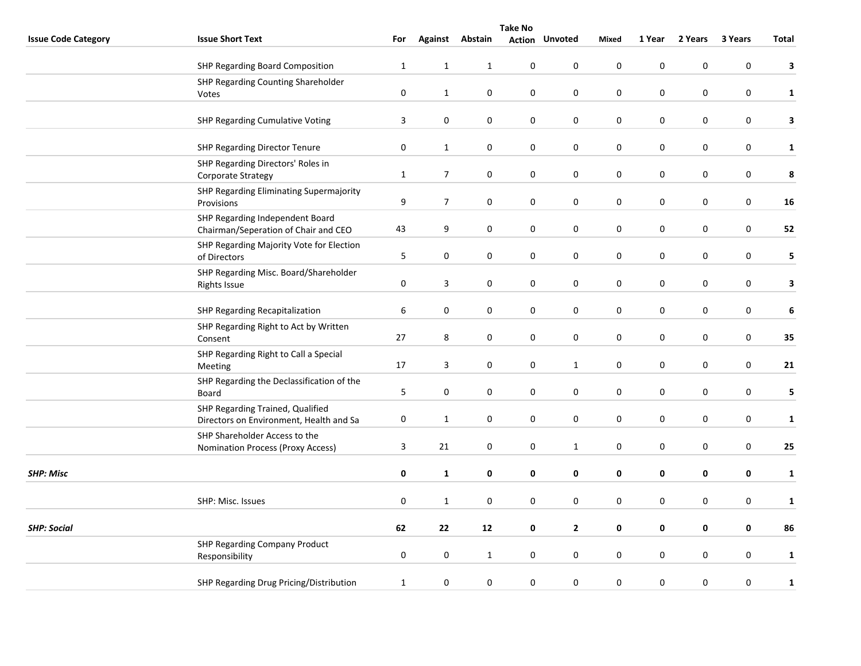|                            | <b>Take No</b>                                           |              |                  |                  |                  |                       |                  |             |             |                  |              |
|----------------------------|----------------------------------------------------------|--------------|------------------|------------------|------------------|-----------------------|------------------|-------------|-------------|------------------|--------------|
| <b>Issue Code Category</b> | <b>Issue Short Text</b>                                  | For          |                  | Against Abstain  |                  | <b>Action Unvoted</b> | Mixed            | 1 Year      | 2 Years     | 3 Years          | Total        |
|                            | SHP Regarding Board Composition                          | $\mathbf{1}$ | $\mathbf{1}$     | $\mathbf{1}$     | $\pmb{0}$        | $\mathbf 0$           | $\pmb{0}$        | $\mathbf 0$ | 0           | $\pmb{0}$        | 3            |
|                            | SHP Regarding Counting Shareholder                       |              |                  |                  |                  |                       |                  |             |             |                  |              |
|                            | Votes                                                    | $\pmb{0}$    | $\mathbf{1}$     | $\boldsymbol{0}$ | $\pmb{0}$        | $\pmb{0}$             | $\pmb{0}$        | $\pmb{0}$   | 0           | $\pmb{0}$        | $\mathbf{1}$ |
|                            |                                                          |              |                  |                  |                  |                       |                  |             |             |                  |              |
|                            | <b>SHP Regarding Cumulative Voting</b>                   | 3            | $\pmb{0}$        | $\boldsymbol{0}$ | 0                | 0                     | $\pmb{0}$        | $\pmb{0}$   | $\pmb{0}$   | $\boldsymbol{0}$ | $\mathbf{3}$ |
|                            | <b>SHP Regarding Director Tenure</b>                     | $\pmb{0}$    | $\mathbf{1}$     | 0                | 0                | $\pmb{0}$             | $\pmb{0}$        | $\pmb{0}$   | 0           | 0                | $\mathbf{1}$ |
|                            | SHP Regarding Directors' Roles in                        | $\mathbf{1}$ | $\overline{7}$   | 0                | 0                | 0                     | $\mathbf 0$      | $\mathbf 0$ | 0           | 0                | 8            |
|                            | Corporate Strategy                                       |              |                  |                  |                  |                       |                  |             |             |                  |              |
|                            | SHP Regarding Eliminating Supermajority<br>Provisions    | 9            | $\overline{7}$   | 0                | 0                | 0                     | $\pmb{0}$        | $\pmb{0}$   | 0           | 0                | 16           |
|                            | SHP Regarding Independent Board                          |              |                  |                  |                  |                       |                  |             |             |                  |              |
|                            | Chairman/Seperation of Chair and CEO                     | 43           | 9                | $\boldsymbol{0}$ | 0                | 0                     | $\mathbf 0$      | $\pmb{0}$   | 0           | 0                | 52           |
|                            | SHP Regarding Majority Vote for Election<br>of Directors | 5            | $\pmb{0}$        | $\boldsymbol{0}$ | $\boldsymbol{0}$ | $\pmb{0}$             | $\pmb{0}$        | $\pmb{0}$   | $\pmb{0}$   | $\boldsymbol{0}$ | 5            |
|                            | SHP Regarding Misc. Board/Shareholder                    |              |                  |                  |                  |                       |                  |             |             |                  |              |
|                            | <b>Rights Issue</b>                                      | 0            | 3                | 0                | 0                | $\mathbf 0$           | $\mathbf 0$      | $\pmb{0}$   | 0           | 0                | 3            |
|                            | SHP Regarding Recapitalization                           | 6            | $\pmb{0}$        | 0                | 0                | $\pmb{0}$             | $\pmb{0}$        | $\pmb{0}$   | 0           | $\pmb{0}$        | 6            |
|                            | SHP Regarding Right to Act by Written                    |              |                  |                  |                  |                       |                  |             |             |                  |              |
|                            | Consent                                                  | 27           | 8                | $\pmb{0}$        | $\pmb{0}$        | $\pmb{0}$             | $\pmb{0}$        | $\pmb{0}$   | 0           | $\boldsymbol{0}$ | 35           |
|                            | SHP Regarding Right to Call a Special                    |              |                  |                  |                  |                       |                  |             |             |                  |              |
|                            | Meeting                                                  | 17           | 3                | $\pmb{0}$        | $\boldsymbol{0}$ | $\mathbf{1}$          | $\boldsymbol{0}$ | $\pmb{0}$   | 0           | 0                | 21           |
|                            | SHP Regarding the Declassification of the<br>Board       | 5            | $\mathbf 0$      | 0                | 0                | 0                     | $\mathbf 0$      | $\pmb{0}$   | 0           | 0                | 5            |
|                            | SHP Regarding Trained, Qualified                         |              |                  |                  |                  |                       |                  |             |             |                  |              |
|                            | Directors on Environment, Health and Sa                  | 0            | $\mathbf{1}$     | $\pmb{0}$        | $\pmb{0}$        | $\mathbf 0$           | $\mathbf 0$      | $\mathbf 0$ | $\mathbf 0$ | $\pmb{0}$        | $\mathbf{1}$ |
|                            | SHP Shareholder Access to the                            |              |                  |                  |                  |                       |                  |             |             |                  |              |
|                            | <b>Nomination Process (Proxy Access)</b>                 | $\mathbf{3}$ | 21               | 0                | 0                | $\mathbf{1}$          | $\mathbf 0$      | $\pmb{0}$   | 0           | 0                | 25           |
| <b>SHP: Misc</b>           |                                                          | 0            | $\mathbf{1}$     | $\pmb{0}$        | 0                | 0                     | $\pmb{0}$        | $\pmb{0}$   | 0           | 0                | $\mathbf{1}$ |
|                            |                                                          |              |                  |                  |                  |                       |                  |             |             |                  |              |
|                            | SHP: Misc. Issues                                        | $\pmb{0}$    | $\mathbf{1}$     | $\pmb{0}$        | $\mathsf 0$      | $\pmb{0}$             | $\pmb{0}$        | $\pmb{0}$   | 0           | $\boldsymbol{0}$ | $\mathbf{1}$ |
| <b>SHP: Social</b>         |                                                          | 62           | 22               | 12               | 0                | $\mathbf{2}$          | 0                | $\pmb{0}$   | 0           | 0                | 86           |
|                            | SHP Regarding Company Product                            |              |                  |                  |                  |                       |                  |             |             |                  |              |
|                            | Responsibility                                           | $\pmb{0}$    | $\boldsymbol{0}$ | $\mathbf{1}$     | $\pmb{0}$        | 0                     | $\mathbf 0$      | $\pmb{0}$   | $\pmb{0}$   | $\pmb{0}$        | $\mathbf{1}$ |
|                            | SHP Regarding Drug Pricing/Distribution                  | $\mathbf{1}$ | $\pmb{0}$        | $\pmb{0}$        | $\pmb{0}$        | $\pmb{0}$             | $\pmb{0}$        | $\pmb{0}$   | $\pmb{0}$   | 0                | $\mathbf{1}$ |
|                            |                                                          |              |                  |                  |                  |                       |                  |             |             |                  |              |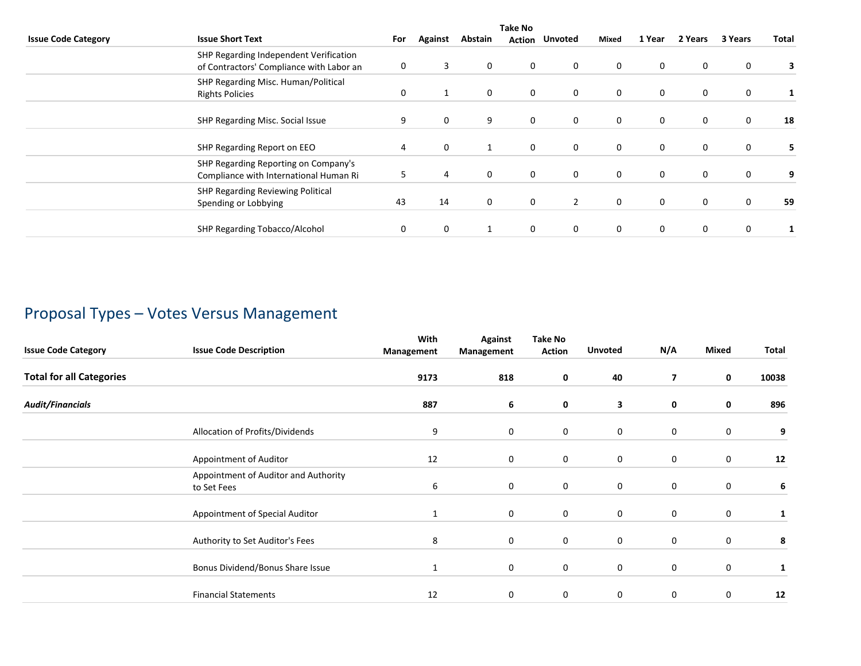|                            | <b>Take No</b>                                                                     |     |                |         |             |                |             |              |             |         |       |
|----------------------------|------------------------------------------------------------------------------------|-----|----------------|---------|-------------|----------------|-------------|--------------|-------------|---------|-------|
| <b>Issue Code Category</b> | <b>Issue Short Text</b>                                                            | For | <b>Against</b> | Abstain | Action      | Unvoted        | Mixed       | 1 Year       | 2 Years     | 3 Years | Total |
|                            | SHP Regarding Independent Verification<br>of Contractors' Compliance with Labor an | 0   | 3              | 0       | 0           | $\mathbf 0$    | 0           | 0            | $\mathbf 0$ | 0       |       |
|                            | SHP Regarding Misc. Human/Political<br><b>Rights Policies</b>                      | 0   | 1              | 0       | $\mathbf 0$ | $\mathbf 0$    | 0           | $\mathbf{0}$ | $\mathbf 0$ | 0       |       |
|                            | SHP Regarding Misc. Social Issue                                                   | 9   | 0              | 9       | 0           | $\mathbf 0$    | 0           | 0            | $\mathbf 0$ | 0       | 18    |
|                            | SHP Regarding Report on EEO                                                        | 4   | $\mathbf 0$    |         | $\mathbf 0$ | $\mathbf 0$    | 0           | $\mathbf{0}$ | $\mathbf 0$ | 0       | 5.    |
|                            | SHP Regarding Reporting on Company's<br>Compliance with International Human Ri     | 5   | 4              | 0       | 0           | $\mathbf{0}$   | $\mathbf 0$ | $\mathbf 0$  | $\mathbf 0$ | 0       | 9     |
|                            | SHP Regarding Reviewing Political<br>Spending or Lobbying                          | 43  | 14             | 0       | $\mathbf 0$ | $\overline{2}$ | $\mathbf 0$ | $\mathbf{0}$ | $\mathbf 0$ | 0       | 59    |
|                            | SHP Regarding Tobacco/Alcohol                                                      | 0   | 0              |         | 0           | $\mathbf{0}$   | $\mathbf 0$ | 0            | 0           | 0       |       |

# Proposal Types – Votes Versus Management

| <b>Issue Code Category</b>      | <b>Issue Code Description</b>                       | With<br>Management | <b>Against</b><br>Management | <b>Take No</b><br>Action | <b>Unvoted</b> | N/A            | Mixed       | Total |
|---------------------------------|-----------------------------------------------------|--------------------|------------------------------|--------------------------|----------------|----------------|-------------|-------|
| <b>Total for all Categories</b> |                                                     | 9173               | 818                          | 0                        | 40             | $\overline{ }$ | 0           | 10038 |
| <b>Audit/Financials</b>         |                                                     | 887                | 6                            | 0                        | 3              | 0              | $\mathbf 0$ | 896   |
|                                 | Allocation of Profits/Dividends                     | 9                  | 0                            | $\mathbf 0$              | 0              | 0              | $\mathbf 0$ | 9     |
|                                 | Appointment of Auditor                              | 12                 | 0                            | 0                        | 0              | 0              | 0           | 12    |
|                                 | Appointment of Auditor and Authority<br>to Set Fees | 6                  | $\mathbf 0$                  | $\mathbf 0$              | $\mathbf 0$    | $\mathbf 0$    | $\mathbf 0$ | 6     |
|                                 | Appointment of Special Auditor                      | 1                  | 0                            | $\mathbf 0$              | 0              | 0              | $\mathbf 0$ |       |
|                                 | Authority to Set Auditor's Fees                     | 8                  | $\mathbf 0$                  | $\mathbf 0$              | $\mathbf 0$    | $\mathbf 0$    | $\mathbf 0$ | 8     |
|                                 | Bonus Dividend/Bonus Share Issue                    | 1                  | 0                            | $\mathbf 0$              | 0              | 0              | $\mathbf 0$ |       |
|                                 | <b>Financial Statements</b>                         | 12                 | $\Omega$                     | 0                        | 0              | $\mathbf 0$    | 0           | 12    |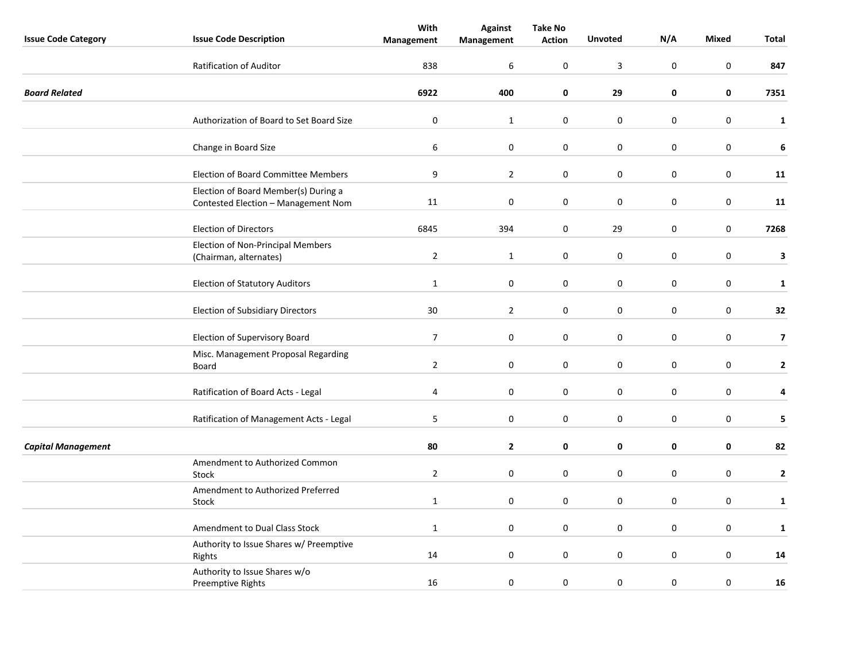| <b>Issue Code Category</b> | <b>Issue Code Description</b>                                               | With<br>Management | <b>Against</b><br>Management | <b>Take No</b><br><b>Action</b> | <b>Unvoted</b> | N/A              | <b>Mixed</b>     | <b>Total</b>            |
|----------------------------|-----------------------------------------------------------------------------|--------------------|------------------------------|---------------------------------|----------------|------------------|------------------|-------------------------|
|                            | <b>Ratification of Auditor</b>                                              | 838                | 6                            | $\mathbf 0$                     | $\overline{3}$ | $\boldsymbol{0}$ | 0                | 847                     |
| <b>Board Related</b>       |                                                                             | 6922               | 400                          | 0                               | 29             | 0                | $\mathbf 0$      | 7351                    |
|                            | Authorization of Board to Set Board Size                                    | $\pmb{0}$          | $\mathbf{1}$                 | 0                               | $\pmb{0}$      | $\mathbf 0$      | $\boldsymbol{0}$ | $\mathbf{1}$            |
|                            | Change in Board Size                                                        | 6                  | $\boldsymbol{0}$             | 0                               | $\bf{0}$       | $\pmb{0}$        | $\mathbf 0$      | 6                       |
|                            | <b>Election of Board Committee Members</b>                                  | 9                  | $\overline{2}$               | 0                               | $\pmb{0}$      | $\pmb{0}$        | $\mathbf 0$      | 11                      |
|                            | Election of Board Member(s) During a<br>Contested Election - Management Nom | 11                 | 0                            | 0                               | $\mathsf 0$    | $\pmb{0}$        | 0                | 11                      |
|                            | <b>Election of Directors</b>                                                | 6845               | 394                          | 0                               | 29             | $\pmb{0}$        | $\pmb{0}$        | 7268                    |
|                            | Election of Non-Principal Members<br>(Chairman, alternates)                 | $\overline{2}$     | $\mathbf{1}$                 | 0                               | $\bf{0}$       | $\mathbf 0$      | $\boldsymbol{0}$ | 3                       |
|                            | <b>Election of Statutory Auditors</b>                                       | $\mathbf{1}$       | $\boldsymbol{0}$             | 0                               | 0              | $\pmb{0}$        | $\boldsymbol{0}$ | $\mathbf{1}$            |
|                            | <b>Election of Subsidiary Directors</b>                                     | 30                 | $\overline{2}$               | 0                               | $\pmb{0}$      | $\mathbf 0$      | $\mathbf 0$      | 32                      |
|                            | Election of Supervisory Board                                               | $\boldsymbol{7}$   | $\pmb{0}$                    | $\pmb{0}$                       | $\pmb{0}$      | $\pmb{0}$        | $\pmb{0}$        | $\overline{\mathbf{z}}$ |
|                            | Misc. Management Proposal Regarding<br>Board                                | $\overline{2}$     | $\mathbf 0$                  | 0                               | 0              | $\mathbf 0$      | $\mathbf 0$      | $\mathbf{2}$            |
|                            | Ratification of Board Acts - Legal                                          | 4                  | $\mathbf 0$                  | 0                               | 0              | $\mathbf{0}$     | $\mathbf 0$      | 4                       |
|                            | Ratification of Management Acts - Legal                                     | 5                  | $\boldsymbol{0}$             | 0                               | $\pmb{0}$      | $\mathbf 0$      | $\boldsymbol{0}$ | 5                       |
| <b>Capital Management</b>  |                                                                             | 80                 | $\mathbf{2}$                 | 0                               | 0              | 0                | 0                | 82                      |
|                            | Amendment to Authorized Common<br>Stock                                     | $\overline{2}$     | $\mathbf 0$                  | 0                               | $\pmb{0}$      | $\pmb{0}$        | $\pmb{0}$        | $\mathbf{2}$            |
|                            | Amendment to Authorized Preferred<br>Stock                                  | $\mathbf{1}$       | $\mathbf 0$                  | 0                               | 0              | $\mathbf 0$      | $\mathbf 0$      | $\mathbf{1}$            |
|                            | Amendment to Dual Class Stock                                               | $\mathbf{1}$       | $\mathbf 0$                  | 0                               | 0              | $\mathbf 0$      | 0                | $\mathbf{1}$            |
|                            | Authority to Issue Shares w/ Preemptive<br>Rights                           | 14                 | $\boldsymbol{0}$             | 0                               | $\pmb{0}$      | $\mathbf 0$      | $\boldsymbol{0}$ | 14                      |
|                            | Authority to Issue Shares w/o<br>Preemptive Rights                          | 16                 | $\boldsymbol{0}$             | $\mathbf 0$                     | $\pmb{0}$      | $\pmb{0}$        | $\mathbf 0$      | 16                      |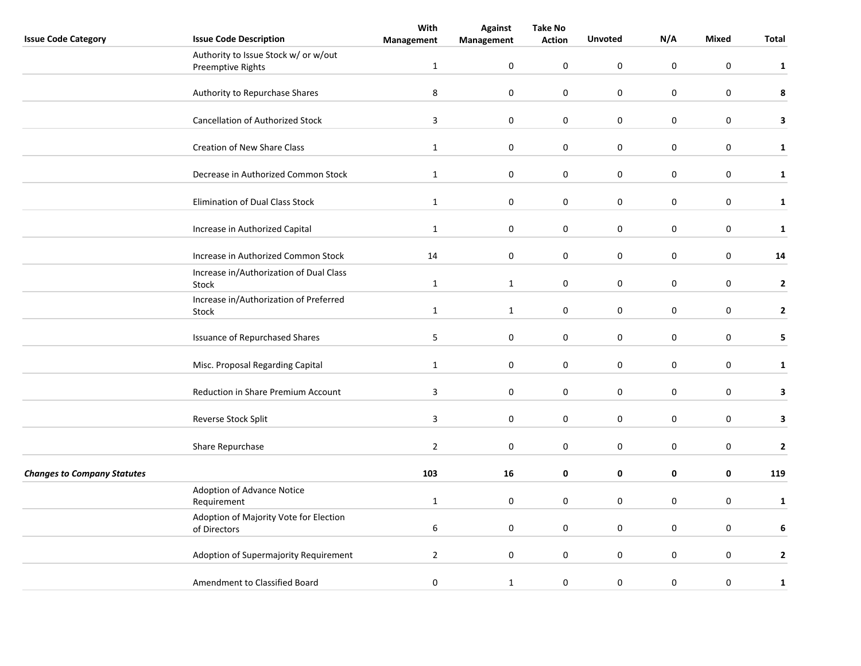|                                    |                                                           | With             | <b>Against</b>   | <b>Take No</b>   |                     |                  |                  |              |
|------------------------------------|-----------------------------------------------------------|------------------|------------------|------------------|---------------------|------------------|------------------|--------------|
| <b>Issue Code Category</b>         | <b>Issue Code Description</b>                             | Management       | Management       | <b>Action</b>    | <b>Unvoted</b>      | N/A              | Mixed            | Total        |
|                                    | Authority to Issue Stock w/ or w/out<br>Preemptive Rights | $\mathbf{1}$     | 0                | 0                | $\pmb{0}$           | $\mathbf 0$      | $\mathbf 0$      | $\mathbf{1}$ |
|                                    | Authority to Repurchase Shares                            | 8                | $\boldsymbol{0}$ | 0                | $\mathbf 0$         | 0                | $\mathbf 0$      | $\pmb{8}$    |
|                                    | Cancellation of Authorized Stock                          | $\overline{3}$   | $\boldsymbol{0}$ | $\pmb{0}$        | $\pmb{0}$           | $\pmb{0}$        | $\mathbf 0$      | 3            |
|                                    | Creation of New Share Class                               | $\mathbf{1}$     | 0                | 0                | $\pmb{0}$           | $\pmb{0}$        | $\mathbf 0$      | $\mathbf{1}$ |
|                                    | Decrease in Authorized Common Stock                       | $\mathbf{1}$     | $\mathbf 0$      | 0                | $\mathbf 0$         | 0                | $\mathbf 0$      | $\mathbf{1}$ |
|                                    | Elimination of Dual Class Stock                           | $\mathbf{1}$     | $\boldsymbol{0}$ | 0                | $\pmb{0}$           | $\pmb{0}$        | $\mathbf 0$      | $\mathbf{1}$ |
|                                    | Increase in Authorized Capital                            | $\mathbf{1}$     | $\pmb{0}$        | $\mathbf 0$      | $\boldsymbol{0}$    | $\boldsymbol{0}$ | $\boldsymbol{0}$ | $\mathbf{1}$ |
|                                    | Increase in Authorized Common Stock                       | 14               | $\pmb{0}$        | $\mathbf 0$      | $\mathsf{O}\xspace$ | $\boldsymbol{0}$ | $\boldsymbol{0}$ | 14           |
|                                    | Increase in/Authorization of Dual Class<br>Stock          | $\mathbf{1}$     | $\mathbf{1}$     | 0                | $\pmb{0}$           | $\pmb{0}$        | $\pmb{0}$        | $\mathbf 2$  |
|                                    | Increase in/Authorization of Preferred<br>Stock           | $\mathbf{1}$     | $\mathbf{1}$     | 0                | $\mathbf 0$         | $\boldsymbol{0}$ | $\mathbf 0$      | $\mathbf{2}$ |
|                                    | <b>Issuance of Repurchased Shares</b>                     | 5                | $\pmb{0}$        | $\pmb{0}$        | $\pmb{0}$           | $\boldsymbol{0}$ | $\boldsymbol{0}$ | 5            |
|                                    | Misc. Proposal Regarding Capital                          | $\mathbf{1}$     | 0                | 0                | $\pmb{0}$           | $\pmb{0}$        | $\mathbf 0$      | $\mathbf{1}$ |
|                                    | Reduction in Share Premium Account                        | 3                | 0                | 0                | 0                   | 0                | $\mathbf 0$      | 3            |
|                                    | Reverse Stock Split                                       | $\overline{3}$   | $\pmb{0}$        | 0                | $\pmb{0}$           | $\pmb{0}$        | $\mathbf 0$      | 3            |
|                                    | Share Repurchase                                          | $\overline{2}$   | $\pmb{0}$        | 0                | $\pmb{0}$           | $\boldsymbol{0}$ | 0                | 2            |
| <b>Changes to Company Statutes</b> |                                                           | 103              | 16               | 0                | 0                   | 0                | 0                | 119          |
|                                    | Adoption of Advance Notice<br>Requirement                 | $\mathbf{1}$     | $\mathbf 0$      | 0                | $\pmb{0}$           | $\pmb{0}$        | $\mathbf 0$      | $\mathbf{1}$ |
|                                    | Adoption of Majority Vote for Election<br>of Directors    | $\boldsymbol{6}$ | 0                | 0                | $\pmb{0}$           | $\pmb{0}$        | $\boldsymbol{0}$ | 6            |
|                                    | Adoption of Supermajority Requirement                     | $\overline{2}$   | 0                | $\boldsymbol{0}$ | $\mathbf 0$         | $\mathbf 0$      | $\mathbf 0$      | $\mathbf 2$  |
|                                    | Amendment to Classified Board                             | $\pmb{0}$        | $\mathbf{1}$     | 0                | $\pmb{0}$           | $\pmb{0}$        | $\mathbf 0$      | 1            |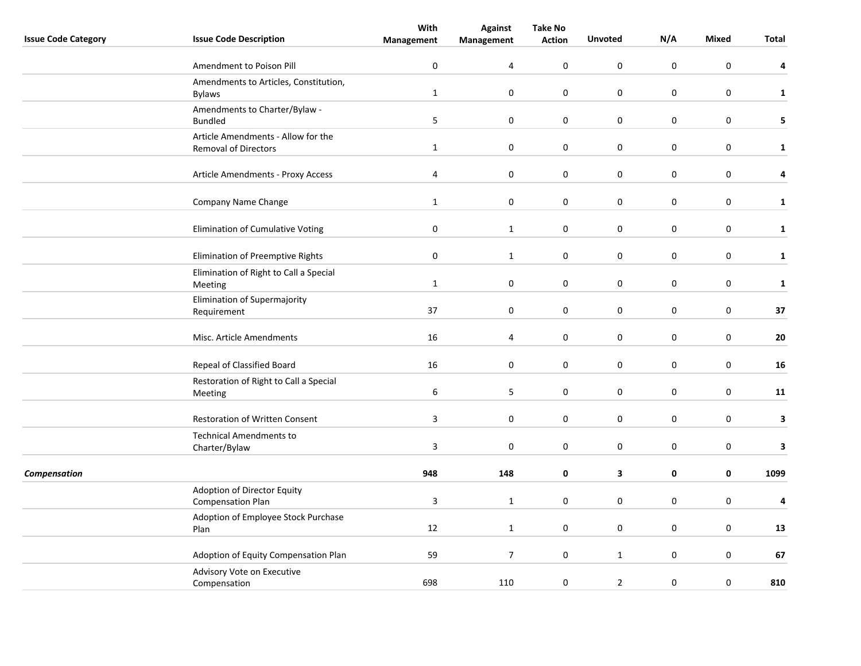|                            |                                                         | With                    | <b>Against</b>           | <b>Take No</b>   |                  |             |                  |              |
|----------------------------|---------------------------------------------------------|-------------------------|--------------------------|------------------|------------------|-------------|------------------|--------------|
| <b>Issue Code Category</b> | <b>Issue Code Description</b>                           | Management              | Management               | <b>Action</b>    | <b>Unvoted</b>   | N/A         | <b>Mixed</b>     | Total        |
|                            | Amendment to Poison Pill                                | $\bf{0}$                | 4                        | 0                | $\mathbf 0$      | $\mathbf 0$ | $\mathbf 0$      | 4            |
|                            | Amendments to Articles, Constitution,                   |                         |                          |                  |                  |             |                  |              |
|                            | <b>Bylaws</b>                                           | $\mathbf{1}$            | $\boldsymbol{0}$         | 0                | $\mathbf 0$      | $\pmb{0}$   | $\mathbf 0$      | $\mathbf{1}$ |
|                            | Amendments to Charter/Bylaw -<br><b>Bundled</b>         | 5                       | $\pmb{0}$                | 0                | $\mathbf 0$      | $\pmb{0}$   | $\pmb{0}$        | 5            |
|                            | Article Amendments - Allow for the                      |                         |                          |                  |                  |             |                  |              |
|                            | Removal of Directors                                    | $\mathbf{1}$            | $\mathbf 0$              | 0                | $\mathbf 0$      | $\bf{0}$    | $\mathbf 0$      | $\mathbf{1}$ |
|                            | Article Amendments - Proxy Access                       | $\overline{\mathbf{4}}$ | $\boldsymbol{0}$         | 0                | $\mathbf 0$      | $\pmb{0}$   | $\pmb{0}$        | 4            |
|                            | Company Name Change                                     | $\mathbf{1}$            | $\mathbf 0$              | 0                | $\boldsymbol{0}$ | $\pmb{0}$   | $\mathbf 0$      | $\mathbf{1}$ |
|                            | Elimination of Cumulative Voting                        | $\pmb{0}$               | $\mathbf{1}$             | 0                | $\pmb{0}$        | $\pmb{0}$   | $\boldsymbol{0}$ | $\mathbf{1}$ |
|                            | Elimination of Preemptive Rights                        | $\mathbf 0$             | $\mathbf{1}$             | 0                | $\mathbf 0$      | $\mathbf 0$ | $\mathbf 0$      | $\mathbf{1}$ |
|                            | Elimination of Right to Call a Special<br>Meeting       | $\mathbf{1}$            | $\pmb{0}$                | 0                | $\mathbf 0$      | 0           | $\mathbf 0$      | $\mathbf{1}$ |
|                            | Elimination of Supermajority<br>Requirement             | 37                      | $\pmb{0}$                | 0                | $\mathbf 0$      | $\pmb{0}$   | $\mathbf 0$      | $37$         |
|                            | Misc. Article Amendments                                | 16                      | 4                        | 0                | $\mathbf 0$      | $\pmb{0}$   | $\pmb{0}$        | 20           |
|                            |                                                         |                         |                          |                  | $\boldsymbol{0}$ | $\pmb{0}$   |                  | 16           |
|                            | Repeal of Classified Board                              | 16                      | $\boldsymbol{0}$         | 0                |                  |             | $\mathbf 0$      |              |
|                            | Restoration of Right to Call a Special<br>Meeting       | 6                       | 5                        | 0                | $\mathbf 0$      | $\pmb{0}$   | $\mathbf 0$      | 11           |
|                            | Restoration of Written Consent                          | $\mathbf{3}$            | $\boldsymbol{0}$         | $\boldsymbol{0}$ | $\mathbf 0$      | $\pmb{0}$   | $\mathbf 0$      | 3            |
|                            | <b>Technical Amendments to</b>                          |                         |                          |                  |                  |             |                  |              |
|                            | Charter/Bylaw                                           | $\overline{3}$          | $\mathbf 0$              | 0                | $\mathbf 0$      | 0           | $\mathbf 0$      | 3            |
| Compensation               |                                                         | 948                     | 148                      | 0                | 3                | 0           | $\mathbf 0$      | 1099         |
|                            | Adoption of Director Equity<br><b>Compensation Plan</b> | $\overline{3}$          | $\mathbf 1$              | 0                | $\mathbf 0$      | $\mathsf 0$ | $\boldsymbol{0}$ | 4            |
|                            | Adoption of Employee Stock Purchase<br>Plan             | 12                      | $\mathbf{1}$             | 0                | $\boldsymbol{0}$ | $\mathsf 0$ | 0                | 13           |
|                            |                                                         |                         |                          |                  |                  |             |                  |              |
|                            | Adoption of Equity Compensation Plan                    | 59                      | $\overline{\phantom{a}}$ | $\pmb{0}$        | $\mathbf{1}$     | $\pmb{0}$   | $\pmb{0}$        | 67           |
|                            | Advisory Vote on Executive<br>Compensation              | 698                     | 110                      | 0                | $\overline{2}$   | $\pmb{0}$   | $\mathbf 0$      | 810          |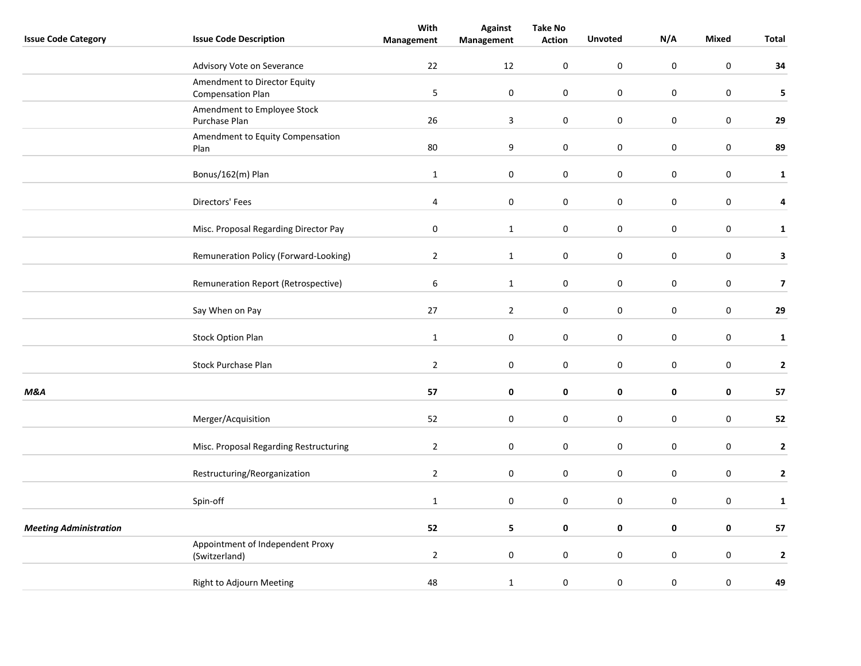| <b>Issue Code Category</b>    | <b>Issue Code Description</b>                            | With<br>Management | <b>Against</b><br>Management | <b>Take No</b><br><b>Action</b> | <b>Unvoted</b>   | N/A       | Mixed            | Total                   |
|-------------------------------|----------------------------------------------------------|--------------------|------------------------------|---------------------------------|------------------|-----------|------------------|-------------------------|
|                               | Advisory Vote on Severance                               | 22                 | 12                           | 0                               | $\pmb{0}$        | $\pmb{0}$ | $\boldsymbol{0}$ | 34                      |
|                               | Amendment to Director Equity<br><b>Compensation Plan</b> | 5                  | $\boldsymbol{0}$             | $\boldsymbol{0}$                | $\pmb{0}$        | $\pmb{0}$ | $\mathbf 0$      | 5                       |
|                               | Amendment to Employee Stock<br>Purchase Plan             | 26                 | $\overline{\mathbf{3}}$      | $\boldsymbol{0}$                | $\boldsymbol{0}$ | $\pmb{0}$ | $\mathbf 0$      | 29                      |
|                               | Amendment to Equity Compensation<br>Plan                 | 80                 | 9                            | 0                               | $\mathbf 0$      | $\bf{0}$  | $\mathbf 0$      | 89                      |
|                               | Bonus/162(m) Plan                                        | $\mathbf 1$        | $\boldsymbol{0}$             | $\boldsymbol{0}$                | $\mathbf 0$      | $\pmb{0}$ | $\mathbf 0$      | $\mathbf 1$             |
|                               | Directors' Fees                                          | 4                  | 0                            | 0                               | $\mathbf 0$      | 0         | $\mathbf 0$      | 4                       |
|                               | Misc. Proposal Regarding Director Pay                    | $\bf{0}$           | $\mathbf{1}$                 | 0                               | $\mathbf 0$      | $\bf{0}$  | $\mathbf 0$      | $\mathbf{1}$            |
|                               | Remuneration Policy (Forward-Looking)                    | $\overline{2}$     | $\mathbf{1}$                 | 0                               | $\pmb{0}$        | $\pmb{0}$ | $\boldsymbol{0}$ | 3                       |
|                               | Remuneration Report (Retrospective)                      | $\sqrt{6}$         | $\mathbf 1$                  | 0                               | $\pmb{0}$        | $\pmb{0}$ | $\mathbf 0$      | $\overline{\mathbf{z}}$ |
|                               | Say When on Pay                                          | 27                 | $\overline{2}$               | $\boldsymbol{0}$                | $\pmb{0}$        | $\pmb{0}$ | $\mathbf 0$      | 29                      |
|                               | <b>Stock Option Plan</b>                                 | $\mathbf{1}$       | 0                            | 0                               | $\mathbf 0$      | $\pmb{0}$ | $\mathbf 0$      | $\mathbf{1}$            |
|                               | Stock Purchase Plan                                      | $\overline{2}$     | $\boldsymbol{0}$             | $\boldsymbol{0}$                | $\mathbf 0$      | $\pmb{0}$ | $\mathbf 0$      | $\mathbf 2$             |
| <b>M&amp;A</b>                |                                                          | 57                 | 0                            | 0                               | $\pmb{0}$        | $\pmb{0}$ | $\mathbf 0$      | 57                      |
|                               | Merger/Acquisition                                       | 52                 | $\pmb{0}$                    | 0                               | $\pmb{0}$        | $\bf{0}$  | $\mathbf 0$      | 52                      |
|                               | Misc. Proposal Regarding Restructuring                   | $\overline{2}$     | $\boldsymbol{0}$             | $\boldsymbol{0}$                | $\mathbf 0$      | $\pmb{0}$ | $\mathbf 0$      | $\mathbf 2$             |
|                               | Restructuring/Reorganization                             | $\overline{2}$     | $\boldsymbol{0}$             | $\boldsymbol{0}$                | $\mathbf 0$      | $\pmb{0}$ | $\mathbf 0$      | $\mathbf{2}$            |
|                               | Spin-off                                                 | $\mathbf 1$        | $\pmb{0}$                    | $\boldsymbol{0}$                | $\mathbf 0$      | $\pmb{0}$ | $\boldsymbol{0}$ | $\mathbf 1$             |
| <b>Meeting Administration</b> |                                                          | 52                 | 5                            | 0                               | $\pmb{0}$        | $\pmb{0}$ | $\pmb{0}$        | ${\bf 57}$              |
|                               | Appointment of Independent Proxy<br>(Switzerland)        | $\overline{2}$     | $\mathbf 0$                  | 0                               | $\mathbf 0$      | $\bf{0}$  | $\mathbf 0$      | $\mathbf 2$             |
|                               | Right to Adjourn Meeting                                 | 48                 | $\mathbf 1$                  | 0                               | $\mathbf 0$      | $\pmb{0}$ | $\pmb{0}$        | 49                      |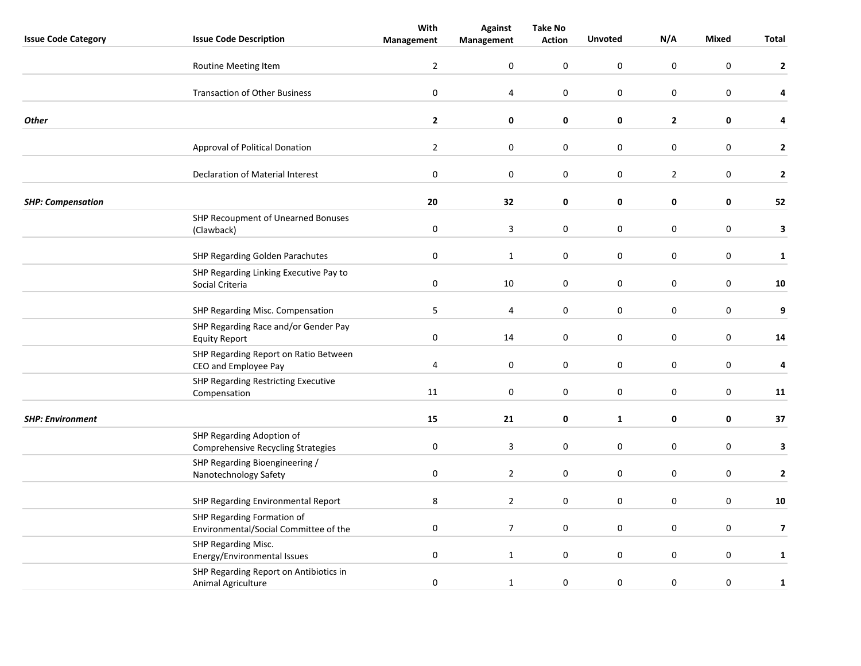|                            |                                                                        | With           | <b>Against</b>          | <b>Take No</b>   |                  |                  |                  |                         |
|----------------------------|------------------------------------------------------------------------|----------------|-------------------------|------------------|------------------|------------------|------------------|-------------------------|
| <b>Issue Code Category</b> | <b>Issue Code Description</b>                                          | Management     | Management              | <b>Action</b>    | <b>Unvoted</b>   | N/A              | <b>Mixed</b>     | Total                   |
|                            | Routine Meeting Item                                                   | $\overline{2}$ | 0                       | 0                | $\boldsymbol{0}$ | $\mathsf 0$      | $\boldsymbol{0}$ | $\mathbf{2}$            |
|                            | <b>Transaction of Other Business</b>                                   | $\pmb{0}$      | $\pmb{4}$               | $\boldsymbol{0}$ | $\pmb{0}$        | $\mathsf 0$      | $\boldsymbol{0}$ | 4                       |
| <b>Other</b>               |                                                                        | $\mathbf{2}$   | 0                       | 0                | 0                | $\overline{2}$   | 0                | 4                       |
|                            | Approval of Political Donation                                         | $\overline{2}$ | $\pmb{0}$               | 0                | $\pmb{0}$        | $\pmb{0}$        | $\mathbf 0$      | $\mathbf{2}$            |
|                            | Declaration of Material Interest                                       | $\pmb{0}$      | $\pmb{0}$               | 0                | $\pmb{0}$        | $\overline{2}$   | $\pmb{0}$        | $\mathbf 2$             |
| <b>SHP: Compensation</b>   |                                                                        | 20             | 32                      | 0                | 0                | 0                | 0                | 52                      |
|                            | SHP Recoupment of Unearned Bonuses<br>(Clawback)                       | $\pmb{0}$      | $\overline{\mathbf{3}}$ | $\boldsymbol{0}$ | $\pmb{0}$        | $\pmb{0}$        | $\boldsymbol{0}$ | 3                       |
|                            | <b>SHP Regarding Golden Parachutes</b>                                 | $\pmb{0}$      | $\mathbf{1}$            | 0                | $\mathbf 0$      | $\mathsf 0$      | $\boldsymbol{0}$ | $\mathbf{1}$            |
|                            | SHP Regarding Linking Executive Pay to<br>Social Criteria              | $\bf{0}$       | 10                      | 0                | $\mathbf 0$      | 0                | $\mathbf 0$      | 10                      |
|                            | SHP Regarding Misc. Compensation                                       | 5              | 4                       | $\pmb{0}$        | $\mathbf 0$      | $\boldsymbol{0}$ | $\mathbf 0$      | 9                       |
|                            | SHP Regarding Race and/or Gender Pay<br><b>Equity Report</b>           | $\pmb{0}$      | 14                      | 0                | $\boldsymbol{0}$ | $\boldsymbol{0}$ | $\pmb{0}$        | 14                      |
|                            | SHP Regarding Report on Ratio Between<br>CEO and Employee Pay          | 4              | $\mathbf 0$             | 0                | $\mathbf 0$      | $\boldsymbol{0}$ | $\boldsymbol{0}$ | 4                       |
|                            | SHP Regarding Restricting Executive<br>Compensation                    | 11             | $\pmb{0}$               | $\boldsymbol{0}$ | $\mathbf 0$      | $\boldsymbol{0}$ | $\boldsymbol{0}$ | 11                      |
| <b>SHP: Environment</b>    |                                                                        | 15             | 21                      | 0                | $\mathbf{1}$     | $\pmb{0}$        | $\mathbf 0$      | 37                      |
|                            | SHP Regarding Adoption of<br><b>Comprehensive Recycling Strategies</b> | 0              | 3                       | 0                | $\mathbf 0$      | 0                | $\pmb{0}$        | 3                       |
|                            | SHP Regarding Bioengineering /<br>Nanotechnology Safety                | 0              | $\overline{2}$          | 0                | $\mathbf 0$      | 0                | $\mathbf 0$      | 2                       |
|                            | SHP Regarding Environmental Report                                     | 8              | $\mathbf{2}$            | 0                | $\boldsymbol{0}$ | $\pmb{0}$        | $\mathbf 0$      | ${\bf 10}$              |
|                            | SHP Regarding Formation of<br>Environmental/Social Committee of the    | $\pmb{0}$      | $\overline{7}$          | $\boldsymbol{0}$ | $\mathbf 0$      | $\boldsymbol{0}$ | $\mathbf 0$      | $\overline{\mathbf{z}}$ |
|                            | SHP Regarding Misc.<br>Energy/Environmental Issues                     | $\pmb{0}$      | $\mathbf 1$             | 0                | $\mathbf 0$      | $\boldsymbol{0}$ | $\mathbf 0$      | $\mathbf{1}$            |
|                            | SHP Regarding Report on Antibiotics in<br>Animal Agriculture           | $\pmb{0}$      | $\mathbf 1$             | 0                | $\mathbf 0$      | $\boldsymbol{0}$ | $\pmb{0}$        | $\mathbf 1$             |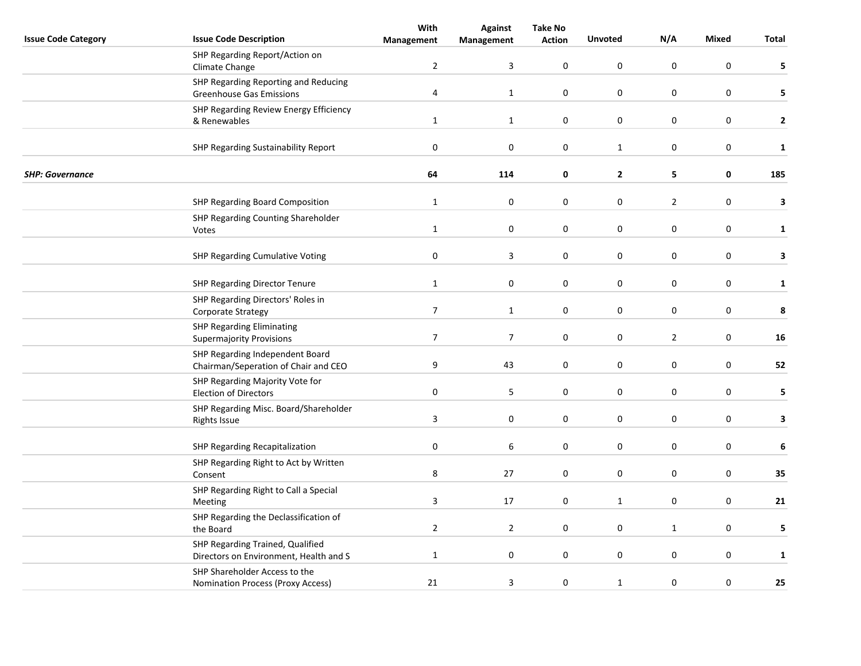|                            |                                                                            | With             | <b>Against</b> | <b>Take No</b>   |                  |                  |                  |              |
|----------------------------|----------------------------------------------------------------------------|------------------|----------------|------------------|------------------|------------------|------------------|--------------|
| <b>Issue Code Category</b> | <b>Issue Code Description</b>                                              | Management       | Management     | <b>Action</b>    | <b>Unvoted</b>   | N/A              | <b>Mixed</b>     | Total        |
|                            | SHP Regarding Report/Action on<br>Climate Change                           | $\overline{2}$   | 3              | $\pmb{0}$        | $\boldsymbol{0}$ | $\mathsf 0$      | $\boldsymbol{0}$ | 5            |
|                            | SHP Regarding Reporting and Reducing<br><b>Greenhouse Gas Emissions</b>    | 4                | $\mathbf{1}$   | 0                | $\mathbf 0$      | 0                | $\mathbf 0$      | 5            |
|                            | SHP Regarding Review Energy Efficiency<br>& Renewables                     | $\mathbf{1}$     | $\mathbf{1}$   | 0                | $\mathbf 0$      | $\boldsymbol{0}$ | $\pmb{0}$        | $\mathbf{2}$ |
|                            | SHP Regarding Sustainability Report                                        | $\pmb{0}$        | $\pmb{0}$      | 0                | $\mathbf{1}$     | $\pmb{0}$        | $\mathbf 0$      | $\mathbf 1$  |
| <b>SHP: Governance</b>     |                                                                            | 64               | 114            | 0                | $\mathbf{2}$     | 5                | $\mathbf 0$      | 185          |
|                            | SHP Regarding Board Composition                                            | $\mathbf{1}$     | 0              | $\pmb{0}$        | $\boldsymbol{0}$ | $\overline{2}$   | $\boldsymbol{0}$ | 3            |
|                            | SHP Regarding Counting Shareholder<br>Votes                                | $\mathbf{1}$     | 0              | 0                | $\boldsymbol{0}$ | $\pmb{0}$        | $\boldsymbol{0}$ | $\mathbf{1}$ |
|                            | <b>SHP Regarding Cumulative Voting</b>                                     | $\pmb{0}$        | 3              | $\boldsymbol{0}$ | $\mathbf 0$      | $\pmb{0}$        | $\mathbf 0$      | 3            |
|                            | <b>SHP Regarding Director Tenure</b>                                       | $\mathbf 1$      | $\pmb{0}$      | 0                | $\pmb{0}$        | $\pmb{0}$        | $\pmb{0}$        | $\mathbf{1}$ |
|                            | SHP Regarding Directors' Roles in<br>Corporate Strategy                    | $\overline{7}$   | $\mathbf 1$    | $\boldsymbol{0}$ | $\mathbf 0$      | $\pmb{0}$        | $\pmb{0}$        | 8            |
|                            | <b>SHP Regarding Eliminating</b><br><b>Supermajority Provisions</b>        | $\boldsymbol{7}$ | $\overline{7}$ | $\pmb{0}$        | $\mathbf 0$      | $\mathbf 2$      | $\pmb{0}$        | 16           |
|                            | SHP Regarding Independent Board<br>Chairman/Seperation of Chair and CEO    | 9                | 43             | 0                | 0                | 0                | $\mathbf 0$      | 52           |
|                            | SHP Regarding Majority Vote for<br><b>Election of Directors</b>            | $\pmb{0}$        | 5              | 0                | $\mathbf 0$      | $\boldsymbol{0}$ | $\mathbf 0$      | 5            |
|                            | SHP Regarding Misc. Board/Shareholder<br><b>Rights Issue</b>               | $\mathbf{3}$     | 0              | 0                | $\pmb{0}$        | $\boldsymbol{0}$ | $\pmb{0}$        | 3            |
|                            | <b>SHP Regarding Recapitalization</b>                                      | $\pmb{0}$        | 6              | 0                | $\mathbf 0$      | $\pmb{0}$        | $\pmb{0}$        | $\bf 6$      |
|                            | SHP Regarding Right to Act by Written<br>Consent                           | 8                | 27             | $\pmb{0}$        | $\mathbf 0$      | $\pmb{0}$        | $\pmb{0}$        | 35           |
|                            | SHP Regarding Right to Call a Special<br>Meeting                           | $\overline{3}$   | 17             | 0                | $\mathbf{1}$     | $\pmb{0}$        | $\mathbf 0$      | 21           |
|                            | SHP Regarding the Declassification of<br>the Board                         | $\overline{2}$   | $\overline{2}$ | 0                | $\mathbf 0$      | $\mathbf{1}$     | $\mathbf 0$      | 5            |
|                            | SHP Regarding Trained, Qualified<br>Directors on Environment, Health and S | $\mathbf{1}$     | $\pmb{0}$      | $\pmb{0}$        | $\pmb{0}$        | $\pmb{0}$        | $\pmb{0}$        | $\mathbf{1}$ |
|                            | SHP Shareholder Access to the<br>Nomination Process (Proxy Access)         | 21               | 3              | 0                | $\mathbf{1}$     | $\boldsymbol{0}$ | $\pmb{0}$        | 25           |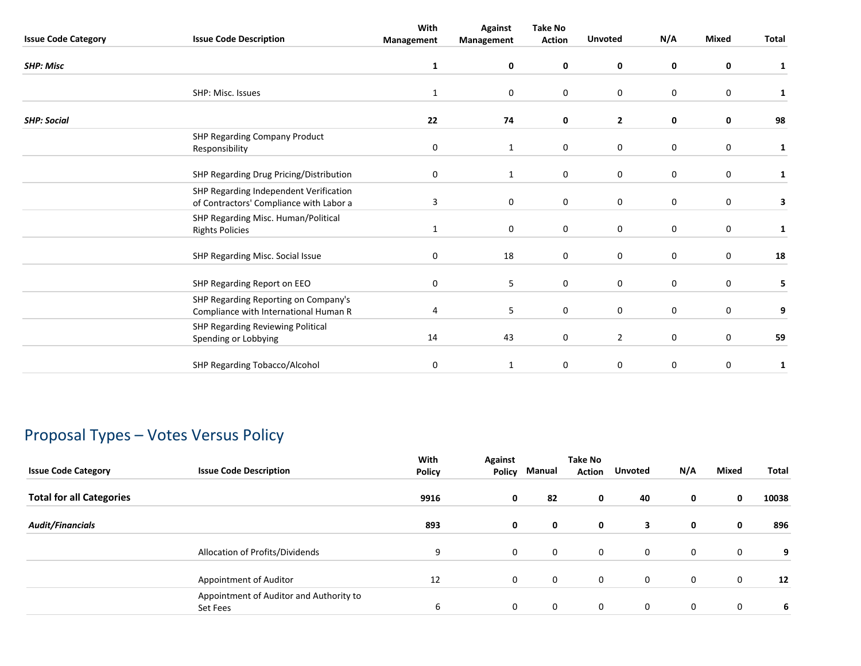|                            |                                                                                   | With              | <b>Against</b>   | <b>Take No</b>   |                |             |                  |              |
|----------------------------|-----------------------------------------------------------------------------------|-------------------|------------------|------------------|----------------|-------------|------------------|--------------|
| <b>Issue Code Category</b> | <b>Issue Code Description</b>                                                     | <b>Management</b> | Management       | <b>Action</b>    | <b>Unvoted</b> | N/A         | <b>Mixed</b>     | Total        |
| <b>SHP: Misc</b>           |                                                                                   | $\mathbf{1}$      | $\mathbf 0$      | $\mathbf 0$      | 0              | 0           | 0                | $\mathbf{1}$ |
|                            | SHP: Misc. Issues                                                                 | $\mathbf{1}$      | 0                | $\mathbf 0$      | 0              | 0           | 0                | 1            |
| <b>SHP: Social</b>         |                                                                                   | 22                | 74               | $\mathbf 0$      | $\mathbf{2}$   | 0           | 0                | 98           |
|                            | SHP Regarding Company Product<br>Responsibility                                   | 0                 | $\mathbf{1}$     | $\mathbf 0$      | $\mathbf 0$    | $\mathbf 0$ | $\mathbf 0$      | 1            |
|                            | SHP Regarding Drug Pricing/Distribution                                           | 0                 | $\mathbf{1}$     | $\mathbf 0$      | $\mathbf 0$    | $\mathbf 0$ | 0                | 1            |
|                            | SHP Regarding Independent Verification<br>of Contractors' Compliance with Labor a | 3                 | 0                | $\mathbf 0$      | 0              | $\mathbf 0$ | $\mathbf 0$      | 3            |
|                            | SHP Regarding Misc. Human/Political<br><b>Rights Policies</b>                     | 1                 | $\boldsymbol{0}$ | $\boldsymbol{0}$ | 0              | 0           | $\boldsymbol{0}$ | $\mathbf{1}$ |
|                            | SHP Regarding Misc. Social Issue                                                  | 0                 | 18               | $\mathbf 0$      | 0              | $\mathbf 0$ | 0                | 18           |
|                            | SHP Regarding Report on EEO                                                       | 0                 | 5                | 0                | $\mathbf 0$    | $\mathbf 0$ | 0                | 5            |
|                            | SHP Regarding Reporting on Company's<br>Compliance with International Human R     | 4                 | 5                | $\mathbf 0$      | 0              | $\mathbf 0$ | 0                | 9            |
|                            | SHP Regarding Reviewing Political<br>Spending or Lobbying                         | 14                | 43               | $\mathbf 0$      | $\overline{2}$ | $\mathbf 0$ | $\mathbf 0$      | 59           |
|                            | <b>SHP Regarding Tobacco/Alcohol</b>                                              | 0                 | $\mathbf{1}$     | 0                | 0              | $\mathbf 0$ | $\mathbf 0$      | $\mathbf{1}$ |

# Proposal Types – Votes Versus Policy

| <b>Issue Code Category</b>      | <b>Issue Code Description</b>                       | With<br><b>Policy</b> | Against<br>Policy | Manual      | <b>Take No</b><br><b>Action</b> | <b>Unvoted</b> | N/A      | Mixed        | Total |
|---------------------------------|-----------------------------------------------------|-----------------------|-------------------|-------------|---------------------------------|----------------|----------|--------------|-------|
| <b>Total for all Categories</b> |                                                     | 9916                  | 0                 | 82          | 0                               | 40             | 0        | 0            | 10038 |
| <b>Audit/Financials</b>         |                                                     | 893                   | 0                 | 0           | 0                               | 3              | 0        | 0            | 896   |
|                                 | Allocation of Profits/Dividends                     | 9                     | $\mathbf 0$       | $\mathbf 0$ | 0                               | $\mathbf 0$    | 0        | $\mathbf{0}$ | 9     |
|                                 | Appointment of Auditor                              | 12                    | 0                 | $\mathbf 0$ | $\mathbf{0}$                    | 0              | 0        | 0            | 12    |
|                                 | Appointment of Auditor and Authority to<br>Set Fees | 6                     | 0                 | 0           | 0                               | 0              | $\Omega$ | $\mathbf 0$  | 6     |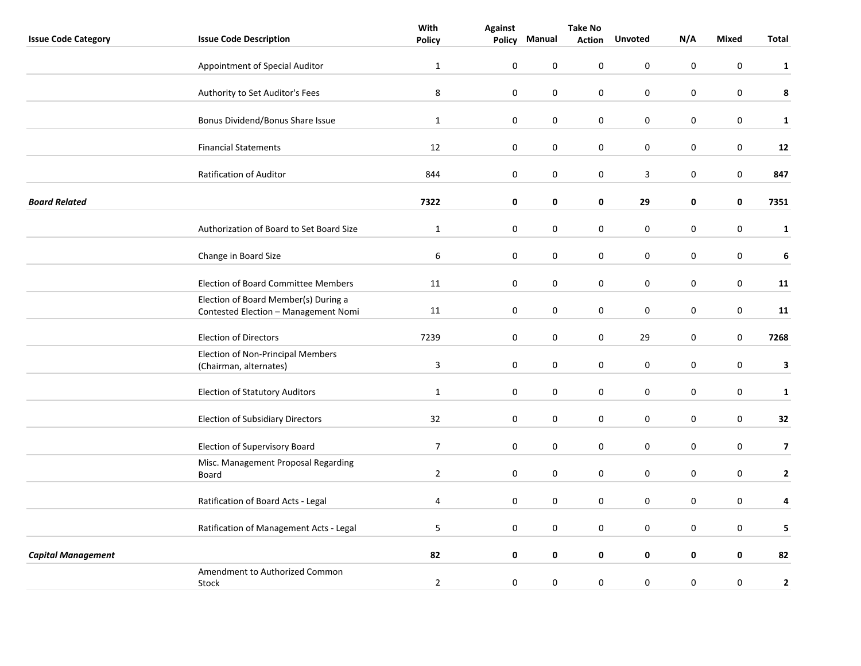|                            |                                                                              | With                    |                  | <b>Take No</b>   |               |                  |                  |                  |                         |
|----------------------------|------------------------------------------------------------------------------|-------------------------|------------------|------------------|---------------|------------------|------------------|------------------|-------------------------|
| <b>Issue Code Category</b> | <b>Issue Code Description</b>                                                | <b>Policy</b>           | Policy           | Manual           | <b>Action</b> | <b>Unvoted</b>   | N/A              | Mixed            | Total                   |
|                            | Appointment of Special Auditor                                               | $\mathbf{1}$            | $\pmb{0}$        | $\pmb{0}$        | 0             | $\pmb{0}$        | $\pmb{0}$        | $\pmb{0}$        | $\mathbf{1}$            |
|                            | Authority to Set Auditor's Fees                                              | $\bf 8$                 | $\pmb{0}$        | $\boldsymbol{0}$ | $\pmb{0}$     | $\pmb{0}$        | $\pmb{0}$        | $\pmb{0}$        | 8                       |
|                            | Bonus Dividend/Bonus Share Issue                                             | $\mathbf{1}$            | $\boldsymbol{0}$ | 0                | 0             | 0                | 0                | $\mathbf 0$      | $\mathbf{1}$            |
|                            | <b>Financial Statements</b>                                                  | 12                      | $\mathbf 0$      | $\mathbf 0$      | 0             | 0                | 0                | 0                | 12                      |
|                            | Ratification of Auditor                                                      | 844                     | $\mathbf 0$      | $\mathbf 0$      | 0             | 3                | $\pmb{0}$        | 0                | 847                     |
| <b>Board Related</b>       |                                                                              | 7322                    | 0                | 0                | 0             | 29               | 0                | 0                | 7351                    |
|                            | Authorization of Board to Set Board Size                                     | $\mathbf{1}$            | $\mathbf 0$      | $\mathbf 0$      | 0             | $\pmb{0}$        | $\pmb{0}$        | $\pmb{0}$        | $\mathbf{1}$            |
|                            | Change in Board Size                                                         | 6                       | $\boldsymbol{0}$ | $\pmb{0}$        | 0             | 0                | 0                | $\pmb{0}$        | 6                       |
|                            | Election of Board Committee Members                                          | 11                      | $\boldsymbol{0}$ | $\pmb{0}$        | 0             | $\pmb{0}$        | 0                | $\boldsymbol{0}$ | 11                      |
|                            | Election of Board Member(s) During a<br>Contested Election - Management Nomi | 11                      | $\pmb{0}$        | 0                | 0             | 0                | $\pmb{0}$        | $\boldsymbol{0}$ | 11                      |
|                            | <b>Election of Directors</b>                                                 | 7239                    | 0                | 0                | 0             | 29               | 0                | 0                | 7268                    |
|                            | <b>Election of Non-Principal Members</b><br>(Chairman, alternates)           | $\overline{\mathbf{3}}$ | $\pmb{0}$        | $\boldsymbol{0}$ | $\pmb{0}$     | $\boldsymbol{0}$ | $\boldsymbol{0}$ | $\boldsymbol{0}$ | 3                       |
|                            | <b>Election of Statutory Auditors</b>                                        | $\mathbf{1}$            | $\boldsymbol{0}$ | $\mathbf 0$      | 0             | 0                | 0                | $\pmb{0}$        | $\mathbf{1}$            |
|                            | <b>Election of Subsidiary Directors</b>                                      | 32                      | $\boldsymbol{0}$ | $\pmb{0}$        | 0             | $\pmb{0}$        | $\pmb{0}$        | $\pmb{0}$        | 32                      |
|                            | Election of Supervisory Board                                                | $\overline{7}$          | $\pmb{0}$        | $\pmb{0}$        | 0             | $\pmb{0}$        | $\pmb{0}$        | $\pmb{0}$        | $\overline{\mathbf{z}}$ |
|                            | Misc. Management Proposal Regarding<br>Board                                 | $\overline{2}$          | 0                | 0                | 0             | 0                | 0                | 0                | $\mathbf{2}$            |
|                            | Ratification of Board Acts - Legal                                           | 4                       | $\pmb{0}$        | $\pmb{0}$        | 0             | $\pmb{0}$        | $\pmb{0}$        | $\boldsymbol{0}$ | 4                       |
|                            | Ratification of Management Acts - Legal                                      | 5                       | $\mathbf 0$      | $\mathbf 0$      | 0             | 0                | 0                | $\mathbf 0$      | 5                       |
| <b>Capital Management</b>  |                                                                              | 82                      | $\mathbf 0$      | 0                | 0             | 0                | 0                | $\pmb{0}$        | 82                      |
|                            | Amendment to Authorized Common<br>Stock                                      | $\overline{2}$          | $\mathbf 0$      | $\mathbf 0$      | 0             | $\mathbf 0$      | $\pmb{0}$        | $\mathbf 0$      | $\mathbf{2}$            |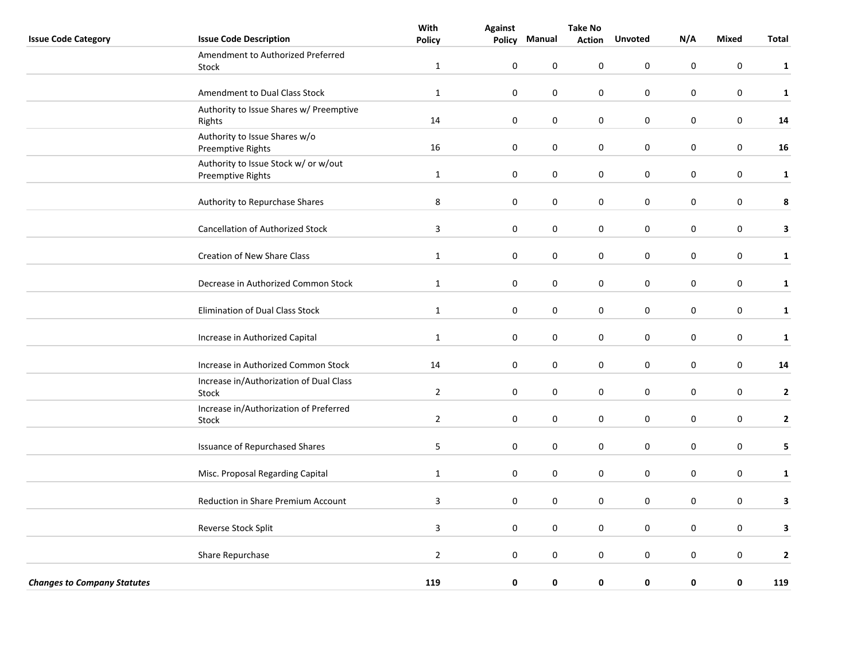|                                    |                                                           | With           |                  | <b>Take No</b>   |               |                |           |                  |              |
|------------------------------------|-----------------------------------------------------------|----------------|------------------|------------------|---------------|----------------|-----------|------------------|--------------|
| <b>Issue Code Category</b>         | <b>Issue Code Description</b>                             | <b>Policy</b>  | Policy           | Manual           | <b>Action</b> | <b>Unvoted</b> | N/A       | <b>Mixed</b>     | <b>Total</b> |
|                                    | Amendment to Authorized Preferred<br>Stock                | $\mathbf{1}$   | $\pmb{0}$        | 0                | 0             | $\pmb{0}$      | $\pmb{0}$ | $\boldsymbol{0}$ | $\mathbf{1}$ |
|                                    | Amendment to Dual Class Stock                             | $\mathbf 1$    | $\pmb{0}$        | $\boldsymbol{0}$ | 0             | $\pmb{0}$      | $\pmb{0}$ | $\boldsymbol{0}$ | $\mathbf{1}$ |
|                                    | Authority to Issue Shares w/ Preemptive<br>Rights         | 14             | $\pmb{0}$        | $\boldsymbol{0}$ | 0             | $\pmb{0}$      | $\pmb{0}$ | $\pmb{0}$        | 14           |
|                                    | Authority to Issue Shares w/o<br>Preemptive Rights        | 16             | $\pmb{0}$        | $\pmb{0}$        | 0             | $\pmb{0}$      | $\pmb{0}$ | $\boldsymbol{0}$ | ${\bf 16}$   |
|                                    | Authority to Issue Stock w/ or w/out<br>Preemptive Rights | $\mathbf 1$    | $\pmb{0}$        | $\boldsymbol{0}$ | 0             | $\pmb{0}$      | $\pmb{0}$ | $\boldsymbol{0}$ | $\mathbf{1}$ |
|                                    | Authority to Repurchase Shares                            | $\,8\,$        | $\pmb{0}$        | $\pmb{0}$        | 0             | $\pmb{0}$      | $\pmb{0}$ | $\pmb{0}$        | 8            |
|                                    | <b>Cancellation of Authorized Stock</b>                   | $\mathbf{3}$   | $\pmb{0}$        | $\boldsymbol{0}$ | 0             | $\pmb{0}$      | $\pmb{0}$ | $\boldsymbol{0}$ | $\mathbf{3}$ |
|                                    | Creation of New Share Class                               | $1\,$          | $\pmb{0}$        | $\pmb{0}$        | 0             | $\pmb{0}$      | $\pmb{0}$ | $\pmb{0}$        | $\mathbf{1}$ |
|                                    | Decrease in Authorized Common Stock                       | $\mathbf 1$    | $\pmb{0}$        | $\boldsymbol{0}$ | 0             | $\pmb{0}$      | $\pmb{0}$ | $\boldsymbol{0}$ | $\mathbf{1}$ |
|                                    | <b>Elimination of Dual Class Stock</b>                    | $\mathbf{1}$   | $\boldsymbol{0}$ | $\mathbf 0$      | 0             | 0              | $\pmb{0}$ | $\pmb{0}$        | $\mathbf{1}$ |
|                                    | Increase in Authorized Capital                            | $\mathbf{1}$   | $\pmb{0}$        | 0                | 0             | 0              | $\pmb{0}$ | $\pmb{0}$        | $\mathbf{1}$ |
|                                    | Increase in Authorized Common Stock                       | 14             | 0                | $\mathbf 0$      | 0             | $\mathbf 0$    | 0         | $\pmb{0}$        | 14           |
|                                    | Increase in/Authorization of Dual Class<br><b>Stock</b>   | $\overline{2}$ | $\mathbf 0$      | $\mathbf 0$      | 0             | 0              | 0         | $\mathbf 0$      | $\mathbf{2}$ |
|                                    | Increase in/Authorization of Preferred<br>Stock           | $\overline{2}$ | $\mathbf 0$      | $\mathbf 0$      | 0             | $\mathbf 0$    | 0         | $\mathbf 0$      | $\mathbf{2}$ |
|                                    | <b>Issuance of Repurchased Shares</b>                     | 5              | $\pmb{0}$        | 0                | 0             | $\pmb{0}$      | $\pmb{0}$ | $\pmb{0}$        | 5            |
|                                    | Misc. Proposal Regarding Capital                          | $\mathbf{1}$   | 0                | 0                | 0             | 0              | 0         | 0                | $\mathbf{1}$ |
|                                    | Reduction in Share Premium Account                        | 3              | $\mathbf 0$      | $\mathbf 0$      | 0             | $\mathbf 0$    | 0         | 0                | 3            |
|                                    | Reverse Stock Split                                       | $\overline{3}$ | $\mathbf 0$      | $\mathbf 0$      | 0             | $\mathbf 0$    | 0         | $\pmb{0}$        | $\mathbf{3}$ |
|                                    | Share Repurchase                                          | $\mathbf 2$    | $\mathbf 0$      | $\mathbf 0$      | 0             | 0              | 0         | $\mathbf 0$      | $\mathbf{2}$ |
| <b>Changes to Company Statutes</b> |                                                           | 119            | 0                | 0                | 0             | 0              | 0         | 0                | 119          |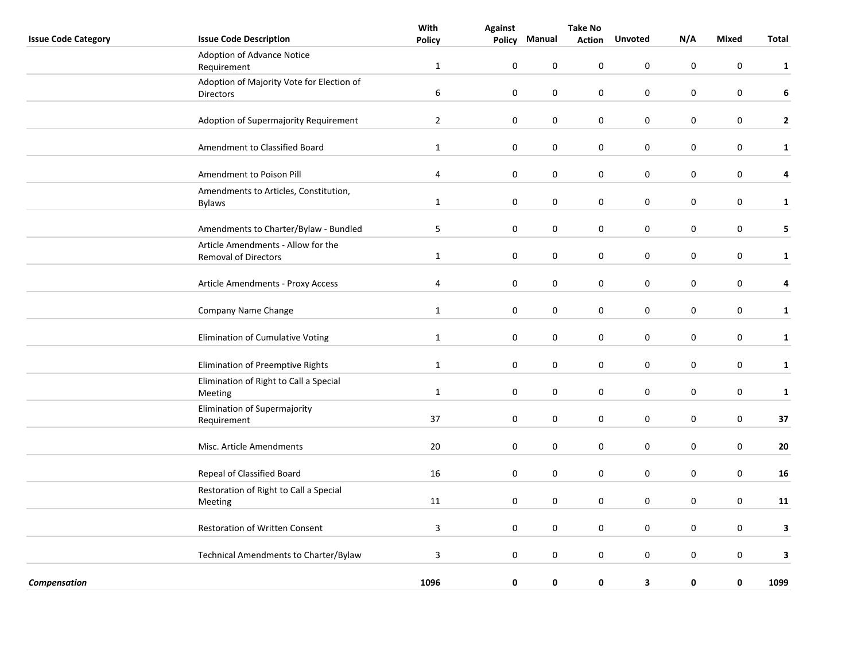|                            |                                                   | With             | <b>Against</b>   | <b>Take No</b>   |               |                |             |                  |              |
|----------------------------|---------------------------------------------------|------------------|------------------|------------------|---------------|----------------|-------------|------------------|--------------|
| <b>Issue Code Category</b> | <b>Issue Code Description</b>                     | <b>Policy</b>    | Policy           | Manual           | <b>Action</b> | <b>Unvoted</b> | N/A         | <b>Mixed</b>     | <b>Total</b> |
|                            | Adoption of Advance Notice                        |                  |                  |                  |               |                |             |                  |              |
|                            | Requirement                                       | $\mathbf{1}$     | $\boldsymbol{0}$ | 0                | $\pmb{0}$     | $\mathbf 0$    | $\pmb{0}$   | $\pmb{0}$        | $\mathbf{1}$ |
|                            | Adoption of Majority Vote for Election of         |                  |                  |                  |               |                |             |                  |              |
|                            | Directors                                         | $\boldsymbol{6}$ | $\pmb{0}$        | $\pmb{0}$        | $\pmb{0}$     | $\pmb{0}$      | $\pmb{0}$   | $\boldsymbol{0}$ | $\bf 6$      |
|                            |                                                   |                  |                  |                  |               |                |             |                  |              |
|                            | Adoption of Supermajority Requirement             | $\overline{2}$   | $\boldsymbol{0}$ | $\mathbf 0$      | 0             | $\mathbf 0$    | $\mathbf 0$ | $\mathbf 0$      | $\mathbf{2}$ |
|                            | Amendment to Classified Board                     | $\mathbf{1}$     | $\pmb{0}$        | 0                | $\pmb{0}$     | $\mathbf 0$    | $\pmb{0}$   | $\mathbf 0$      | $\mathbf{1}$ |
|                            | Amendment to Poison Pill                          | 4                | $\pmb{0}$        | $\mathbf 0$      | $\pmb{0}$     | $\mathbf 0$    | $\pmb{0}$   | $\pmb{0}$        | 4            |
|                            | Amendments to Articles, Constitution,             |                  |                  |                  |               |                |             |                  |              |
|                            | <b>Bylaws</b>                                     | $\mathbf{1}$     | 0                | 0                | 0             | 0              | 0           | 0                | $\mathbf{1}$ |
|                            |                                                   |                  |                  |                  |               |                |             |                  |              |
|                            | Amendments to Charter/Bylaw - Bundled             | 5                | 0                | 0                | 0             | 0              | 0           | 0                | 5            |
|                            | Article Amendments - Allow for the                |                  |                  |                  |               |                |             |                  |              |
|                            | <b>Removal of Directors</b>                       | $\mathbf 1$      | $\pmb{0}$        | $\boldsymbol{0}$ | $\pmb{0}$     | $\pmb{0}$      | $\pmb{0}$   | $\boldsymbol{0}$ | $\mathbf{1}$ |
|                            | Article Amendments - Proxy Access                 | $\overline{4}$   | $\boldsymbol{0}$ | 0                | 0             | $\pmb{0}$      | 0           | $\pmb{0}$        | 4            |
|                            |                                                   |                  |                  |                  |               |                |             |                  |              |
|                            | Company Name Change                               | $\mathbf 1$      | $\pmb{0}$        | $\boldsymbol{0}$ | $\pmb{0}$     | $\pmb{0}$      | $\pmb{0}$   | $\boldsymbol{0}$ | $\mathbf{1}$ |
|                            | Elimination of Cumulative Voting                  | $\mathbf{1}$     | $\pmb{0}$        | $\pmb{0}$        | $\pmb{0}$     | $\pmb{0}$      | $\pmb{0}$   | $\pmb{0}$        | $\mathbf{1}$ |
|                            |                                                   |                  |                  |                  |               |                |             |                  |              |
|                            | Elimination of Preemptive Rights                  | $\mathbf{1}$     | $\mathbf 0$      | 0                | 0             | $\pmb{0}$      | 0           | $\pmb{0}$        | $\mathbf{1}$ |
|                            | Elimination of Right to Call a Special<br>Meeting | $\mathbf{1}$     | $\pmb{0}$        | $\mathbf 0$      | $\pmb{0}$     | $\mathbf 0$    | $\mathbf 0$ | $\pmb{0}$        | $\mathbf{1}$ |
|                            | Elimination of Supermajority                      |                  |                  |                  |               |                |             |                  |              |
|                            | Requirement                                       | 37               | $\pmb{0}$        | 0                | $\pmb{0}$     | $\mathbf 0$    | 0           | 0                | 37           |
|                            |                                                   |                  |                  |                  |               |                |             |                  |              |
|                            | Misc. Article Amendments                          | 20               | $\pmb{0}$        | $\boldsymbol{0}$ | $\pmb{0}$     | $\pmb{0}$      | $\pmb{0}$   | $\boldsymbol{0}$ | ${\bf 20}$   |
|                            | Repeal of Classified Board                        | 16               | 0                | 0                | $\pmb{0}$     | $\pmb{0}$      | $\pmb{0}$   | $\boldsymbol{0}$ | 16           |
|                            | Restoration of Right to Call a Special            |                  |                  |                  |               |                |             |                  |              |
|                            | Meeting                                           | 11               | 0                | 0                | 0             | $\pmb{0}$      | 0           | 0                | 11           |
|                            | Restoration of Written Consent                    | $\overline{3}$   | $\pmb{0}$        | $\boldsymbol{0}$ | $\pmb{0}$     | $\pmb{0}$      | $\pmb{0}$   | $\boldsymbol{0}$ | 3            |
|                            |                                                   |                  |                  |                  |               |                |             |                  |              |
|                            | Technical Amendments to Charter/Bylaw             | 3                | 0                | 0                | 0             | 0              | 0           | 0                | 3            |
| Compensation               |                                                   | 1096             | 0                | $\pmb{0}$        | $\pmb{0}$     | 3              | 0           | $\pmb{0}$        | 1099         |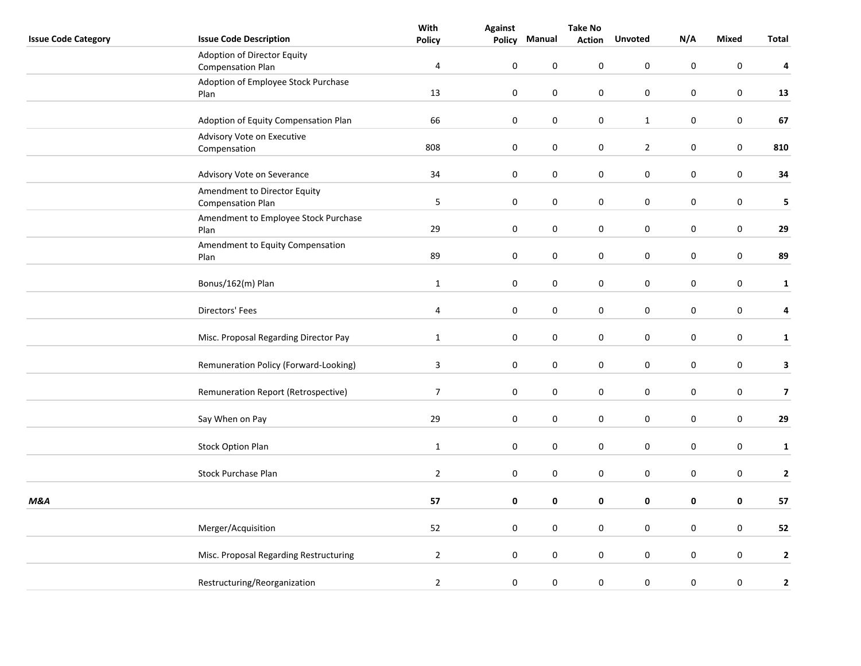|                            |                                                          | With           | <b>Against</b> | <b>Take No</b> |               |                  |           |                  |                         |
|----------------------------|----------------------------------------------------------|----------------|----------------|----------------|---------------|------------------|-----------|------------------|-------------------------|
| <b>Issue Code Category</b> | <b>Issue Code Description</b>                            | <b>Policy</b>  | Policy         | Manual         | <b>Action</b> | <b>Unvoted</b>   | N/A       | Mixed            | Total                   |
|                            | Adoption of Director Equity<br><b>Compensation Plan</b>  | $\overline{4}$ | $\pmb{0}$      | 0              | 0             | $\pmb{0}$        | 0         | $\pmb{0}$        | 4                       |
|                            | Adoption of Employee Stock Purchase<br>Plan              | 13             | $\mathbf 0$    | $\pmb{0}$      | 0             | $\pmb{0}$        | 0         | $\pmb{0}$        | 13                      |
|                            | Adoption of Equity Compensation Plan                     | 66             | $\pmb{0}$      | $\pmb{0}$      | 0             | $\mathbf{1}$     | 0         | $\pmb{0}$        | 67                      |
|                            | Advisory Vote on Executive<br>Compensation               | 808            | $\pmb{0}$      | $\pmb{0}$      | 0             | $\overline{2}$   | 0         | $\boldsymbol{0}$ | 810                     |
|                            | Advisory Vote on Severance                               | 34             | $\mathbf 0$    | 0              | 0             | $\boldsymbol{0}$ | 0         | $\boldsymbol{0}$ | 34                      |
|                            | Amendment to Director Equity<br><b>Compensation Plan</b> | 5              | $\mathbf 0$    | 0              | 0             | $\pmb{0}$        | 0         | $\pmb{0}$        | 5                       |
|                            | Amendment to Employee Stock Purchase<br>Plan             | 29             | $\mathbf 0$    | $\pmb{0}$      | 0             | $\pmb{0}$        | 0         | $\pmb{0}$        | 29                      |
|                            | Amendment to Equity Compensation<br>Plan                 | 89             | $\mathbf 0$    | $\pmb{0}$      | 0             | $\pmb{0}$        | 0         | $\pmb{0}$        | 89                      |
|                            | Bonus/162(m) Plan                                        | $\mathbf{1}$   | $\mathbf 0$    | $\pmb{0}$      | 0             | $\pmb{0}$        | 0         | $\boldsymbol{0}$ | $\mathbf{1}$            |
|                            | Directors' Fees                                          | $\overline{4}$ | $\pmb{0}$      | $\pmb{0}$      | 0             | $\pmb{0}$        | 0         | $\boldsymbol{0}$ | 4                       |
|                            | Misc. Proposal Regarding Director Pay                    | $\mathbf{1}$   | $\pmb{0}$      | 0              | 0             | $\boldsymbol{0}$ | 0         | $\pmb{0}$        | $\mathbf{1}$            |
|                            | Remuneration Policy (Forward-Looking)                    | $\mathbf{3}$   | $\mathbf 0$    | 0              | 0             | $\pmb{0}$        | 0         | $\pmb{0}$        | 3                       |
|                            | Remuneration Report (Retrospective)                      | $\overline{7}$ | $\mathbf 0$    | $\pmb{0}$      | 0             | $\pmb{0}$        | 0         | $\boldsymbol{0}$ | $\overline{\mathbf{z}}$ |
|                            | Say When on Pay                                          | 29             | $\mathbf 0$    | $\pmb{0}$      | 0             | $\boldsymbol{0}$ | $\pmb{0}$ | $\boldsymbol{0}$ | 29                      |
|                            | <b>Stock Option Plan</b>                                 | $\mathbf{1}$   | $\mathbf 0$    | $\pmb{0}$      | 0             | $\pmb{0}$        | 0         | $\pmb{0}$        | $\mathbf{1}$            |
|                            | <b>Stock Purchase Plan</b>                               | $\mathbf 2$    | $\mathbf 0$    | 0              | 0             | $\boldsymbol{0}$ | 0         | 0                | $\mathbf{2}$            |
| <b>M&amp;A</b>             |                                                          | 57             | $\mathbf 0$    | 0              | 0             | 0                | 0         | 0                | 57                      |
|                            | Merger/Acquisition                                       | 52             | $\pmb{0}$      | $\pmb{0}$      | 0             | $\pmb{0}$        | 0         | $\pmb{0}$        | 52                      |
|                            | Misc. Proposal Regarding Restructuring                   | $\overline{2}$ | $\mathbf 0$    | $\pmb{0}$      | 0             | $\boldsymbol{0}$ | $\pmb{0}$ | $\boldsymbol{0}$ | $\mathbf{2}$            |
|                            | Restructuring/Reorganization                             | $\overline{2}$ | $\pmb{0}$      | 0              | $\pmb{0}$     | $\boldsymbol{0}$ | $\pmb{0}$ | $\pmb{0}$        | $\mathbf{2}$            |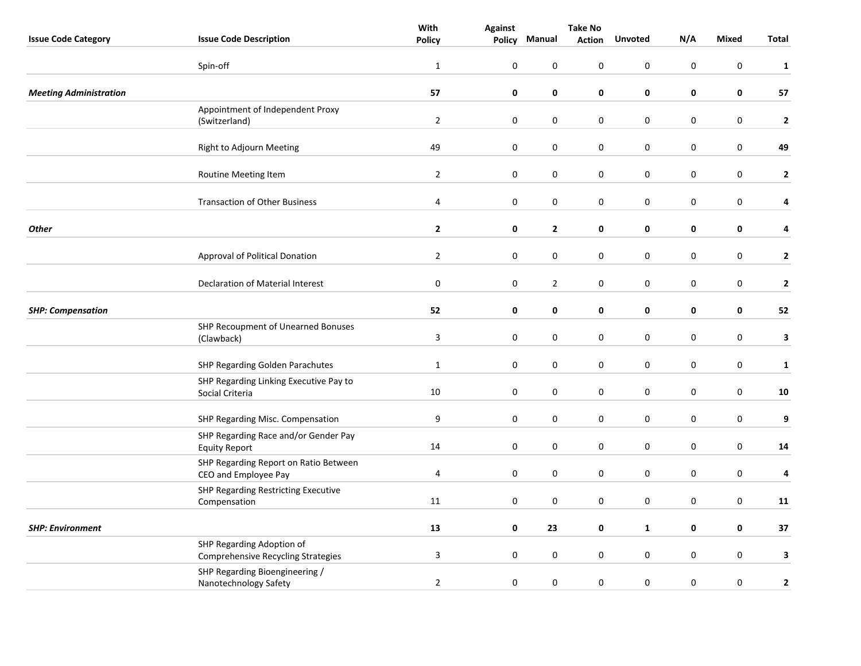|                               |                                                                 | With             | <b>Against</b>   | <b>Take No</b>   |               |                  |             |                  |              |
|-------------------------------|-----------------------------------------------------------------|------------------|------------------|------------------|---------------|------------------|-------------|------------------|--------------|
| <b>Issue Code Category</b>    | <b>Issue Code Description</b>                                   | <b>Policy</b>    | Policy           | Manual           | <b>Action</b> | <b>Unvoted</b>   | N/A         | <b>Mixed</b>     | <b>Total</b> |
|                               | Spin-off                                                        | $\mathbf{1}$     | $\pmb{0}$        | 0                | $\pmb{0}$     | 0                | $\pmb{0}$   | $\pmb{0}$        | $\mathbf{1}$ |
| <b>Meeting Administration</b> |                                                                 | 57               | $\pmb{0}$        | 0                | 0             | $\pmb{0}$        | 0           | $\pmb{0}$        | 57           |
|                               | Appointment of Independent Proxy<br>(Switzerland)               | $\overline{2}$   | $\pmb{0}$        | $\boldsymbol{0}$ | $\pmb{0}$     | $\pmb{0}$        | $\pmb{0}$   | $\boldsymbol{0}$ | $\mathbf{2}$ |
|                               | Right to Adjourn Meeting                                        | 49               | $\boldsymbol{0}$ | $\pmb{0}$        | 0             | 0                | 0           | $\pmb{0}$        | 49           |
|                               | Routine Meeting Item                                            | $\overline{2}$   | $\pmb{0}$        | $\boldsymbol{0}$ | $\pmb{0}$     | $\pmb{0}$        | $\pmb{0}$   | $\pmb{0}$        | $\mathbf{2}$ |
|                               | <b>Transaction of Other Business</b>                            | 4                | 0                | 0                | 0             | 0                | $\mathbf 0$ | 0                | 4            |
| <b>Other</b>                  |                                                                 | $\overline{2}$   | 0                | $\mathbf{2}$     | 0             | 0                | 0           | 0                | 4            |
|                               | Approval of Political Donation                                  | $\overline{2}$   | $\pmb{0}$        | $\mathbf 0$      | $\pmb{0}$     | $\pmb{0}$        | $\pmb{0}$   | $\pmb{0}$        | $\mathbf{2}$ |
|                               | Declaration of Material Interest                                | $\pmb{0}$        | $\pmb{0}$        | $\mathbf{2}$     | 0             | 0                | 0           | $\pmb{0}$        | $\mathbf{2}$ |
| <b>SHP: Compensation</b>      |                                                                 | 52               | 0                | 0                | $\mathbf 0$   | 0                | $\pmb{0}$   | $\pmb{0}$        | 52           |
|                               | SHP Recoupment of Unearned Bonuses<br>(Clawback)                | $\mathsf 3$      | 0                | 0                | 0             | 0                | 0           | 0                | $\mathbf{3}$ |
|                               | SHP Regarding Golden Parachutes                                 | $\mathbf{1}$     | $\pmb{0}$        | $\boldsymbol{0}$ | $\pmb{0}$     | $\pmb{0}$        | $\pmb{0}$   | $\boldsymbol{0}$ | $\mathbf{1}$ |
|                               | SHP Regarding Linking Executive Pay to<br>Social Criteria       | 10               | $\pmb{0}$        | $\pmb{0}$        | $\pmb{0}$     | $\pmb{0}$        | $\pmb{0}$   | $\boldsymbol{0}$ | 10           |
|                               | SHP Regarding Misc. Compensation                                | $\boldsymbol{9}$ | $\boldsymbol{0}$ | $\pmb{0}$        | 0             | 0                | 0           | $\pmb{0}$        | 9            |
|                               | SHP Regarding Race and/or Gender Pay<br><b>Equity Report</b>    | 14               | $\pmb{0}$        | $\boldsymbol{0}$ | $\pmb{0}$     | $\pmb{0}$        | $\pmb{0}$   | $\boldsymbol{0}$ | 14           |
|                               | SHP Regarding Report on Ratio Between<br>CEO and Employee Pay   | $\overline{4}$   | $\pmb{0}$        | 0                | $\pmb{0}$     | $\boldsymbol{0}$ | $\pmb{0}$   | $\pmb{0}$        | $\pmb{4}$    |
|                               | SHP Regarding Restricting Executive<br>Compensation             | 11               | $\pmb{0}$        | $\pmb{0}$        | $\pmb{0}$     | $\pmb{0}$        | $\pmb{0}$   | $\pmb{0}$        | 11           |
| <b>SHP: Environment</b>       |                                                                 | 13               | $\pmb{0}$        | 23               | $\mathbf 0$   | $\mathbf{1}$     | $\pmb{0}$   | 0                | 37           |
|                               | SHP Regarding Adoption of<br>Comprehensive Recycling Strategies | 3                | $\boldsymbol{0}$ | $\pmb{0}$        | 0             | 0                | 0           | $\pmb{0}$        | 3            |
|                               | SHP Regarding Bioengineering /<br>Nanotechnology Safety         | $\mathbf 2$      | $\pmb{0}$        | $\pmb{0}$        | $\pmb{0}$     | $\pmb{0}$        | $\pmb{0}$   | $\pmb{0}$        | $\mathbf{2}$ |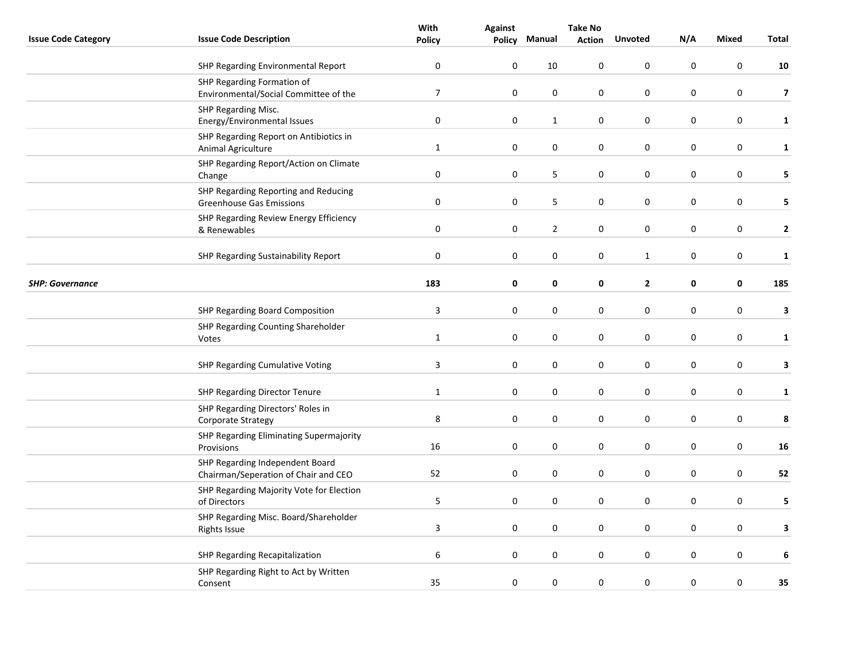|                            |                                                                         | With                    | <b>Against</b>   | <b>Take No</b> |               |                  |           |                  |                         |
|----------------------------|-------------------------------------------------------------------------|-------------------------|------------------|----------------|---------------|------------------|-----------|------------------|-------------------------|
| <b>Issue Code Category</b> | <b>Issue Code Description</b>                                           | <b>Policy</b>           | Policy           | Manual         | <b>Action</b> | <b>Unvoted</b>   | N/A       | Mixed            | Total                   |
|                            | SHP Regarding Environmental Report                                      | 0                       | 0                | 10             | 0             | $\mathbf 0$      | 0         | $\mathbf 0$      | ${\bf 10}$              |
|                            | SHP Regarding Formation of<br>Environmental/Social Committee of the     | $\overline{7}$          | $\pmb{0}$        | $\pmb{0}$      | 0             | $\pmb{0}$        | 0         | $\pmb{0}$        | $\overline{\mathbf{z}}$ |
|                            | SHP Regarding Misc.<br>Energy/Environmental Issues                      | $\pmb{0}$               | $\pmb{0}$        | $\mathbf{1}$   | 0             | $\boldsymbol{0}$ | 0         | $\boldsymbol{0}$ | $\mathbf{1}$            |
|                            | SHP Regarding Report on Antibiotics in<br>Animal Agriculture            | $\mathbf{1}$            | $\mathbf 0$      | $\pmb{0}$      | 0             | $\boldsymbol{0}$ | 0         | $\boldsymbol{0}$ | $\mathbf{1}$            |
|                            | SHP Regarding Report/Action on Climate<br>Change                        | $\boldsymbol{0}$        | $\boldsymbol{0}$ | 5              | 0             | $\boldsymbol{0}$ | $\pmb{0}$ | $\pmb{0}$        | 5                       |
|                            | SHP Regarding Reporting and Reducing<br><b>Greenhouse Gas Emissions</b> | 0                       | 0                | 5              | 0             | $\mathbf 0$      | 0         | 0                | 5                       |
|                            | SHP Regarding Review Energy Efficiency<br>& Renewables                  | $\pmb{0}$               | $\pmb{0}$        | $\mathbf{2}$   | 0             | $\mathbf 0$      | 0         | $\mathbf 0$      | $\mathbf{2}$            |
|                            | <b>SHP Regarding Sustainability Report</b>                              | $\boldsymbol{0}$        | $\mathbf 0$      | $\pmb{0}$      | 0             | $\mathbf{1}$     | $\pmb{0}$ | $\boldsymbol{0}$ | $\mathbf{1}$            |
| <b>SHP: Governance</b>     |                                                                         | 183                     | $\mathbf 0$      | 0              | 0             | $\mathbf{2}$     | 0         | 0                | 185                     |
|                            | <b>SHP Regarding Board Composition</b>                                  | $\overline{\mathbf{3}}$ | $\boldsymbol{0}$ | 0              | 0             | $\boldsymbol{0}$ | $\pmb{0}$ | $\boldsymbol{0}$ | 3                       |
|                            | SHP Regarding Counting Shareholder<br>Votes                             | $\mathbf{1}$            | $\boldsymbol{0}$ | 0              | 0             | $\boldsymbol{0}$ | 0         | $\boldsymbol{0}$ | $\mathbf{1}$            |
|                            | SHP Regarding Cumulative Voting                                         | $\mathbf{3}$            | 0                | 0              | 0             | $\mathbf 0$      | 0         | $\mathbf 0$      | $\mathbf{3}$            |
|                            | <b>SHP Regarding Director Tenure</b>                                    | $\mathbf{1}$            | $\mathbf 0$      | $\pmb{0}$      | 0             | $\boldsymbol{0}$ | $\pmb{0}$ | $\boldsymbol{0}$ | $\mathbf{1}$            |
|                            | SHP Regarding Directors' Roles in<br>Corporate Strategy                 | 8                       | $\mathbf 0$      | $\pmb{0}$      | 0             | $\boldsymbol{0}$ | 0         | $\pmb{0}$        | 8                       |
|                            | SHP Regarding Eliminating Supermajority<br>Provisions                   | 16                      | $\boldsymbol{0}$ | $\pmb{0}$      | 0             | $\boldsymbol{0}$ | $\pmb{0}$ | $\boldsymbol{0}$ | 16                      |
|                            | SHP Regarding Independent Board<br>Chairman/Seperation of Chair and CEO | 52                      | $\pmb{0}$        | 0              | 0             | $\boldsymbol{0}$ | $\pmb{0}$ | $\boldsymbol{0}$ | 52                      |
|                            | SHP Regarding Majority Vote for Election<br>of Directors                | 5                       | 0                | 0              | 0             | $\mathbf 0$      | 0         | 0                | 5                       |
|                            | SHP Regarding Misc. Board/Shareholder<br><b>Rights Issue</b>            | $\mathbf{3}$            | $\mathbf 0$      | 0              | 0             | $\pmb{0}$        | 0         | $\boldsymbol{0}$ | $\mathbf{3}$            |
|                            | SHP Regarding Recapitalization                                          | 6                       | $\mathbf 0$      | $\pmb{0}$      | 0             | $\boldsymbol{0}$ | 0         | $\boldsymbol{0}$ | 6                       |
|                            | SHP Regarding Right to Act by Written<br>Consent                        | 35                      | $\pmb{0}$        | 0              | $\pmb{0}$     | $\boldsymbol{0}$ | $\pmb{0}$ | $\pmb{0}$        | 35                      |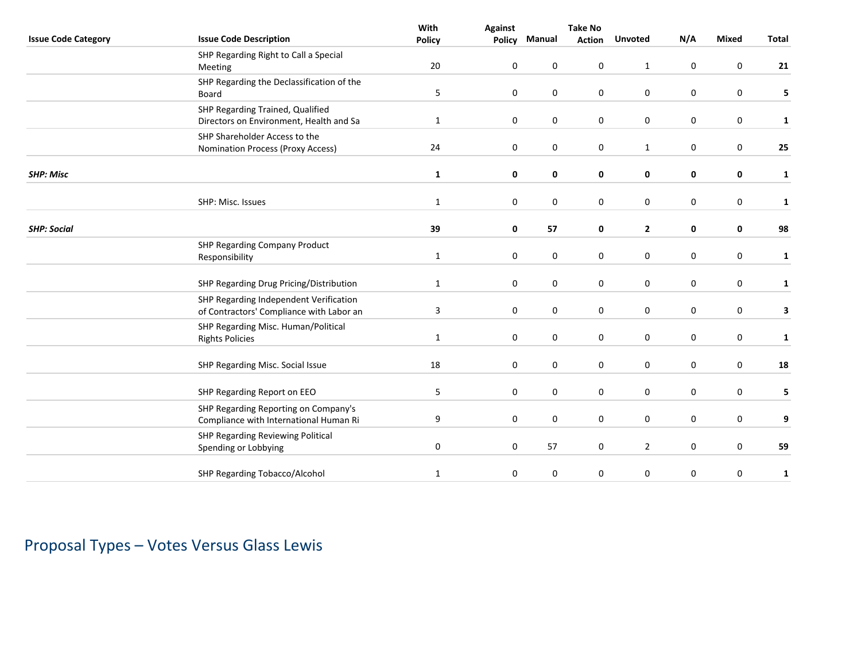|                            |                                           | With             | <b>Against</b> |             | <b>Take No</b> |                |           |                  |              |
|----------------------------|-------------------------------------------|------------------|----------------|-------------|----------------|----------------|-----------|------------------|--------------|
| <b>Issue Code Category</b> | <b>Issue Code Description</b>             | <b>Policy</b>    | Policy         | Manual      | <b>Action</b>  | <b>Unvoted</b> | N/A       | <b>Mixed</b>     | <b>Total</b> |
|                            | SHP Regarding Right to Call a Special     |                  |                |             |                |                |           |                  |              |
|                            | Meeting                                   | 20               | 0              | $\pmb{0}$   | 0              | $\mathbf{1}$   | $\pmb{0}$ | $\pmb{0}$        | 21           |
|                            | SHP Regarding the Declassification of the |                  |                |             |                |                |           |                  |              |
|                            | Board                                     | 5                | $\mathbf 0$    | $\mathbf 0$ | 0              | $\pmb{0}$      | 0         | $\mathbf 0$      | 5            |
|                            | SHP Regarding Trained, Qualified          |                  |                |             |                |                |           |                  |              |
|                            | Directors on Environment, Health and Sa   | $\mathbf{1}$     | 0              | 0           | 0              | 0              | 0         | 0                | 1            |
|                            | SHP Shareholder Access to the             |                  |                |             |                |                |           |                  |              |
|                            | Nomination Process (Proxy Access)         | 24               | 0              | $\pmb{0}$   | 0              | $\mathbf{1}$   | 0         | $\pmb{0}$        | 25           |
| <b>SHP: Misc</b>           |                                           | $\mathbf{1}$     | 0              | $\mathbf 0$ | 0              | $\pmb{0}$      | 0         | $\pmb{0}$        | $\mathbf{1}$ |
|                            | SHP: Misc. Issues                         | $\mathbf{1}$     | 0              | $\mathbf 0$ | 0              | $\mathbf 0$    | 0         | $\mathbf 0$      | 1            |
|                            |                                           |                  |                |             |                |                |           |                  |              |
| <b>SHP: Social</b>         |                                           | 39               | 0              | 57          | 0              | $\overline{2}$ | 0         | 0                | 98           |
|                            | <b>SHP Regarding Company Product</b>      |                  |                |             |                |                |           |                  |              |
|                            | Responsibility                            | $\mathbf{1}$     | 0              | $\pmb{0}$   | 0              | 0              | 0         | $\pmb{0}$        | $\mathbf{1}$ |
|                            | SHP Regarding Drug Pricing/Distribution   | $\mathbf{1}$     | $\mathbf 0$    | 0           | 0              | $\mathbf 0$    | 0         | $\mathbf 0$      | 1            |
|                            | SHP Regarding Independent Verification    |                  |                |             |                |                |           |                  |              |
|                            | of Contractors' Compliance with Labor an  | $\mathbf{3}$     | 0              | $\pmb{0}$   | 0              | 0              | 0         | $\boldsymbol{0}$ | $\mathbf{3}$ |
|                            | SHP Regarding Misc. Human/Political       |                  |                |             |                |                |           |                  |              |
|                            | <b>Rights Policies</b>                    | $\mathbf{1}$     | 0              | $\mathbf 0$ | 0              | 0              | 0         | $\mathbf 0$      | $\mathbf{1}$ |
|                            | SHP Regarding Misc. Social Issue          | 18               | 0              | $\pmb{0}$   | 0              | $\pmb{0}$      | 0         | $\pmb{0}$        | 18           |
|                            |                                           |                  |                |             |                |                |           |                  |              |
|                            | SHP Regarding Report on EEO               | 5                | $\mathbf 0$    | $\mathbf 0$ | 0              | $\pmb{0}$      | 0         | $\pmb{0}$        | 5            |
|                            | SHP Regarding Reporting on Company's      |                  |                |             |                |                |           |                  |              |
|                            | Compliance with International Human Ri    | 9                | $\mathbf 0$    | $\mathbf 0$ | 0              | 0              | 0         | 0                | 9            |
|                            | SHP Regarding Reviewing Political         |                  |                |             |                |                |           |                  |              |
|                            | Spending or Lobbying                      | $\boldsymbol{0}$ | 0              | 57          | 0              | $\mathbf 2$    | 0         | $\boldsymbol{0}$ | 59           |
|                            | SHP Regarding Tobacco/Alcohol             | $\mathbf{1}$     | $\pmb{0}$      | 0           | 0              | 0              | 0         | 0                | 1            |

# Proposal Types – Votes Versus Glass Lewis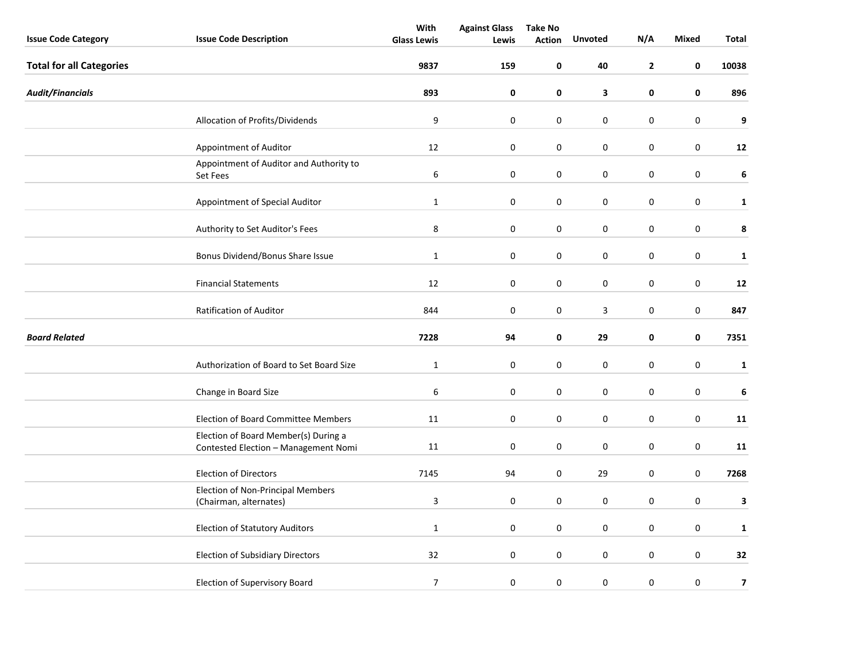|                                 |                                                                              | With               | <b>Against Glass</b> | <b>Take No</b> |                  |                  |                  |                         |
|---------------------------------|------------------------------------------------------------------------------|--------------------|----------------------|----------------|------------------|------------------|------------------|-------------------------|
| <b>Issue Code Category</b>      | <b>Issue Code Description</b>                                                | <b>Glass Lewis</b> | Lewis                | <b>Action</b>  | Unvoted          | N/A              | <b>Mixed</b>     | Total                   |
| <b>Total for all Categories</b> |                                                                              | 9837               | 159                  | 0              | 40               | $\mathbf{2}$     | 0                | 10038                   |
| <b>Audit/Financials</b>         |                                                                              | 893                | $\pmb{0}$            | 0              | 3                | $\pmb{0}$        | 0                | 896                     |
|                                 | Allocation of Profits/Dividends                                              | 9                  | $\mathbf 0$          | 0              | 0                | $\mathbf 0$      | $\pmb{0}$        | 9                       |
|                                 | Appointment of Auditor                                                       | 12                 | $\pmb{0}$            | 0              | 0                | $\boldsymbol{0}$ | $\pmb{0}$        | 12                      |
|                                 | Appointment of Auditor and Authority to<br>Set Fees                          | 6                  | $\pmb{0}$            | 0              | 0                | $\boldsymbol{0}$ | $\boldsymbol{0}$ | 6                       |
|                                 | Appointment of Special Auditor                                               | $\mathbf{1}$       | 0                    | 0              | 0                | 0                | $\boldsymbol{0}$ | $\mathbf{1}$            |
|                                 | Authority to Set Auditor's Fees                                              | 8                  | 0                    | 0              | 0                | $\boldsymbol{0}$ | $\mathsf 0$      | 8                       |
|                                 | Bonus Dividend/Bonus Share Issue                                             | $\mathbf{1}$       | $\pmb{0}$            | 0              | $\boldsymbol{0}$ | $\boldsymbol{0}$ | $\boldsymbol{0}$ | 1                       |
|                                 | <b>Financial Statements</b>                                                  | 12                 | 0                    | 0              | 0                | 0                | 0                | 12                      |
|                                 | <b>Ratification of Auditor</b>                                               | 844                | 0                    | 0              | 3                | $\boldsymbol{0}$ | 0                | 847                     |
| <b>Board Related</b>            |                                                                              | 7228               | 94                   | 0              | 29               | 0                | 0                | 7351                    |
|                                 | Authorization of Board to Set Board Size                                     | $\mathbf 1$        | 0                    | 0              | $\pmb{0}$        | $\boldsymbol{0}$ | $\boldsymbol{0}$ | $\mathbf{1}$            |
|                                 | Change in Board Size                                                         | 6                  | $\pmb{0}$            | 0              | $\boldsymbol{0}$ | $\boldsymbol{0}$ | $\boldsymbol{0}$ | 6                       |
|                                 | <b>Election of Board Committee Members</b>                                   | 11                 | $\pmb{0}$            | 0              | $\pmb{0}$        | $\boldsymbol{0}$ | $\boldsymbol{0}$ | 11                      |
|                                 | Election of Board Member(s) During a<br>Contested Election - Management Nomi | 11                 | $\mathbf 0$          | 0              | 0                | $\mathbf 0$      | 0                | 11                      |
|                                 | <b>Election of Directors</b>                                                 | 7145               | 94                   | 0              | 29               | $\mathbf 0$      | 0                | 7268                    |
|                                 | <b>Election of Non-Principal Members</b><br>(Chairman, alternates)           | 3                  | 0                    | 0              | $\pmb{0}$        | $\boldsymbol{0}$ | $\pmb{0}$        | 3                       |
|                                 | <b>Election of Statutory Auditors</b>                                        | $\mathbf{1}$       | 0                    | 0              | 0                | $\boldsymbol{0}$ | $\pmb{0}$        | $\mathbf{1}$            |
|                                 | <b>Election of Subsidiary Directors</b>                                      | 32                 | $\pmb{0}$            | 0              | 0                | $\boldsymbol{0}$ | $\pmb{0}$        | 32                      |
|                                 | <b>Election of Supervisory Board</b>                                         | $\overline{7}$     | 0                    | 0              | 0                | $\boldsymbol{0}$ | 0                | $\overline{\mathbf{z}}$ |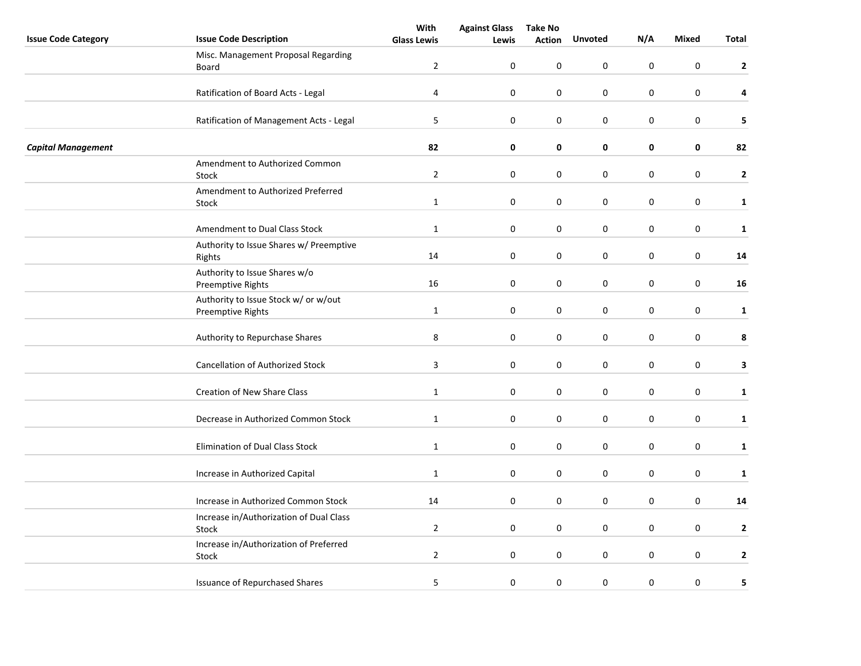|                            |                                         | With               | <b>Against Glass</b> | <b>Take No</b> |                |                  |                  |              |
|----------------------------|-----------------------------------------|--------------------|----------------------|----------------|----------------|------------------|------------------|--------------|
| <b>Issue Code Category</b> | <b>Issue Code Description</b>           | <b>Glass Lewis</b> | Lewis                | <b>Action</b>  | <b>Unvoted</b> | N/A              | <b>Mixed</b>     | <b>Total</b> |
|                            | Misc. Management Proposal Regarding     |                    |                      |                |                |                  |                  |              |
|                            | Board                                   | $\overline{2}$     | $\mathbf 0$          | 0              | 0              | $\pmb{0}$        | $\boldsymbol{0}$ | $\mathbf{2}$ |
|                            |                                         |                    |                      |                |                |                  |                  |              |
|                            | Ratification of Board Acts - Legal      | $\overline{4}$     | $\mathbf 0$          | 0              | 0              | $\pmb{0}$        | 0                | 4            |
|                            |                                         |                    |                      |                |                |                  |                  |              |
|                            | Ratification of Management Acts - Legal | 5                  | $\boldsymbol{0}$     | 0              | $\pmb{0}$      | $\pmb{0}$        | $\boldsymbol{0}$ | 5            |
|                            |                                         |                    |                      |                |                |                  |                  |              |
| <b>Capital Management</b>  |                                         | 82                 | 0                    | 0              | 0              | 0                | 0                | 82           |
|                            | Amendment to Authorized Common          |                    |                      |                |                |                  |                  |              |
|                            | Stock                                   | $\overline{2}$     | $\boldsymbol{0}$     | 0              | 0              | $\pmb{0}$        | $\boldsymbol{0}$ | $\mathbf{2}$ |
|                            | Amendment to Authorized Preferred       |                    |                      |                |                |                  |                  |              |
|                            | Stock                                   | $\mathbf{1}$       | $\mathbf 0$          | 0              | 0              | $\pmb{0}$        | $\boldsymbol{0}$ | $\mathbf{1}$ |
|                            |                                         |                    |                      |                |                |                  |                  |              |
|                            | Amendment to Dual Class Stock           | $\mathbf{1}$       | $\mathbf 0$          | 0              | 0              | $\pmb{0}$        | $\boldsymbol{0}$ | $\mathbf{1}$ |
|                            | Authority to Issue Shares w/ Preemptive |                    |                      |                |                |                  |                  |              |
|                            | Rights                                  | 14                 | 0                    | 0              | 0              | $\pmb{0}$        | 0                | 14           |
|                            | Authority to Issue Shares w/o           |                    |                      |                |                |                  |                  |              |
|                            | <b>Preemptive Rights</b>                | 16                 | $\pmb{0}$            | 0              | 0              | $\pmb{0}$        | 0                | 16           |
|                            | Authority to Issue Stock w/ or w/out    |                    |                      |                |                |                  |                  |              |
|                            | Preemptive Rights                       | $\mathbf{1}$       | $\boldsymbol{0}$     | 0              | 0              | $\pmb{0}$        | $\boldsymbol{0}$ | $\mathbf{1}$ |
|                            |                                         |                    |                      |                |                |                  |                  |              |
|                            | Authority to Repurchase Shares          | 8                  | 0                    | $\pmb{0}$      | $\pmb{0}$      | $\boldsymbol{0}$ | $\boldsymbol{0}$ | 8            |
|                            |                                         |                    |                      |                |                |                  |                  |              |
|                            | <b>Cancellation of Authorized Stock</b> | 3                  | $\mathbf 0$          | 0              | 0              | 0                | 0                | 3            |
|                            |                                         |                    |                      |                |                |                  |                  |              |
|                            | <b>Creation of New Share Class</b>      | $\mathbf{1}$       | $\boldsymbol{0}$     | 0              | 0              | $\pmb{0}$        | $\boldsymbol{0}$ | $\mathbf{1}$ |
|                            |                                         |                    |                      |                |                |                  |                  |              |
|                            | Decrease in Authorized Common Stock     | $\mathbf{1}$       | $\pmb{0}$            | 0              | $\pmb{0}$      | $\pmb{0}$        | 0                | $\mathbf{1}$ |
|                            |                                         |                    |                      |                |                |                  |                  |              |
|                            | <b>Elimination of Dual Class Stock</b>  | $\mathbf{1}$       | 0                    | 0              | 0              | $\pmb{0}$        | 0                | $\mathbf{1}$ |
|                            |                                         |                    |                      |                |                |                  |                  |              |
|                            | Increase in Authorized Capital          | $\mathbf{1}$       | $\boldsymbol{0}$     | 0              | $\pmb{0}$      | $\boldsymbol{0}$ | 0                | $\mathbf{1}$ |
|                            |                                         |                    |                      |                |                |                  |                  |              |
|                            | Increase in Authorized Common Stock     | 14                 | $\mathbf 0$          | 0              | 0              | 0                | 0                | 14           |
|                            | Increase in/Authorization of Dual Class |                    |                      |                |                |                  |                  |              |
|                            | Stock                                   | $\overline{2}$     | 0                    | 0              | 0              | $\pmb{0}$        | 0                | $\mathbf{2}$ |
|                            | Increase in/Authorization of Preferred  |                    |                      |                |                |                  |                  |              |
|                            | Stock                                   | $\overline{2}$     | $\boldsymbol{0}$     | 0              | $\pmb{0}$      | $\pmb{0}$        | 0                | $\mathbf{2}$ |
|                            |                                         |                    |                      |                |                |                  |                  |              |
|                            | <b>Issuance of Repurchased Shares</b>   | 5                  | $\pmb{0}$            | 0              | 0              | $\boldsymbol{0}$ | 0                | 5            |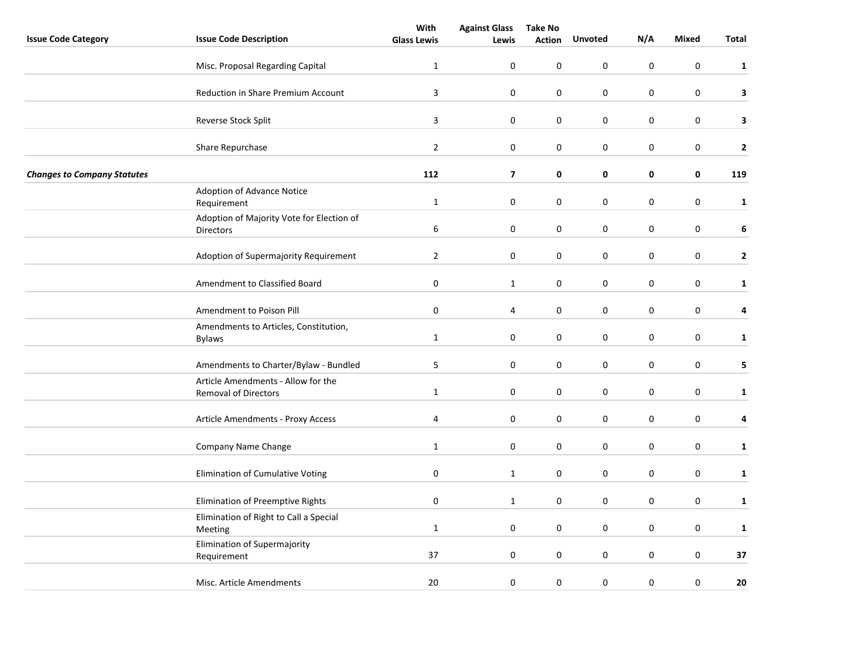|                                    |                                                                   | With               | <b>Against Glass</b>    | <b>Take No</b> |                |                  |                  |              |
|------------------------------------|-------------------------------------------------------------------|--------------------|-------------------------|----------------|----------------|------------------|------------------|--------------|
| <b>Issue Code Category</b>         | <b>Issue Code Description</b>                                     | <b>Glass Lewis</b> | Lewis                   | <b>Action</b>  | <b>Unvoted</b> | N/A              | <b>Mixed</b>     | <b>Total</b> |
|                                    | Misc. Proposal Regarding Capital                                  | $\mathbf{1}$       | 0                       | 0              | 0              | $\pmb{0}$        | $\boldsymbol{0}$ | $\mathbf{1}$ |
|                                    | Reduction in Share Premium Account                                | 3                  | $\pmb{0}$               | $\mathbf 0$    | $\pmb{0}$      | $\pmb{0}$        | 0                | 3            |
|                                    | Reverse Stock Split                                               | $\mathbf{3}$       | $\pmb{0}$               | 0              | $\mathbf 0$    | $\pmb{0}$        | 0                | 3            |
|                                    | Share Repurchase                                                  | $\mathbf{2}$       | $\pmb{0}$               | 0              | $\pmb{0}$      | $\pmb{0}$        | 0                | $\mathbf{2}$ |
| <b>Changes to Company Statutes</b> |                                                                   | 112                | $\overline{7}$          | 0              | 0              | $\pmb{0}$        | 0                | 119          |
|                                    | Adoption of Advance Notice<br>Requirement                         | $\mathbf{1}$       | 0                       | 0              | 0              | $\pmb{0}$        | $\boldsymbol{0}$ | $\mathbf{1}$ |
|                                    | Adoption of Majority Vote for Election of<br><b>Directors</b>     | 6                  | 0                       | 0              | 0              | $\pmb{0}$        | 0                | 6            |
|                                    | Adoption of Supermajority Requirement                             | $\mathbf{2}$       | $\pmb{0}$               | 0              | $\mathbf 0$    | $\boldsymbol{0}$ | $\boldsymbol{0}$ | $\mathbf{2}$ |
|                                    | Amendment to Classified Board                                     | $\pmb{0}$          | $\mathbf{1}$            | 0              | $\mathbf 0$    | $\mathbf 0$      | 0                | $\mathbf{1}$ |
|                                    | Amendment to Poison Pill                                          | $\pmb{0}$          | $\overline{\mathbf{4}}$ | 0              | 0              | $\pmb{0}$        | $\pmb{0}$        | 4            |
|                                    | Amendments to Articles, Constitution,<br><b>Bylaws</b>            | $\mathbf{1}$       | 0                       | 0              | $\pmb{0}$      | $\pmb{0}$        | $\boldsymbol{0}$ | $\mathbf{1}$ |
|                                    | Amendments to Charter/Bylaw - Bundled                             | 5                  | 0                       | 0              | 0              | $\pmb{0}$        | 0                | 5            |
|                                    | Article Amendments - Allow for the<br><b>Removal of Directors</b> | $\mathbf{1}$       | $\pmb{0}$               | 0              | $\mathbf 0$    | $\boldsymbol{0}$ | $\boldsymbol{0}$ | $\mathbf{1}$ |
|                                    | Article Amendments - Proxy Access                                 | 4                  | $\pmb{0}$               | $\pmb{0}$      | $\pmb{0}$      | $\boldsymbol{0}$ | 0                | 4            |
|                                    | Company Name Change                                               | $\mathbf{1}$       | 0                       | 0              | 0              | $\mathbf 0$      | 0                | $\mathbf{1}$ |
|                                    | Elimination of Cumulative Voting                                  | 0                  | $\mathbf{1}$            | 0              | 0              | $\pmb{0}$        | 0                | $\mathbf{1}$ |
|                                    | Elimination of Preemptive Rights                                  | 0                  | $\mathbf{1}$            | 0              | 0              | $\pmb{0}$        | $\boldsymbol{0}$ | $\mathbf{1}$ |
|                                    | Elimination of Right to Call a Special<br>Meeting                 | $\mathbf{1}$       | 0                       | 0              | 0              | $\pmb{0}$        | $\boldsymbol{0}$ | $\mathbf{1}$ |
|                                    | Elimination of Supermajority<br>Requirement                       | 37                 | 0                       | 0              | 0              | $\boldsymbol{0}$ | $\boldsymbol{0}$ | 37           |
|                                    | Misc. Article Amendments                                          | 20                 | 0                       | 0              | 0              | $\mathbf 0$      | 0                | 20           |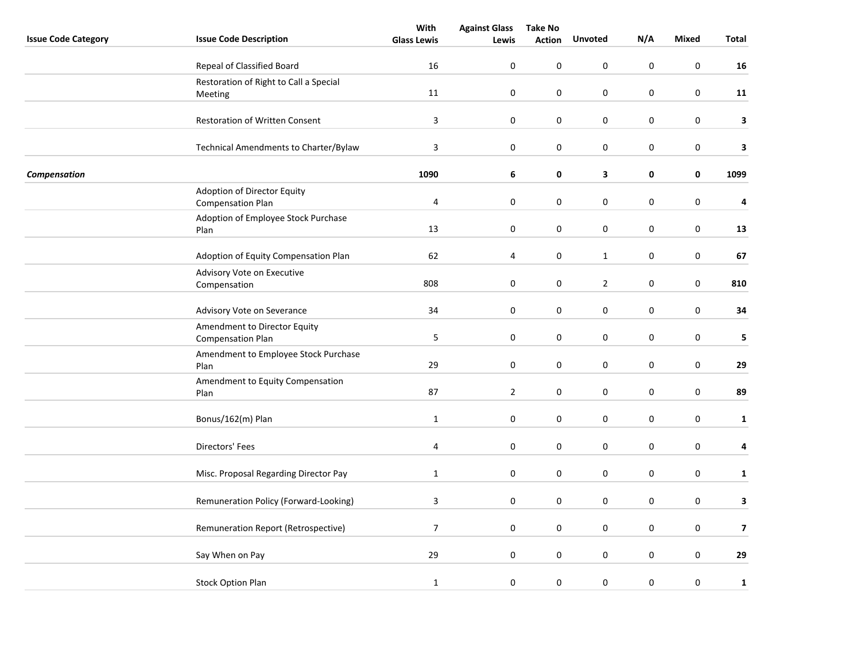|                            |                                        | With                      | <b>Against Glass</b> | <b>Take No</b> |                  |             |                  |                         |
|----------------------------|----------------------------------------|---------------------------|----------------------|----------------|------------------|-------------|------------------|-------------------------|
| <b>Issue Code Category</b> | <b>Issue Code Description</b>          | <b>Glass Lewis</b>        | Lewis                | <b>Action</b>  | Unvoted          | N/A         | <b>Mixed</b>     | <b>Total</b>            |
|                            | Repeal of Classified Board             | 16                        | 0                    | 0              | $\boldsymbol{0}$ | $\pmb{0}$   | $\pmb{0}$        | 16                      |
|                            | Restoration of Right to Call a Special |                           |                      |                |                  |             |                  |                         |
|                            | Meeting                                | 11                        | 0                    | 0              | $\mathsf 0$      | $\pmb{0}$   | 0                | 11                      |
|                            |                                        |                           |                      |                |                  |             |                  |                         |
|                            | <b>Restoration of Written Consent</b>  | $\mathbf{3}$              | 0                    | 0              | $\mathsf 0$      | $\pmb{0}$   | 0                | 3                       |
|                            | Technical Amendments to Charter/Bylaw  | $\ensuremath{\mathsf{3}}$ | $\pmb{0}$            | 0              | 0                | $\pmb{0}$   | 0                | 3                       |
| Compensation               |                                        | 1090                      | 6                    | 0              | 3                | 0           | 0                | 1099                    |
|                            | Adoption of Director Equity            |                           |                      |                |                  |             |                  |                         |
|                            | <b>Compensation Plan</b>               | 4                         | $\boldsymbol{0}$     | 0              | 0                | $\pmb{0}$   | $\boldsymbol{0}$ | 4                       |
|                            | Adoption of Employee Stock Purchase    |                           |                      |                |                  |             |                  |                         |
|                            | Plan                                   | 13                        | $\boldsymbol{0}$     | 0              | 0                | $\pmb{0}$   | $\boldsymbol{0}$ | 13                      |
|                            | Adoption of Equity Compensation Plan   | 62                        | 4                    | 0              | $\mathbf{1}$     | $\pmb{0}$   | $\boldsymbol{0}$ | 67                      |
|                            | Advisory Vote on Executive             |                           |                      |                |                  |             |                  |                         |
|                            | Compensation                           | 808                       | 0                    | 0              | $\overline{2}$   | $\mathbf 0$ | 0                | 810                     |
|                            | Advisory Vote on Severance             | 34                        | $\boldsymbol{0}$     | 0              | 0                | $\pmb{0}$   | $\pmb{0}$        | 34                      |
|                            | Amendment to Director Equity           |                           |                      |                |                  |             |                  |                         |
|                            | <b>Compensation Plan</b>               | 5                         | $\boldsymbol{0}$     | 0              | 0                | $\pmb{0}$   | $\pmb{0}$        | 5                       |
|                            | Amendment to Employee Stock Purchase   |                           |                      |                |                  |             |                  |                         |
|                            | Plan                                   | 29                        | $\boldsymbol{0}$     | 0              | 0                | $\pmb{0}$   | 0                | 29                      |
|                            | Amendment to Equity Compensation       |                           |                      |                |                  |             |                  |                         |
|                            | Plan                                   | 87                        | $\overline{2}$       | 0              | $\mathsf 0$      | $\pmb{0}$   | $\boldsymbol{0}$ | 89                      |
|                            | Bonus/162(m) Plan                      | $\mathbf 1$               | $\boldsymbol{0}$     | 0              | $\boldsymbol{0}$ | $\pmb{0}$   | $\boldsymbol{0}$ | $\mathbf{1}$            |
|                            |                                        |                           |                      |                |                  |             |                  |                         |
|                            | Directors' Fees                        | 4                         | 0                    | 0              | 0                | $\pmb{0}$   | 0                | 4                       |
|                            | Misc. Proposal Regarding Director Pay  | $\mathbf{1}$              | 0                    | 0              | 0                | $\pmb{0}$   | 0                | $\mathbf{1}$            |
|                            |                                        |                           |                      |                |                  |             |                  |                         |
|                            | Remuneration Policy (Forward-Looking)  | $\overline{\mathbf{3}}$   | $\boldsymbol{0}$     | 0              | 0                | $\pmb{0}$   | $\boldsymbol{0}$ | 3                       |
|                            | Remuneration Report (Retrospective)    | $\overline{7}$            | $\boldsymbol{0}$     | 0              | $\boldsymbol{0}$ | $\pmb{0}$   | $\boldsymbol{0}$ | $\overline{\mathbf{z}}$ |
|                            |                                        |                           |                      |                |                  |             |                  |                         |
|                            |                                        |                           |                      |                |                  |             |                  |                         |
|                            | Say When on Pay                        | 29                        | $\boldsymbol{0}$     | 0              | $\pmb{0}$        | $\pmb{0}$   | $\boldsymbol{0}$ | 29                      |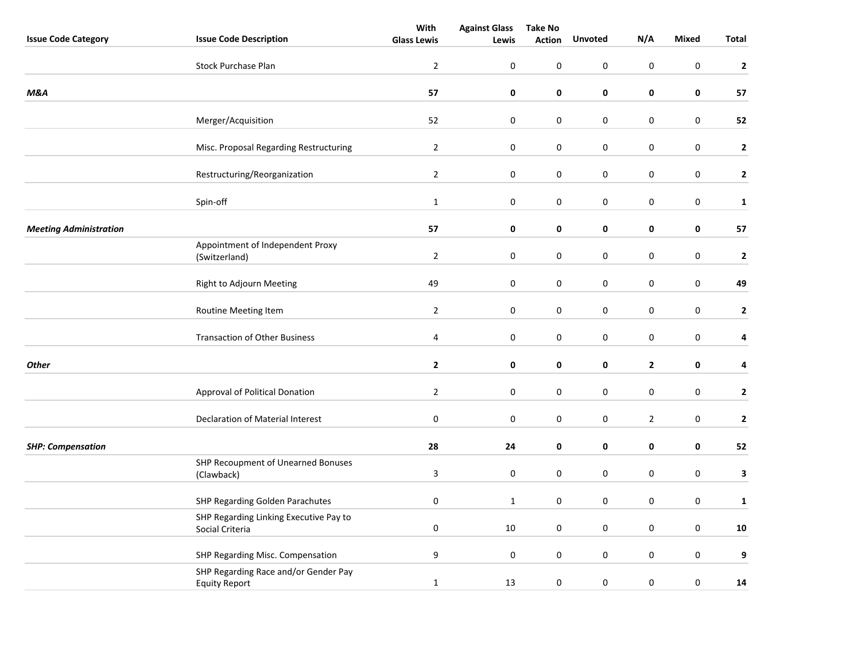|                               |                                                              | With               | <b>Against Glass</b> | <b>Take No</b> |                  |                  |                  |              |
|-------------------------------|--------------------------------------------------------------|--------------------|----------------------|----------------|------------------|------------------|------------------|--------------|
| <b>Issue Code Category</b>    | <b>Issue Code Description</b>                                | <b>Glass Lewis</b> | Lewis                | <b>Action</b>  | <b>Unvoted</b>   | N/A              | <b>Mixed</b>     | Total        |
|                               | <b>Stock Purchase Plan</b>                                   | $\overline{2}$     | 0                    | 0              | 0                | $\pmb{0}$        | $\pmb{0}$        | $\mathbf{2}$ |
| M&A                           |                                                              | 57                 | 0                    | 0              | 0                | 0                | 0                | 57           |
|                               |                                                              | 52                 | $\boldsymbol{0}$     | 0              |                  |                  | $\boldsymbol{0}$ |              |
|                               | Merger/Acquisition                                           |                    |                      |                | 0                | $\boldsymbol{0}$ |                  | 52           |
|                               | Misc. Proposal Regarding Restructuring                       | $\overline{2}$     | $\boldsymbol{0}$     | $\pmb{0}$      | $\boldsymbol{0}$ | $\boldsymbol{0}$ | $\boldsymbol{0}$ | $\mathbf{2}$ |
|                               | Restructuring/Reorganization                                 | $\overline{2}$     | 0                    | 0              | 0                | $\boldsymbol{0}$ | 0                | $\mathbf{2}$ |
|                               | Spin-off                                                     | $\mathbf{1}$       | 0                    | 0              | 0                | 0                | $\pmb{0}$        | $\mathbf{1}$ |
| <b>Meeting Administration</b> |                                                              | 57                 | 0                    | 0              | 0                | 0                | 0                | 57           |
|                               | Appointment of Independent Proxy<br>(Switzerland)            | $\overline{2}$     | $\boldsymbol{0}$     | 0              | $\boldsymbol{0}$ | $\boldsymbol{0}$ | $\boldsymbol{0}$ | $\mathbf{2}$ |
|                               | Right to Adjourn Meeting                                     | 49                 | 0                    | 0              | 0                | $\boldsymbol{0}$ | 0                | 49           |
|                               | Routine Meeting Item                                         | $\overline{2}$     | $\pmb{0}$            | 0              | 0                | $\pmb{0}$        | $\pmb{0}$        | $\mathbf{2}$ |
|                               | <b>Transaction of Other Business</b>                         | 4                  | $\pmb{0}$            | 0              | 0                | $\boldsymbol{0}$ | $\pmb{0}$        | 4            |
| <b>Other</b>                  |                                                              | $\mathbf{2}$       | 0                    | 0              | 0                | $\mathbf{2}$     | 0                | 4            |
|                               | Approval of Political Donation                               | $\overline{2}$     | 0                    | 0              | 0                | 0                | 0                | $\mathbf{2}$ |
|                               | Declaration of Material Interest                             | $\pmb{0}$          | 0                    | 0              | 0                | $\mathbf{2}$     | $\pmb{0}$        | $\mathbf{2}$ |
| <b>SHP: Compensation</b>      |                                                              | 28                 | 24                   | 0              | 0                | 0                | 0                | 52           |
|                               | SHP Recoupment of Unearned Bonuses<br>(Clawback)             | $\mathsf 3$        | $\boldsymbol{0}$     | 0              | 0                | $\boldsymbol{0}$ | $\pmb{0}$        | $\mathbf{3}$ |
|                               | <b>SHP Regarding Golden Parachutes</b>                       | $\pmb{0}$          | $\mathbf{1}$         | 0              | 0                | $\boldsymbol{0}$ | $\pmb{0}$        | $\mathbf{1}$ |
|                               | SHP Regarding Linking Executive Pay to<br>Social Criteria    | $\mathbf 0$        | 10                   | 0              | 0                | $\pmb{0}$        | $\mathbf 0$      | 10           |
|                               | SHP Regarding Misc. Compensation                             | 9                  | $\boldsymbol{0}$     | 0              | 0                | $\pmb{0}$        | 0                | 9            |
|                               | SHP Regarding Race and/or Gender Pay<br><b>Equity Report</b> | $\mathbf 1$        | 13                   | 0              | 0                | $\boldsymbol{0}$ | $\boldsymbol{0}$ | 14           |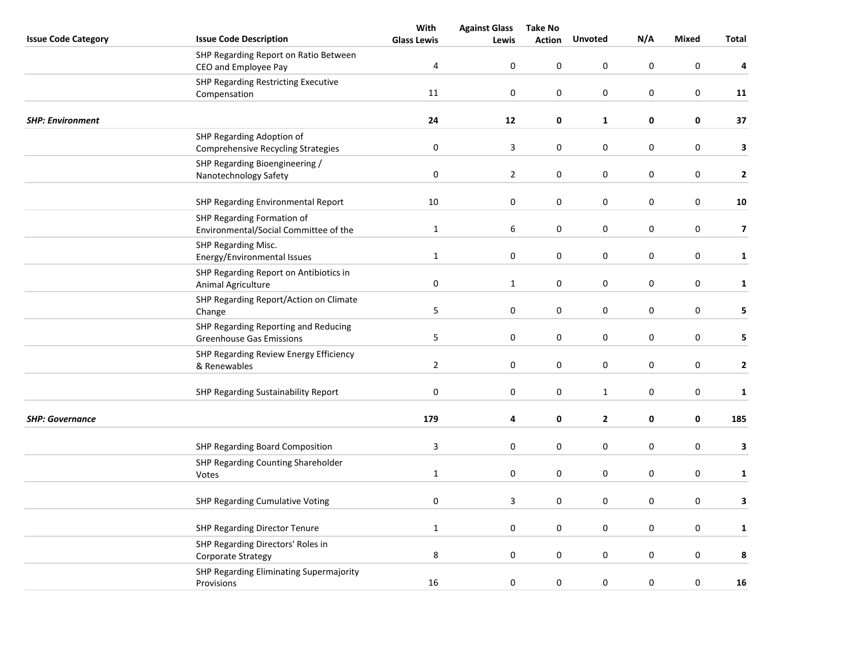|                            |                                                                         | With               | <b>Against Glass</b> | <b>Take No</b>   |                  |             |                  |                         |
|----------------------------|-------------------------------------------------------------------------|--------------------|----------------------|------------------|------------------|-------------|------------------|-------------------------|
| <b>Issue Code Category</b> | <b>Issue Code Description</b>                                           | <b>Glass Lewis</b> | Lewis                | <b>Action</b>    | <b>Unvoted</b>   | N/A         | <b>Mixed</b>     | Total                   |
|                            | SHP Regarding Report on Ratio Between<br>CEO and Employee Pay           | 4                  | $\mathbf 0$          | $\pmb{0}$        | 0                | $\pmb{0}$   | $\mathbf 0$      | 4                       |
|                            | <b>SHP Regarding Restricting Executive</b><br>Compensation              | 11                 | $\mathbf 0$          | $\boldsymbol{0}$ | 0                | 0           | $\mathbf 0$      | 11                      |
| <b>SHP: Environment</b>    |                                                                         | 24                 | 12                   | $\mathbf 0$      | $\mathbf{1}$     | 0           | $\pmb{0}$        | 37                      |
|                            | SHP Regarding Adoption of<br><b>Comprehensive Recycling Strategies</b>  | $\pmb{0}$          | $\mathbf{3}$         | $\mathbf 0$      | 0                | 0           | $\mathbf 0$      | 3                       |
|                            | SHP Regarding Bioengineering /<br>Nanotechnology Safety                 | $\pmb{0}$          | $\overline{2}$       | $\pmb{0}$        | $\boldsymbol{0}$ | 0           | $\boldsymbol{0}$ | $\mathbf{2}$            |
|                            | SHP Regarding Environmental Report                                      | 10                 | $\boldsymbol{0}$     | 0                | 0                | $\pmb{0}$   | $\boldsymbol{0}$ | 10                      |
|                            | SHP Regarding Formation of<br>Environmental/Social Committee of the     | $\mathbf{1}$       | 6                    | $\boldsymbol{0}$ | 0                | $\pmb{0}$   | $\pmb{0}$        | $\overline{\mathbf{z}}$ |
|                            | SHP Regarding Misc.<br>Energy/Environmental Issues                      | $\mathbf 1$        | 0                    | $\mathbf 0$      | 0                | 0           | $\pmb{0}$        | $\mathbf{1}$            |
|                            | SHP Regarding Report on Antibiotics in<br>Animal Agriculture            | $\pmb{0}$          | $\mathbf{1}$         | $\mathbf 0$      | 0                | 0           | $\pmb{0}$        | $\mathbf{1}$            |
|                            | SHP Regarding Report/Action on Climate<br>Change                        | $\sqrt{5}$         | $\boldsymbol{0}$     | $\pmb{0}$        | $\pmb{0}$        | 0           | $\boldsymbol{0}$ | 5                       |
|                            | SHP Regarding Reporting and Reducing<br><b>Greenhouse Gas Emissions</b> | $\sqrt{5}$         | $\boldsymbol{0}$     | 0                | 0                | $\pmb{0}$   | $\boldsymbol{0}$ | 5                       |
|                            | SHP Regarding Review Energy Efficiency<br>& Renewables                  | $\overline{2}$     | $\mathbf 0$          | 0                | 0                | $\mathbf 0$ | $\boldsymbol{0}$ | $\mathbf{2}$            |
|                            | <b>SHP Regarding Sustainability Report</b>                              | $\pmb{0}$          | 0                    | $\boldsymbol{0}$ | $\mathbf{1}$     | 0           | $\pmb{0}$        | $\mathbf{1}$            |
| <b>SHP: Governance</b>     |                                                                         | 179                | 4                    | $\mathbf 0$      | $\mathbf{2}$     | 0           | $\mathbf 0$      | 185                     |
|                            | SHP Regarding Board Composition                                         | 3                  | 0                    | $\boldsymbol{0}$ | 0                | 0           | $\pmb{0}$        | $\mathbf{3}$            |
|                            | SHP Regarding Counting Shareholder<br>Votes                             | $\mathbf 1$        | 0                    | $\pmb{0}$        | 0                | $\pmb{0}$   | 0                | $\mathbf{1}$            |
|                            | SHP Regarding Cumulative Voting                                         | $\mathbf 0$        | 3                    | 0                | 0                | $\mathbf 0$ | $\boldsymbol{0}$ | 3                       |
|                            | SHP Regarding Director Tenure                                           | $\mathbf{1}$       | 0                    | $\mathbf 0$      | 0                | 0           | $\mathbf 0$      | $\mathbf{1}$            |
|                            | SHP Regarding Directors' Roles in<br>Corporate Strategy                 | $\,8\,$            | 0                    | $\pmb{0}$        | 0                | 0           | $\mathbf 0$      | 8                       |
|                            | SHP Regarding Eliminating Supermajority<br>Provisions                   | 16                 | 0                    | $\pmb{0}$        | 0                | $\pmb{0}$   | $\pmb{0}$        | 16                      |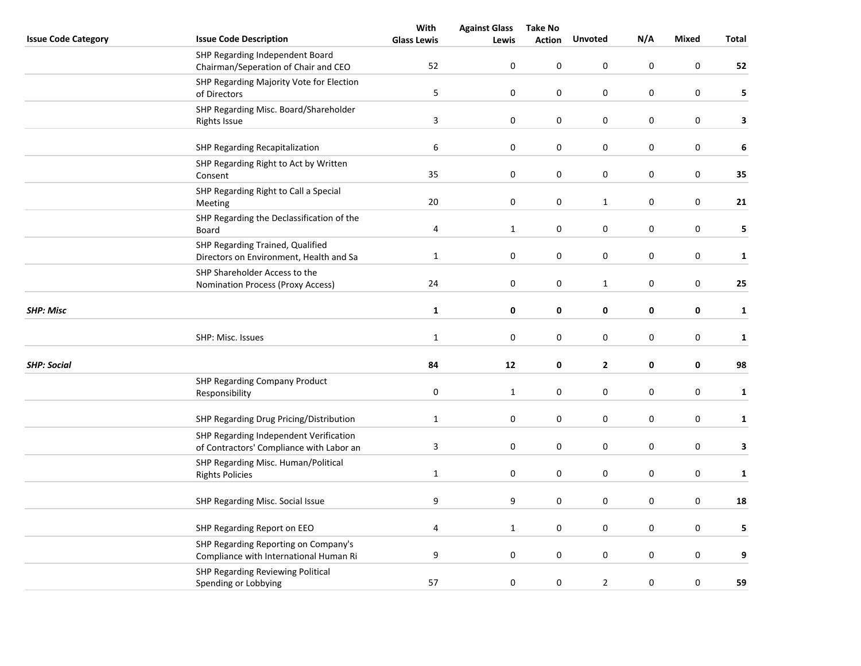|                            |                                                                                    | With               | <b>Against Glass</b> | <b>Take No</b> |                  |                  |                  |              |
|----------------------------|------------------------------------------------------------------------------------|--------------------|----------------------|----------------|------------------|------------------|------------------|--------------|
| <b>Issue Code Category</b> | <b>Issue Code Description</b>                                                      | <b>Glass Lewis</b> | Lewis                | <b>Action</b>  | <b>Unvoted</b>   | N/A              | <b>Mixed</b>     | Total        |
|                            | SHP Regarding Independent Board<br>Chairman/Seperation of Chair and CEO            | 52                 | 0                    | 0              | 0                | 0                | $\mathbf 0$      | 52           |
|                            | SHP Regarding Majority Vote for Election<br>of Directors                           | 5                  | $\mathbf 0$          | 0              | 0                | 0                | 0                | 5            |
|                            | SHP Regarding Misc. Board/Shareholder<br><b>Rights Issue</b>                       | $\mathbf{3}$       | $\boldsymbol{0}$     | 0              | $\boldsymbol{0}$ | $\boldsymbol{0}$ | $\pmb{0}$        | 3            |
|                            | SHP Regarding Recapitalization                                                     | 6                  | $\pmb{0}$            | 0              | 0                | 0                | 0                | 6            |
|                            | SHP Regarding Right to Act by Written<br>Consent                                   | 35                 | $\boldsymbol{0}$     | 0              | 0                | 0                | $\pmb{0}$        | 35           |
|                            | SHP Regarding Right to Call a Special<br>Meeting                                   | 20                 | 0                    | 0              | $\mathbf{1}$     | 0                | $\pmb{0}$        | 21           |
|                            | SHP Regarding the Declassification of the<br>Board                                 | 4                  | $\mathbf{1}$         | 0              | 0                | $\boldsymbol{0}$ | $\pmb{0}$        | 5            |
|                            | SHP Regarding Trained, Qualified<br>Directors on Environment, Health and Sa        | $\mathbf 1$        | $\pmb{0}$            | 0              | 0                | 0                | $\pmb{0}$        | $\mathbf{1}$ |
|                            | SHP Shareholder Access to the<br>Nomination Process (Proxy Access)                 | 24                 | $\pmb{0}$            | 0              | $\mathbf{1}$     | 0                | 0                | 25           |
| <b>SHP: Misc</b>           |                                                                                    | $\mathbf{1}$       | 0                    | 0              | 0                | 0                | $\pmb{0}$        | $\mathbf 1$  |
|                            | SHP: Misc. Issues                                                                  | $\mathbf 1$        | 0                    | $\pmb{0}$      | 0                | $\boldsymbol{0}$ | $\pmb{0}$        | $\mathbf{1}$ |
| <b>SHP: Social</b>         |                                                                                    | 84                 | 12                   | 0              | $\mathbf{2}$     | 0                | 0                | 98           |
|                            | <b>SHP Regarding Company Product</b><br>Responsibility                             | $\boldsymbol{0}$   | $\mathbf{1}$         | 0              | 0                | 0                | $\boldsymbol{0}$ | $\mathbf{1}$ |
|                            | SHP Regarding Drug Pricing/Distribution                                            | $\mathbf 1$        | $\pmb{0}$            | $\pmb{0}$      | 0                | $\boldsymbol{0}$ | 0                | $\mathbf{1}$ |
|                            | SHP Regarding Independent Verification<br>of Contractors' Compliance with Labor an | $\mathbf{3}$       | 0                    | 0              | 0                | 0                | 0                | 3            |
|                            | SHP Regarding Misc. Human/Political<br><b>Rights Policies</b>                      | $\mathbf{1}$       | 0                    | $\pmb{0}$      | 0                | 0                | $\boldsymbol{0}$ | $\mathbf{1}$ |
|                            | SHP Regarding Misc. Social Issue                                                   | 9                  | 9                    | 0              | 0                | 0                | $\pmb{0}$        | 18           |
|                            | SHP Regarding Report on EEO                                                        | $\pmb{4}$          | $\mathbf{1}$         | 0              | 0                | 0                | 0                | 5            |
|                            | SHP Regarding Reporting on Company's<br>Compliance with International Human Ri     | 9                  | $\pmb{0}$            | 0              | 0                | $\boldsymbol{0}$ | 0                | 9            |
|                            | SHP Regarding Reviewing Political<br>Spending or Lobbying                          | 57                 | 0                    | $\pmb{0}$      | $\mathbf{2}$     | $\boldsymbol{0}$ | $\boldsymbol{0}$ | 59           |